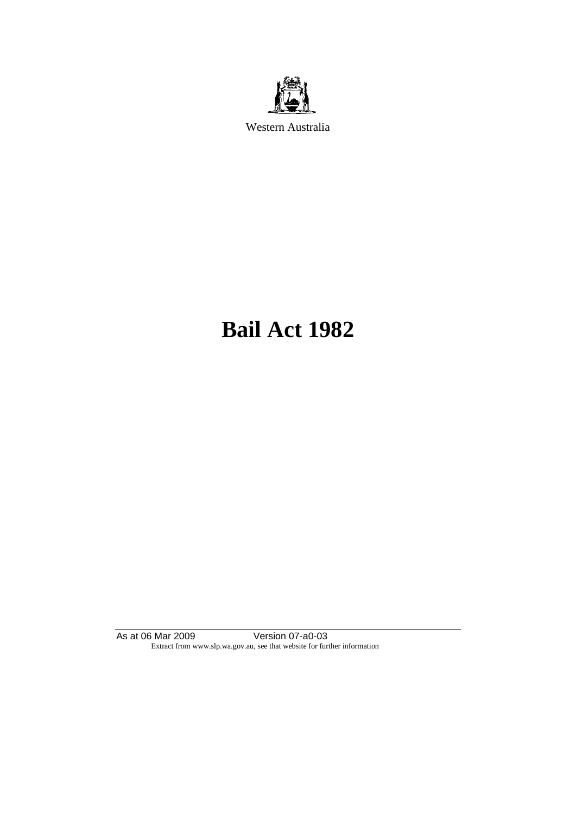

Western Australia

# **Bail Act 1982**

As at 06 Mar 2009 Version 07-a0-03 Extract from www.slp.wa.gov.au, see that website for further information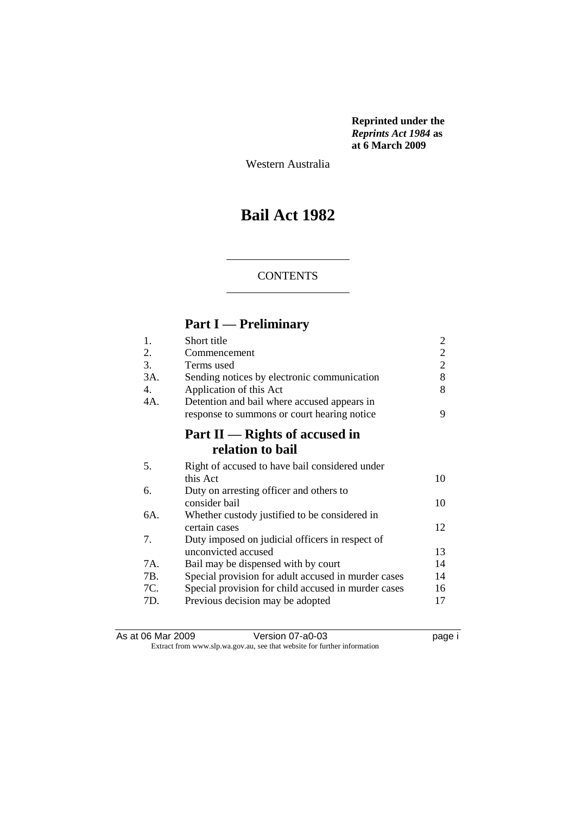**Reprinted under the**  *Reprints Act 1984* **as at 6 March 2009**

Western Australia

# **Bail Act 1982**

#### **CONTENTS**

# **Part I — Preliminary**

| 1.  | Short title                                         | 2              |
|-----|-----------------------------------------------------|----------------|
| 2.  | Commencement                                        | $\overline{2}$ |
| 3.  | Terms used                                          | 2              |
| 3A. | Sending notices by electronic communication         | 8              |
| 4.  | Application of this Act                             | 8              |
| 4A. | Detention and bail where accused appears in         |                |
|     | response to summons or court hearing notice         | 9              |
|     | Part II — Rights of accused in                      |                |
|     | relation to bail                                    |                |
| 5.  | Right of accused to have bail considered under      |                |
|     | this Act                                            | 10             |
| 6.  | Duty on arresting officer and others to             |                |
|     | consider bail                                       | 10             |
| 6A. | Whether custody justified to be considered in       |                |
|     | certain cases                                       | 12             |
| 7.  | Duty imposed on judicial officers in respect of     |                |
|     | unconvicted accused                                 | 13             |
| 7A. | Bail may be dispensed with by court                 | 14             |
| 7B. | Special provision for adult accused in murder cases | 14             |
| 7C. | Special provision for child accused in murder cases | 16             |
| 7D. | Previous decision may be adopted                    | 17             |

As at 06 Mar 2009 **Version 07-a0-03 Page i page i** Extract from www.slp.wa.gov.au, see that website for further information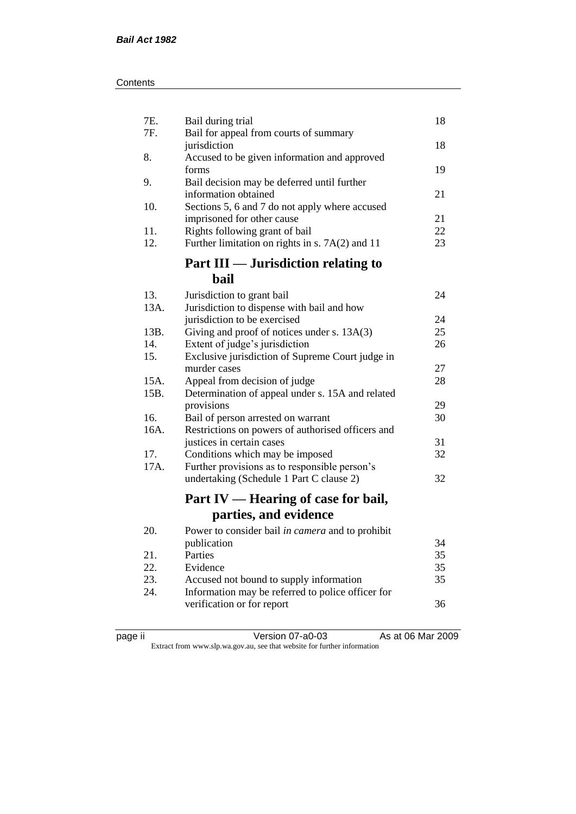| 7E.<br>7F. | Bail during trial                                                                   | 18       |
|------------|-------------------------------------------------------------------------------------|----------|
|            | Bail for appeal from courts of summary<br>jurisdiction                              | 18       |
| 8.         | Accused to be given information and approved<br>forms                               | 19       |
| 9.         | Bail decision may be deferred until further<br>information obtained                 | 21       |
| 10.        | Sections 5, 6 and 7 do not apply where accused                                      |          |
|            | imprisoned for other cause                                                          | 21       |
| 11.<br>12. | Rights following grant of bail<br>Further limitation on rights in s. $7A(2)$ and 11 | 22<br>23 |
|            | Part III — Jurisdiction relating to                                                 |          |
|            | bail                                                                                |          |
| 13.        | Jurisdiction to grant bail                                                          | 24       |
| 13A.       | Jurisdiction to dispense with bail and how                                          |          |
|            | jurisdiction to be exercised                                                        | 24       |
| 13B.       | Giving and proof of notices under s. 13A(3)                                         | 25       |
| 14.<br>15. | Extent of judge's jurisdiction<br>Exclusive jurisdiction of Supreme Court judge in  | 26       |
|            | murder cases                                                                        | 27       |
| 15A.       | Appeal from decision of judge                                                       | 28       |
| 15B.       | Determination of appeal under s. 15A and related                                    |          |
|            | provisions                                                                          | 29       |
| 16.        | Bail of person arrested on warrant                                                  | 30       |
| 16A.       | Restrictions on powers of authorised officers and                                   |          |
|            | justices in certain cases                                                           | 31       |
| 17.        | Conditions which may be imposed                                                     | 32       |
| 17A.       | Further provisions as to responsible person's                                       |          |
|            | undertaking (Schedule 1 Part C clause 2)                                            | 32       |
|            | Part IV — Hearing of case for bail,                                                 |          |
|            | parties, and evidence                                                               |          |
| 20.        | Power to consider bail in camera and to prohibit                                    |          |
|            | publication                                                                         | 34       |
| 21.        | Parties                                                                             | 35       |
| 22.        | Evidence                                                                            | 35       |
| 23.        | Accused not bound to supply information                                             | 35       |
| 24.        | Information may be referred to police officer for                                   | 36       |
|            | verification or for report                                                          |          |

| ۰. |  |
|----|--|
|    |  |

page ii Version 07-a0-03 As at 06 Mar 2009 Extract from www.slp.wa.gov.au, see that website for further information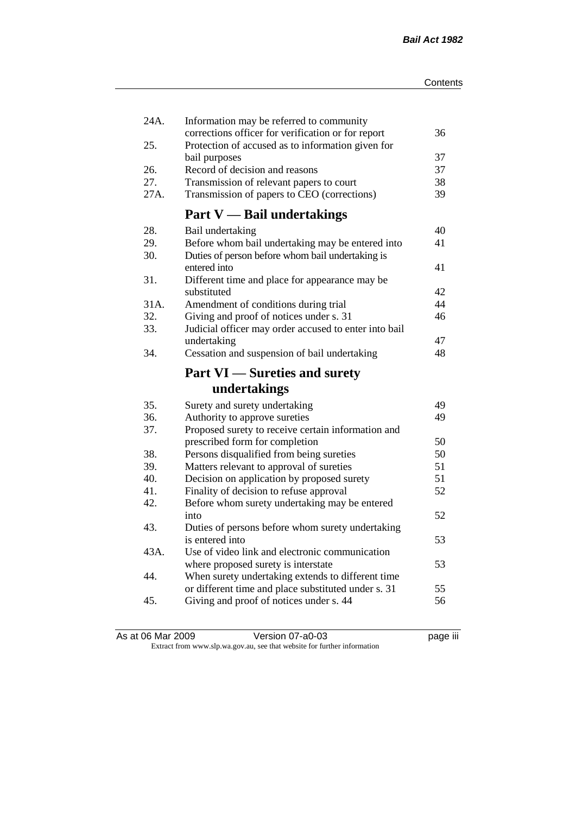| 24A. | Information may be referred to community<br>corrections officer for verification or for report | 36 |
|------|------------------------------------------------------------------------------------------------|----|
| 25.  | Protection of accused as to information given for                                              |    |
|      | bail purposes                                                                                  | 37 |
| 26.  | Record of decision and reasons                                                                 | 37 |
| 27.  | Transmission of relevant papers to court                                                       | 38 |
| 27A. | Transmission of papers to CEO (corrections)                                                    | 39 |
|      | <b>Part V</b> — Bail undertakings                                                              |    |
| 28.  | Bail undertaking                                                                               | 40 |
| 29.  | Before whom bail undertaking may be entered into                                               | 41 |
| 30.  | Duties of person before whom bail undertaking is                                               |    |
|      | entered into                                                                                   | 41 |
| 31.  | Different time and place for appearance may be                                                 |    |
|      | substituted                                                                                    | 42 |
| 31A. | Amendment of conditions during trial                                                           | 44 |
| 32.  | Giving and proof of notices under s. 31                                                        | 46 |
| 33.  | Judicial officer may order accused to enter into bail                                          |    |
|      | undertaking                                                                                    | 47 |
| 34.  | Cessation and suspension of bail undertaking                                                   | 48 |
|      |                                                                                                |    |
|      | <b>Part VI</b> — Sureties and surety                                                           |    |
|      | undertakings                                                                                   |    |
| 35.  | Surety and surety undertaking                                                                  | 49 |
| 36.  | Authority to approve sureties                                                                  | 49 |
| 37.  | Proposed surety to receive certain information and                                             |    |
|      | prescribed form for completion                                                                 | 50 |
| 38.  | Persons disqualified from being sureties                                                       | 50 |
| 39.  | Matters relevant to approval of sureties                                                       | 51 |
| 40.  | Decision on application by proposed surety                                                     | 51 |
| 41.  | Finality of decision to refuse approval                                                        | 52 |
| 42.  | Before whom surety undertaking may be entered                                                  |    |
|      | into                                                                                           | 52 |
| 43.  | Duties of persons before whom surety undertaking                                               |    |
|      | is entered into                                                                                | 53 |
| 43A. | Use of video link and electronic communication                                                 |    |
|      | where proposed surety is interstate                                                            | 53 |
| 44.  | When surety undertaking extends to different time                                              |    |
|      | or different time and place substituted under s. 31                                            | 55 |
| 45.  | Giving and proof of notices under s. 44                                                        | 56 |

As at 06 Mar 2009 **Version 07-a0-03 Page iii** bage iii Extract from www.slp.wa.gov.au, see that website for further information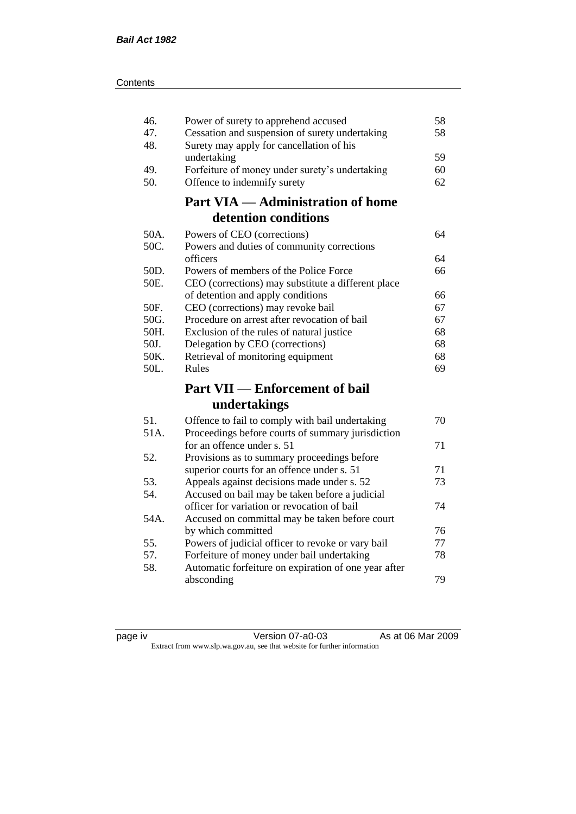| Contents |
|----------|
|----------|

| 46.<br>47.<br>48. | Power of surety to apprehend accused<br>Cessation and suspension of surety undertaking<br>Surety may apply for cancellation of his | 58<br>58 |
|-------------------|------------------------------------------------------------------------------------------------------------------------------------|----------|
|                   | undertaking                                                                                                                        | 59       |
| 49.               | Forfeiture of money under surety's undertaking                                                                                     | 60       |
| 50.               | Offence to indemnify surety                                                                                                        | 62       |
|                   | <b>Part VIA — Administration of home</b>                                                                                           |          |
|                   | detention conditions                                                                                                               |          |
| 50A.              | Powers of CEO (corrections)                                                                                                        | 64       |
| 50C.              | Powers and duties of community corrections                                                                                         |          |
|                   | officers                                                                                                                           | 64       |
| 50D.              | Powers of members of the Police Force                                                                                              | 66       |
| 50E.              | CEO (corrections) may substitute a different place                                                                                 |          |
|                   | of detention and apply conditions                                                                                                  | 66       |
| 50F.              | CEO (corrections) may revoke bail                                                                                                  | 67       |
| 50G.              | Procedure on arrest after revocation of bail                                                                                       | 67       |
| 50H.              | Exclusion of the rules of natural justice                                                                                          | 68       |
| 50J.              | Delegation by CEO (corrections)                                                                                                    | 68       |
| 50K.              | Retrieval of monitoring equipment                                                                                                  | 68       |
| 50L.              | Rules                                                                                                                              | 69       |
|                   | <b>Part VII — Enforcement of bail</b>                                                                                              |          |
|                   | undertakings                                                                                                                       |          |
| 51.               | Offence to fail to comply with bail undertaking                                                                                    | 70       |
| 51A.              | Proceedings before courts of summary jurisdiction                                                                                  |          |
|                   | for an offence under s. 51                                                                                                         | 71       |
| 52.               | Provisions as to summary proceedings before                                                                                        |          |
|                   | superior courts for an offence under s. 51                                                                                         | 71       |
| 53.               | Appeals against decisions made under s. 52                                                                                         | 73       |
| 54.               | Accused on bail may be taken before a judicial                                                                                     |          |
|                   | officer for variation or revocation of bail                                                                                        | 74       |
| 54A.              | Accused on committal may be taken before court                                                                                     |          |
|                   | by which committed                                                                                                                 | 76       |
| 55.               | Powers of judicial officer to revoke or vary bail                                                                                  | 77       |
| 57.               | Forfeiture of money under bail undertaking                                                                                         | 78       |
| 58.               | Automatic forfeiture on expiration of one year after                                                                               |          |
|                   | absconding                                                                                                                         | 79       |
|                   |                                                                                                                                    |          |

| ane<br>ιv |  |
|-----------|--|
|           |  |

page iv Version 07-a0-03 As at 06 Mar 2009 Extract from www.slp.wa.gov.au, see that website for further information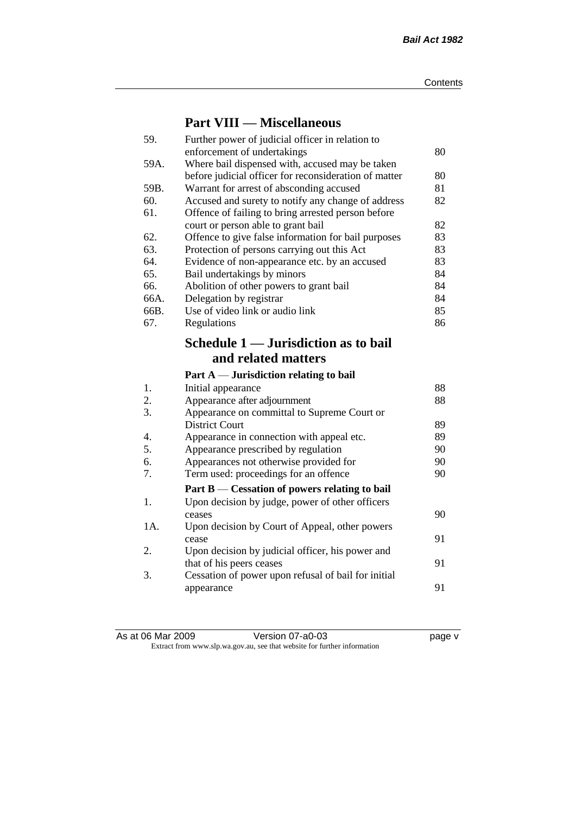### **Part VIII — Miscellaneous**

| 59.  | Further power of judicial officer in relation to                             |    |
|------|------------------------------------------------------------------------------|----|
|      | enforcement of undertakings                                                  | 80 |
| 59A. | Where bail dispensed with, accused may be taken                              |    |
|      | before judicial officer for reconsideration of matter                        | 80 |
| 59B. | Warrant for arrest of absconding accused                                     | 81 |
| 60.  | Accused and surety to notify any change of address                           | 82 |
| 61.  | Offence of failing to bring arrested person before                           |    |
|      | court or person able to grant bail                                           | 82 |
| 62.  | Offence to give false information for bail purposes                          | 83 |
| 63.  | Protection of persons carrying out this Act                                  | 83 |
| 64.  | Evidence of non-appearance etc. by an accused                                | 83 |
| 65.  | Bail undertakings by minors                                                  | 84 |
| 66.  | Abolition of other powers to grant bail                                      | 84 |
| 66A. | Delegation by registrar                                                      | 84 |
| 66B. | Use of video link or audio link                                              | 85 |
| 67.  | Regulations                                                                  | 86 |
|      | Schedule 1 — Jurisdiction as to bail                                         |    |
|      |                                                                              |    |
|      | and related matters                                                          |    |
|      |                                                                              |    |
|      | Part $A$ — Jurisdiction relating to bail                                     |    |
| 1.   | Initial appearance                                                           | 88 |
| 2.   | Appearance after adjournment                                                 | 88 |
| 3.   | Appearance on committal to Supreme Court or                                  |    |
|      | <b>District Court</b>                                                        | 89 |
| 4.   | Appearance in connection with appeal etc.                                    | 89 |
| 5.   | Appearance prescribed by regulation                                          | 90 |
| 6.   | Appearances not otherwise provided for                                       | 90 |
| 7.   | Term used: proceedings for an offence                                        | 90 |
|      |                                                                              |    |
| 1.   | Part B — Cessation of powers relating to bail                                |    |
|      | Upon decision by judge, power of other officers<br>ceases                    | 90 |
| 1A.  |                                                                              |    |
|      | Upon decision by Court of Appeal, other powers<br>cease                      | 91 |
| 2.   |                                                                              |    |
|      | Upon decision by judicial officer, his power and<br>that of his peers ceases | 91 |
| 3.   | Cessation of power upon refusal of bail for initial                          |    |
|      | appearance                                                                   | 91 |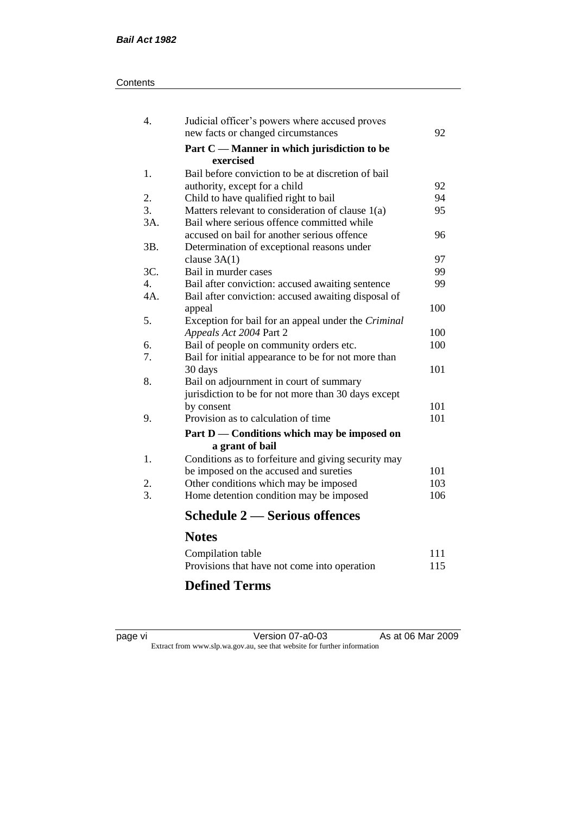#### **Contents**

| 4.               | Judicial officer's powers where accused proves           |     |
|------------------|----------------------------------------------------------|-----|
|                  | new facts or changed circumstances                       | 92  |
|                  | Part C — Manner in which jurisdiction to be<br>exercised |     |
| 1.               | Bail before conviction to be at discretion of bail       |     |
|                  | authority, except for a child                            | 92  |
| 2.               | Child to have qualified right to bail                    | 94  |
| 3.               | Matters relevant to consideration of clause 1(a)         | 95  |
| 3A.              | Bail where serious offence committed while               |     |
|                  | accused on bail for another serious offence              | 96  |
| 3B.              | Determination of exceptional reasons under               |     |
|                  | clause $3A(1)$                                           | 97  |
| 3C.              | Bail in murder cases                                     | 99  |
| $\overline{4}$ . | Bail after conviction: accused awaiting sentence         | 99  |
| $4A$ .           | Bail after conviction: accused awaiting disposal of      |     |
|                  | appeal                                                   | 100 |
| 5.               | Exception for bail for an appeal under the Criminal      |     |
|                  | Appeals Act 2004 Part 2                                  | 100 |
| 6.               | Bail of people on community orders etc.                  | 100 |
| 7.               | Bail for initial appearance to be for not more than      |     |
|                  | 30 days                                                  | 101 |
| 8.               | Bail on adjournment in court of summary                  |     |
|                  | jurisdiction to be for not more than 30 days except      |     |
|                  | by consent                                               | 101 |
| 9.               | Provision as to calculation of time                      | 101 |
|                  | Part D — Conditions which may be imposed on              |     |
|                  | a grant of bail                                          |     |
| 1.               | Conditions as to forfeiture and giving security may      |     |
|                  | be imposed on the accused and sureties                   | 101 |
| 2.               | Other conditions which may be imposed                    | 103 |
| 3.               | Home detention condition may be imposed                  | 106 |
|                  | <b>Schedule 2 — Serious offences</b>                     |     |
|                  | <b>Notes</b>                                             |     |
|                  | Compilation table                                        | 111 |
|                  | Provisions that have not come into operation             | 115 |
|                  |                                                          |     |

# **Defined Terms**

| page | vı |  |
|------|----|--|
|      |    |  |

page vi Version 07-a0-03 As at 06 Mar 2009 Extract from www.slp.wa.gov.au, see that website for further information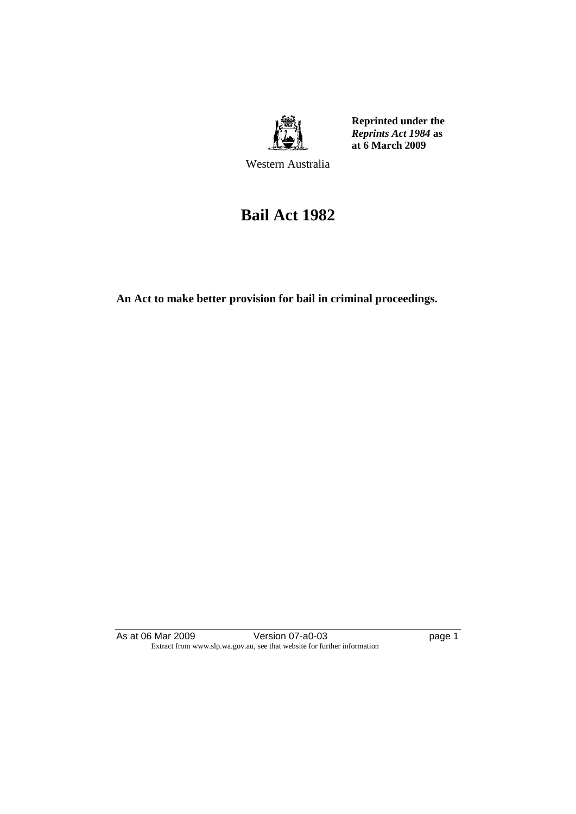

**Reprinted under the**  *Reprints Act 1984* **as at 6 March 2009**

Western Australia

# **Bail Act 1982**

**An Act to make better provision for bail in criminal proceedings.** 

As at 06 Mar 2009 Version 07-a0-03 Page 1 Extract from www.slp.wa.gov.au, see that website for further information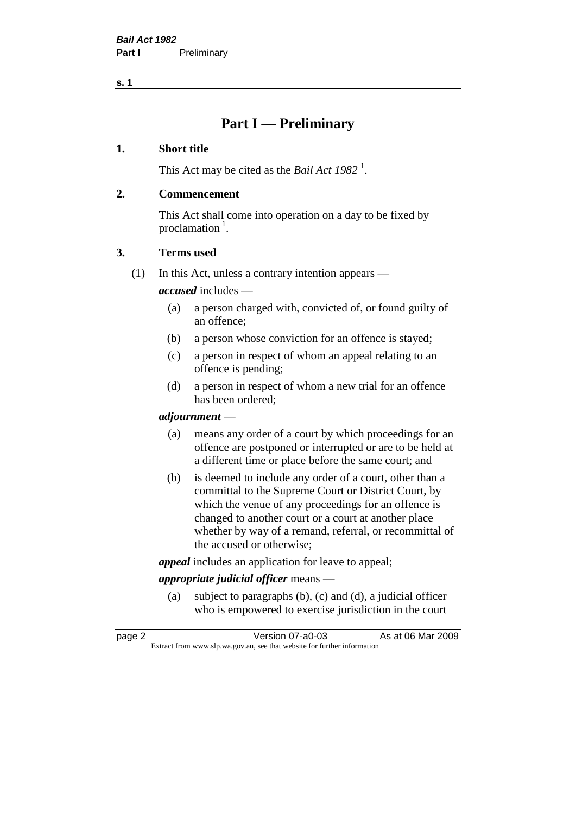### **Part I — Preliminary**

#### **1. Short title**

This Act may be cited as the *Bail Act* 1982<sup>1</sup>.

#### **2. Commencement**

This Act shall come into operation on a day to be fixed by proclamation  $<sup>1</sup>$ .</sup>

#### **3. Terms used**

(1) In this Act, unless a contrary intention appears —

*accused* includes —

- (a) a person charged with, convicted of, or found guilty of an offence;
- (b) a person whose conviction for an offence is stayed;
- (c) a person in respect of whom an appeal relating to an offence is pending;
- (d) a person in respect of whom a new trial for an offence has been ordered;

#### *adjournment* —

- (a) means any order of a court by which proceedings for an offence are postponed or interrupted or are to be held at a different time or place before the same court; and
- (b) is deemed to include any order of a court, other than a committal to the Supreme Court or District Court, by which the venue of any proceedings for an offence is changed to another court or a court at another place whether by way of a remand, referral, or recommittal of the accused or otherwise;

*appeal* includes an application for leave to appeal;

#### *appropriate judicial officer* means —

(a) subject to paragraphs (b), (c) and (d), a judicial officer who is empowered to exercise jurisdiction in the court

| page 2 | Version 07-a0-03                                                         | As at 06 Mar 2009 |
|--------|--------------------------------------------------------------------------|-------------------|
|        | Extract from www.slp.wa.gov.au, see that website for further information |                   |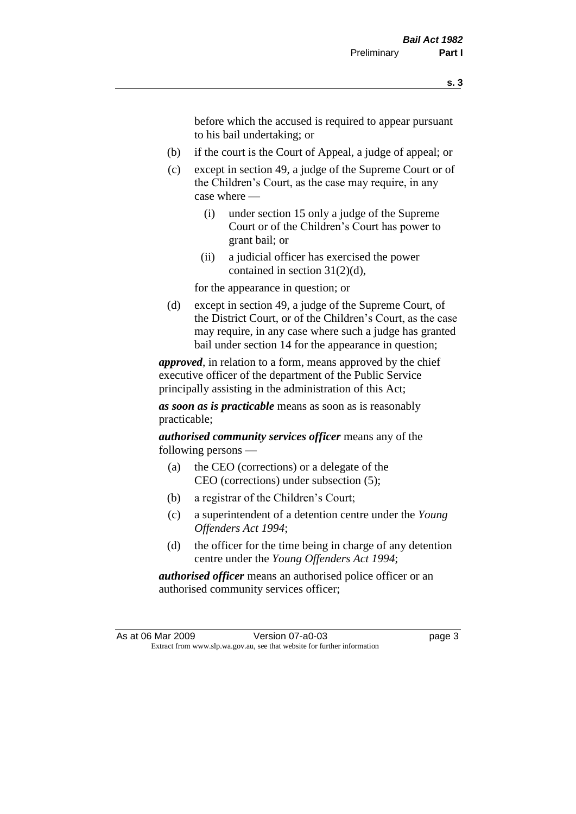before which the accused is required to appear pursuant to his bail undertaking; or

- (b) if the court is the Court of Appeal, a judge of appeal; or
- (c) except in section 49, a judge of the Supreme Court or of the Children's Court, as the case may require, in any case where —
	- (i) under section 15 only a judge of the Supreme Court or of the Children's Court has power to grant bail; or
	- (ii) a judicial officer has exercised the power contained in section 31(2)(d),

for the appearance in question; or

(d) except in section 49, a judge of the Supreme Court, of the District Court, or of the Children's Court, as the case may require, in any case where such a judge has granted bail under section 14 for the appearance in question;

*approved*, in relation to a form, means approved by the chief executive officer of the department of the Public Service principally assisting in the administration of this Act;

*as soon as is practicable* means as soon as is reasonably practicable;

*authorised community services officer* means any of the following persons —

- (a) the CEO (corrections) or a delegate of the CEO (corrections) under subsection (5);
- (b) a registrar of the Children's Court;
- (c) a superintendent of a detention centre under the *Young Offenders Act 1994*;
- (d) the officer for the time being in charge of any detention centre under the *Young Offenders Act 1994*;

*authorised officer* means an authorised police officer or an authorised community services officer;

As at 06 Mar 2009 Version 07-a0-03 Page 3 Extract from www.slp.wa.gov.au, see that website for further information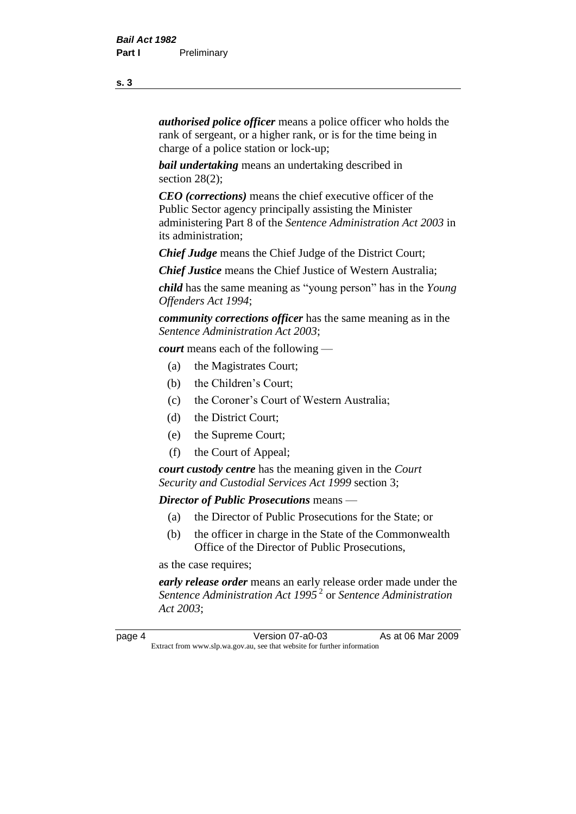*authorised police officer* means a police officer who holds the rank of sergeant, or a higher rank, or is for the time being in charge of a police station or lock-up;

*bail undertaking* means an undertaking described in section 28(2):

*CEO (corrections)* means the chief executive officer of the Public Sector agency principally assisting the Minister administering Part 8 of the *Sentence Administration Act 2003* in its administration;

*Chief Judge* means the Chief Judge of the District Court;

*Chief Justice* means the Chief Justice of Western Australia;

*child* has the same meaning as "young person" has in the *Young Offenders Act 1994*;

*community corrections officer* has the same meaning as in the *Sentence Administration Act 2003*;

*court* means each of the following —

- (a) the Magistrates Court;
- (b) the Children's Court;
- (c) the Coroner's Court of Western Australia;
- (d) the District Court;
- (e) the Supreme Court;
- (f) the Court of Appeal;

*court custody centre* has the meaning given in the *Court Security and Custodial Services Act 1999* section 3;

*Director of Public Prosecutions* means —

- (a) the Director of Public Prosecutions for the State; or
- (b) the officer in charge in the State of the Commonwealth Office of the Director of Public Prosecutions,

as the case requires;

*early release order* means an early release order made under the *Sentence Administration Act 1995* <sup>2</sup> or *Sentence Administration Act 2003*;

page 4 Version 07-a0-03 As at 06 Mar 2009 Extract from www.slp.wa.gov.au, see that website for further information

**s. 3**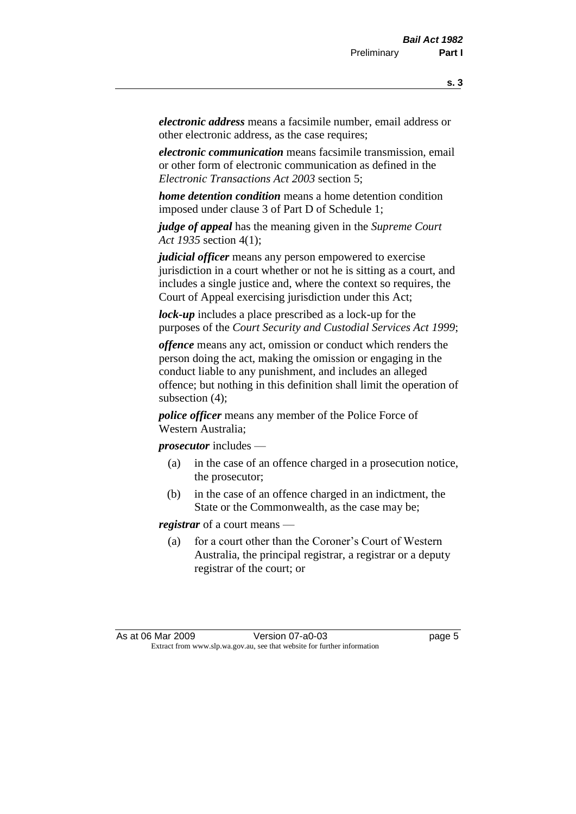*electronic address* means a facsimile number, email address or other electronic address, as the case requires;

*electronic communication* means facsimile transmission, email or other form of electronic communication as defined in the *Electronic Transactions Act 2003* section 5;

*home detention condition* means a home detention condition imposed under clause 3 of Part D of Schedule 1;

*judge of appeal* has the meaning given in the *Supreme Court Act 1935* section 4(1);

*judicial officer* means any person empowered to exercise jurisdiction in a court whether or not he is sitting as a court, and includes a single justice and, where the context so requires, the Court of Appeal exercising jurisdiction under this Act;

*lock-up* includes a place prescribed as a lock-up for the purposes of the *Court Security and Custodial Services Act 1999*;

*offence* means any act, omission or conduct which renders the person doing the act, making the omission or engaging in the conduct liable to any punishment, and includes an alleged offence; but nothing in this definition shall limit the operation of subsection (4);

*police officer* means any member of the Police Force of Western Australia;

*prosecutor* includes —

- (a) in the case of an offence charged in a prosecution notice, the prosecutor;
- (b) in the case of an offence charged in an indictment, the State or the Commonwealth, as the case may be;

*registrar* of a court means —

(a) for a court other than the Coroner's Court of Western Australia, the principal registrar, a registrar or a deputy registrar of the court; or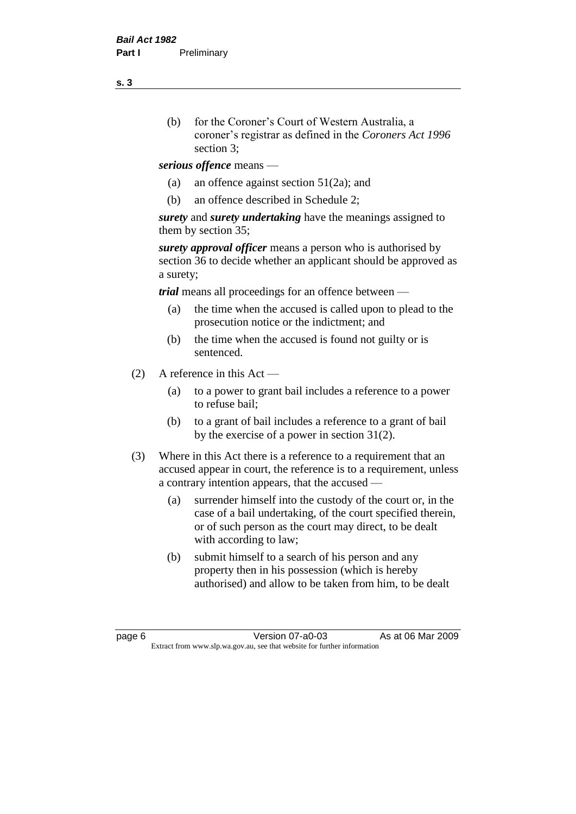- (b) for the Coroner's Court of Western Australia, a coroner's registrar as defined in the *Coroners Act 1996* section 3;
- *serious offence* means
	- (a) an offence against section 51(2a); and
	- (b) an offence described in Schedule 2;

*surety* and *surety undertaking* have the meanings assigned to them by section 35;

*surety approval officer* means a person who is authorised by section 36 to decide whether an applicant should be approved as a surety;

*trial* means all proceedings for an offence between —

- (a) the time when the accused is called upon to plead to the prosecution notice or the indictment; and
- (b) the time when the accused is found not guilty or is sentenced.
- (2) A reference in this Act
	- (a) to a power to grant bail includes a reference to a power to refuse bail;
	- (b) to a grant of bail includes a reference to a grant of bail by the exercise of a power in section 31(2).
- (3) Where in this Act there is a reference to a requirement that an accused appear in court, the reference is to a requirement, unless a contrary intention appears, that the accused —
	- (a) surrender himself into the custody of the court or, in the case of a bail undertaking, of the court specified therein, or of such person as the court may direct, to be dealt with according to law;
	- (b) submit himself to a search of his person and any property then in his possession (which is hereby authorised) and allow to be taken from him, to be dealt

page 6 Version 07-a0-03 As at 06 Mar 2009 Extract from www.slp.wa.gov.au, see that website for further information

**s. 3**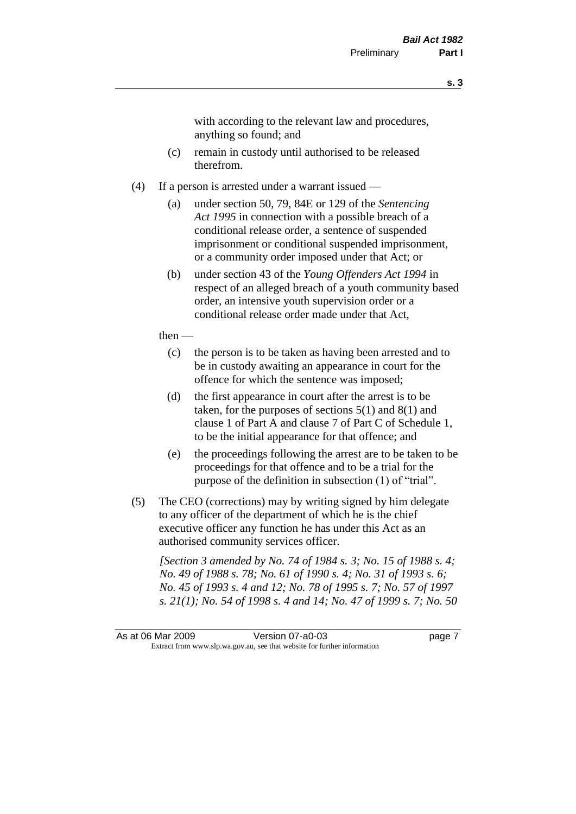with according to the relevant law and procedures, anything so found; and

- (c) remain in custody until authorised to be released therefrom.
- (4) If a person is arrested under a warrant issued
	- (a) under section 50, 79, 84E or 129 of the *Sentencing Act 1995* in connection with a possible breach of a conditional release order, a sentence of suspended imprisonment or conditional suspended imprisonment, or a community order imposed under that Act; or
	- (b) under section 43 of the *Young Offenders Act 1994* in respect of an alleged breach of a youth community based order, an intensive youth supervision order or a conditional release order made under that Act,
	- then
		- (c) the person is to be taken as having been arrested and to be in custody awaiting an appearance in court for the offence for which the sentence was imposed;
		- (d) the first appearance in court after the arrest is to be taken, for the purposes of sections  $5(1)$  and  $8(1)$  and clause 1 of Part A and clause 7 of Part C of Schedule 1, to be the initial appearance for that offence; and
		- (e) the proceedings following the arrest are to be taken to be proceedings for that offence and to be a trial for the purpose of the definition in subsection (1) of "trial".
- (5) The CEO (corrections) may by writing signed by him delegate to any officer of the department of which he is the chief executive officer any function he has under this Act as an authorised community services officer.

*[Section 3 amended by No. 74 of 1984 s. 3; No. 15 of 1988 s. 4; No. 49 of 1988 s. 78; No. 61 of 1990 s. 4; No. 31 of 1993 s. 6; No. 45 of 1993 s. 4 and 12; No. 78 of 1995 s. 7; No. 57 of 1997 s. 21(1); No. 54 of 1998 s. 4 and 14; No. 47 of 1999 s. 7; No. 50* 

As at 06 Mar 2009 Version 07-a0-03 Page 7 Extract from www.slp.wa.gov.au, see that website for further information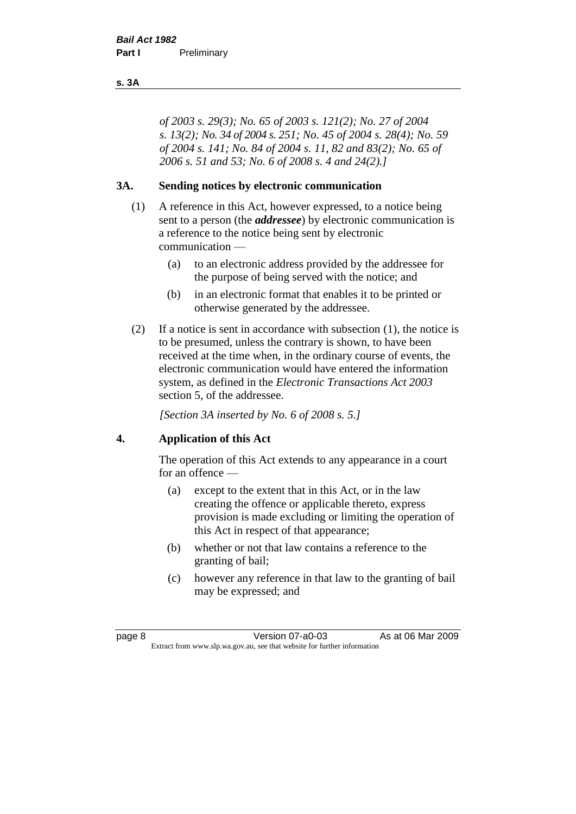#### **s. 3A**

*of 2003 s. 29(3); No. 65 of 2003 s. 121(2); No. 27 of 2004 s. 13(2); No. 34 of 2004 s. 251; No. 45 of 2004 s. 28(4); No. 59 of 2004 s. 141; No. 84 of 2004 s. 11, 82 and 83(2); No. 65 of 2006 s. 51 and 53; No. 6 of 2008 s. 4 and 24(2).]* 

#### **3A. Sending notices by electronic communication**

- (1) A reference in this Act, however expressed, to a notice being sent to a person (the *addressee*) by electronic communication is a reference to the notice being sent by electronic communication —
	- (a) to an electronic address provided by the addressee for the purpose of being served with the notice; and
	- (b) in an electronic format that enables it to be printed or otherwise generated by the addressee.
- (2) If a notice is sent in accordance with subsection (1), the notice is to be presumed, unless the contrary is shown, to have been received at the time when, in the ordinary course of events, the electronic communication would have entered the information system, as defined in the *Electronic Transactions Act 2003* section 5, of the addressee.

*[Section 3A inserted by No. 6 of 2008 s. 5.]*

#### **4. Application of this Act**

The operation of this Act extends to any appearance in a court for an offence —

- (a) except to the extent that in this Act, or in the law creating the offence or applicable thereto, express provision is made excluding or limiting the operation of this Act in respect of that appearance;
- (b) whether or not that law contains a reference to the granting of bail;
- (c) however any reference in that law to the granting of bail may be expressed; and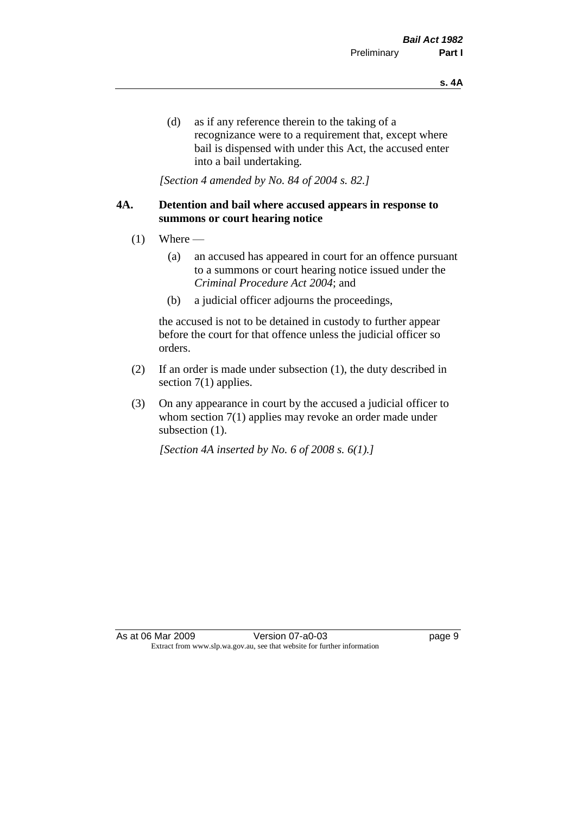(d) as if any reference therein to the taking of a recognizance were to a requirement that, except where bail is dispensed with under this Act, the accused enter into a bail undertaking.

*[Section 4 amended by No. 84 of 2004 s. 82.]*

#### **4A. Detention and bail where accused appears in response to summons or court hearing notice**

- $(1)$  Where
	- (a) an accused has appeared in court for an offence pursuant to a summons or court hearing notice issued under the *Criminal Procedure Act 2004*; and
	- (b) a judicial officer adjourns the proceedings,

the accused is not to be detained in custody to further appear before the court for that offence unless the judicial officer so orders.

- (2) If an order is made under subsection (1), the duty described in section 7(1) applies.
- (3) On any appearance in court by the accused a judicial officer to whom section 7(1) applies may revoke an order made under subsection  $(1)$ .

*[Section 4A inserted by No. 6 of 2008 s. 6(1).]*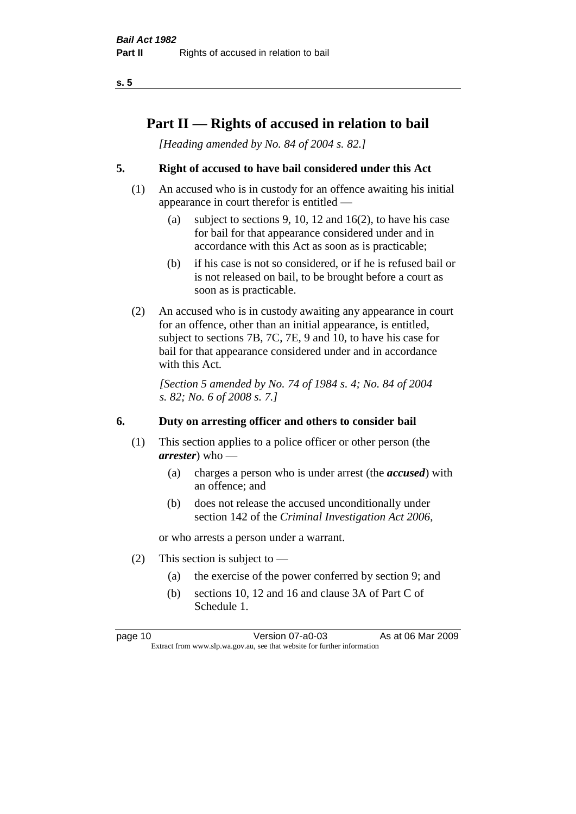### **Part II — Rights of accused in relation to bail**

*[Heading amended by No. 84 of 2004 s. 82.]* 

#### **5. Right of accused to have bail considered under this Act**

- (1) An accused who is in custody for an offence awaiting his initial appearance in court therefor is entitled —
	- (a) subject to sections 9, 10, 12 and 16(2), to have his case for bail for that appearance considered under and in accordance with this Act as soon as is practicable;
	- (b) if his case is not so considered, or if he is refused bail or is not released on bail, to be brought before a court as soon as is practicable.
- (2) An accused who is in custody awaiting any appearance in court for an offence, other than an initial appearance, is entitled, subject to sections 7B, 7C, 7E, 9 and 10, to have his case for bail for that appearance considered under and in accordance with this Act.

*[Section 5 amended by No. 74 of 1984 s. 4; No. 84 of 2004 s. 82; No. 6 of 2008 s. 7.]* 

#### **6. Duty on arresting officer and others to consider bail**

- (1) This section applies to a police officer or other person (the *arrester*) who —
	- (a) charges a person who is under arrest (the *accused*) with an offence; and
	- (b) does not release the accused unconditionally under section 142 of the *Criminal Investigation Act 2006*,

or who arrests a person under a warrant.

- (2) This section is subject to  $-$ 
	- (a) the exercise of the power conferred by section 9; and
	- (b) sections 10, 12 and 16 and clause 3A of Part C of Schedule 1.

page 10 Version 07-a0-03 As at 06 Mar 2009 Extract from www.slp.wa.gov.au, see that website for further information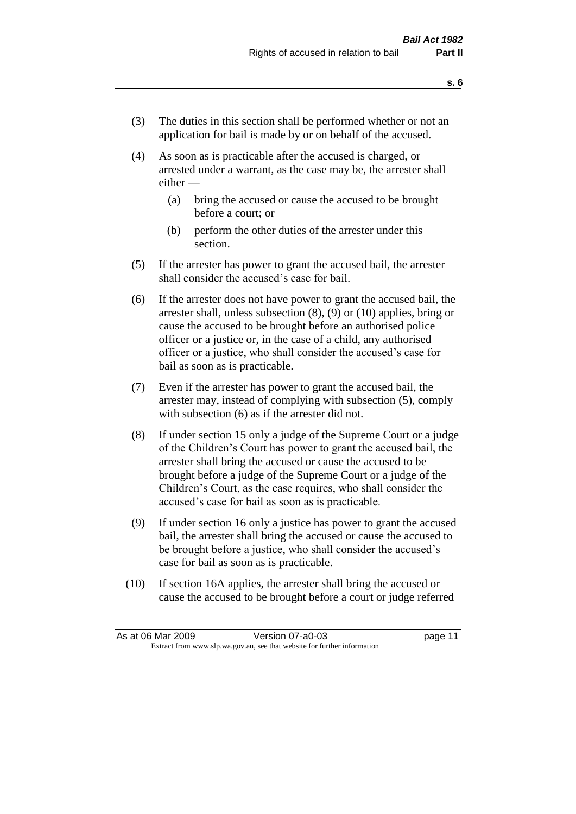- (3) The duties in this section shall be performed whether or not an application for bail is made by or on behalf of the accused.
- (4) As soon as is practicable after the accused is charged, or arrested under a warrant, as the case may be, the arrester shall either —
	- (a) bring the accused or cause the accused to be brought before a court; or
	- (b) perform the other duties of the arrester under this section.
- (5) If the arrester has power to grant the accused bail, the arrester shall consider the accused's case for bail.
- (6) If the arrester does not have power to grant the accused bail, the arrester shall, unless subsection (8), (9) or (10) applies, bring or cause the accused to be brought before an authorised police officer or a justice or, in the case of a child, any authorised officer or a justice, who shall consider the accused's case for bail as soon as is practicable.
- (7) Even if the arrester has power to grant the accused bail, the arrester may, instead of complying with subsection (5), comply with subsection (6) as if the arrester did not.
- (8) If under section 15 only a judge of the Supreme Court or a judge of the Children's Court has power to grant the accused bail, the arrester shall bring the accused or cause the accused to be brought before a judge of the Supreme Court or a judge of the Children's Court, as the case requires, who shall consider the accused's case for bail as soon as is practicable.
- (9) If under section 16 only a justice has power to grant the accused bail, the arrester shall bring the accused or cause the accused to be brought before a justice, who shall consider the accused's case for bail as soon as is practicable.
- (10) If section 16A applies, the arrester shall bring the accused or cause the accused to be brought before a court or judge referred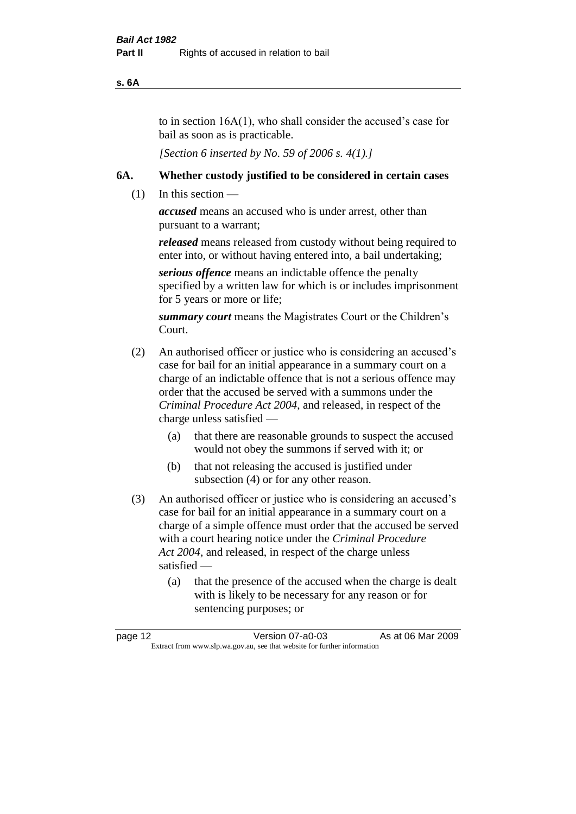#### **s. 6A**

to in section 16A(1), who shall consider the accused's case for bail as soon as is practicable.

*[Section 6 inserted by No. 59 of 2006 s. 4(1).]* 

#### **6A. Whether custody justified to be considered in certain cases**

(1) In this section —

*accused* means an accused who is under arrest, other than pursuant to a warrant;

*released* means released from custody without being required to enter into, or without having entered into, a bail undertaking;

*serious offence* means an indictable offence the penalty specified by a written law for which is or includes imprisonment for 5 years or more or life;

*summary court* means the Magistrates Court or the Children's Court.

- (2) An authorised officer or justice who is considering an accused's case for bail for an initial appearance in a summary court on a charge of an indictable offence that is not a serious offence may order that the accused be served with a summons under the *Criminal Procedure Act 2004*, and released, in respect of the charge unless satisfied —
	- (a) that there are reasonable grounds to suspect the accused would not obey the summons if served with it; or
	- (b) that not releasing the accused is justified under subsection (4) or for any other reason.
- (3) An authorised officer or justice who is considering an accused's case for bail for an initial appearance in a summary court on a charge of a simple offence must order that the accused be served with a court hearing notice under the *Criminal Procedure Act 2004*, and released, in respect of the charge unless satisfied —
	- (a) that the presence of the accused when the charge is dealt with is likely to be necessary for any reason or for sentencing purposes; or

| page 12 | Version 07-a0-03                                                         | As at 06 Mar 2009 |
|---------|--------------------------------------------------------------------------|-------------------|
|         | Extract from www.slp.wa.gov.au, see that website for further information |                   |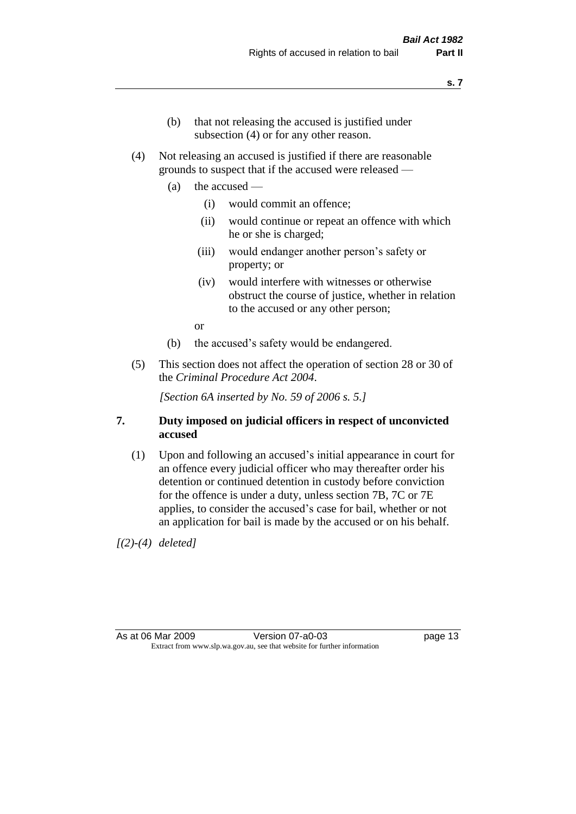- (b) that not releasing the accused is justified under subsection (4) or for any other reason.
- (4) Not releasing an accused is justified if there are reasonable grounds to suspect that if the accused were released —
	- (a) the accused
		- (i) would commit an offence;
		- (ii) would continue or repeat an offence with which he or she is charged;
		- (iii) would endanger another person's safety or property; or
		- (iv) would interfere with witnesses or otherwise obstruct the course of justice, whether in relation to the accused or any other person;

or

- (b) the accused's safety would be endangered.
- (5) This section does not affect the operation of section 28 or 30 of the *Criminal Procedure Act 2004*.

*[Section 6A inserted by No. 59 of 2006 s. 5.]* 

#### **7. Duty imposed on judicial officers in respect of unconvicted accused**

(1) Upon and following an accused's initial appearance in court for an offence every judicial officer who may thereafter order his detention or continued detention in custody before conviction for the offence is under a duty, unless section 7B, 7C or 7E applies, to consider the accused's case for bail, whether or not an application for bail is made by the accused or on his behalf.

*[(2)-(4) deleted]*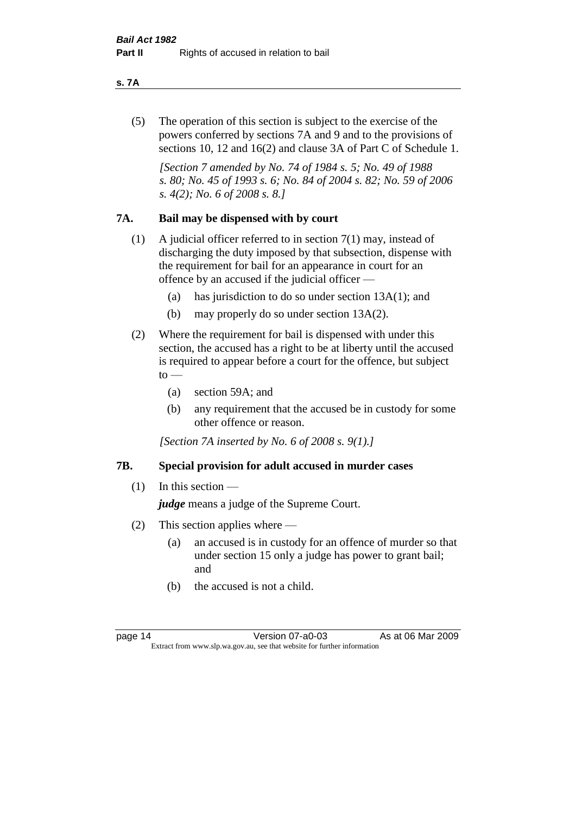#### **s. 7A**

(5) The operation of this section is subject to the exercise of the powers conferred by sections 7A and 9 and to the provisions of sections 10, 12 and 16(2) and clause 3A of Part C of Schedule 1.

*[Section 7 amended by No. 74 of 1984 s. 5; No. 49 of 1988 s. 80; No. 45 of 1993 s. 6; No. 84 of 2004 s. 82; No. 59 of 2006 s. 4(2); No. 6 of 2008 s. 8.]* 

#### **7A. Bail may be dispensed with by court**

- (1) A judicial officer referred to in section 7(1) may, instead of discharging the duty imposed by that subsection, dispense with the requirement for bail for an appearance in court for an offence by an accused if the judicial officer —
	- (a) has jurisdiction to do so under section 13A(1); and
	- (b) may properly do so under section 13A(2).
- (2) Where the requirement for bail is dispensed with under this section, the accused has a right to be at liberty until the accused is required to appear before a court for the offence, but subject  $\mathrm{to}$  —
	- (a) section 59A; and
	- (b) any requirement that the accused be in custody for some other offence or reason.

*[Section 7A inserted by No. 6 of 2008 s. 9(1).]*

#### **7B. Special provision for adult accused in murder cases**

 $(1)$  In this section —

*judge* means a judge of the Supreme Court.

- (2) This section applies where
	- (a) an accused is in custody for an offence of murder so that under section 15 only a judge has power to grant bail; and
	- (b) the accused is not a child.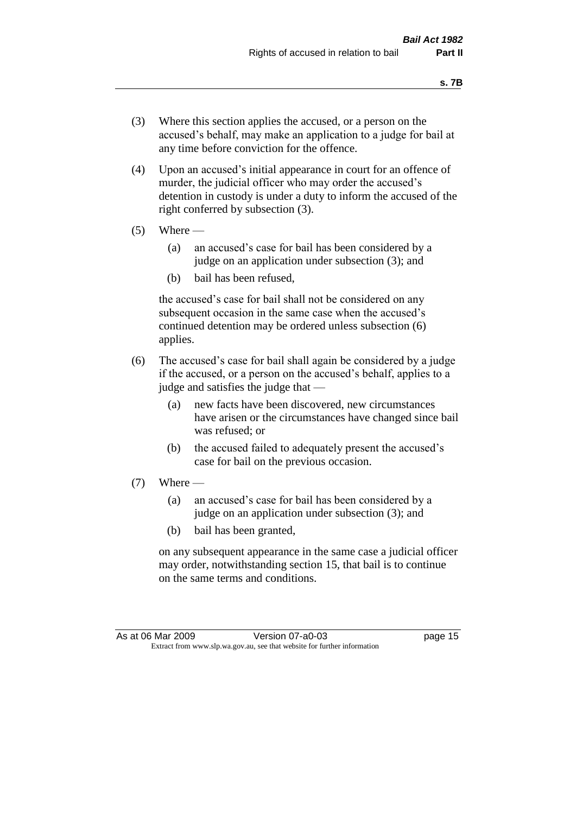- (3) Where this section applies the accused, or a person on the accused's behalf, may make an application to a judge for bail at any time before conviction for the offence.
- (4) Upon an accused's initial appearance in court for an offence of murder, the judicial officer who may order the accused's detention in custody is under a duty to inform the accused of the right conferred by subsection (3).
- $(5)$  Where
	- (a) an accused's case for bail has been considered by a judge on an application under subsection (3); and
	- (b) bail has been refused,

the accused's case for bail shall not be considered on any subsequent occasion in the same case when the accused's continued detention may be ordered unless subsection (6) applies.

- (6) The accused's case for bail shall again be considered by a judge if the accused, or a person on the accused's behalf, applies to a judge and satisfies the judge that —
	- (a) new facts have been discovered, new circumstances have arisen or the circumstances have changed since bail was refused; or
	- (b) the accused failed to adequately present the accused's case for bail on the previous occasion.
- $(7)$  Where
	- (a) an accused's case for bail has been considered by a judge on an application under subsection (3); and
	- (b) bail has been granted,

on any subsequent appearance in the same case a judicial officer may order, notwithstanding section 15, that bail is to continue on the same terms and conditions.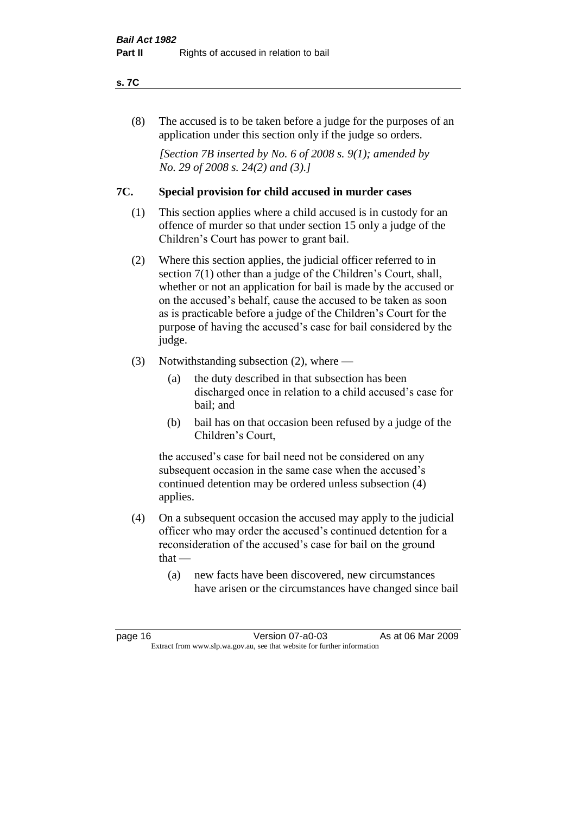#### **s. 7C**

(8) The accused is to be taken before a judge for the purposes of an application under this section only if the judge so orders.

*[Section 7B inserted by No. 6 of 2008 s. 9(1); amended by No. 29 of 2008 s. 24(2) and (3).]*

#### **7C. Special provision for child accused in murder cases**

- (1) This section applies where a child accused is in custody for an offence of murder so that under section 15 only a judge of the Children's Court has power to grant bail.
- (2) Where this section applies, the judicial officer referred to in section 7(1) other than a judge of the Children's Court, shall, whether or not an application for bail is made by the accused or on the accused's behalf, cause the accused to be taken as soon as is practicable before a judge of the Children's Court for the purpose of having the accused's case for bail considered by the judge.
- (3) Notwithstanding subsection (2), where
	- (a) the duty described in that subsection has been discharged once in relation to a child accused's case for bail; and
	- (b) bail has on that occasion been refused by a judge of the Children's Court,

the accused's case for bail need not be considered on any subsequent occasion in the same case when the accused's continued detention may be ordered unless subsection (4) applies.

- (4) On a subsequent occasion the accused may apply to the judicial officer who may order the accused's continued detention for a reconsideration of the accused's case for bail on the ground  $that -$ 
	- (a) new facts have been discovered, new circumstances have arisen or the circumstances have changed since bail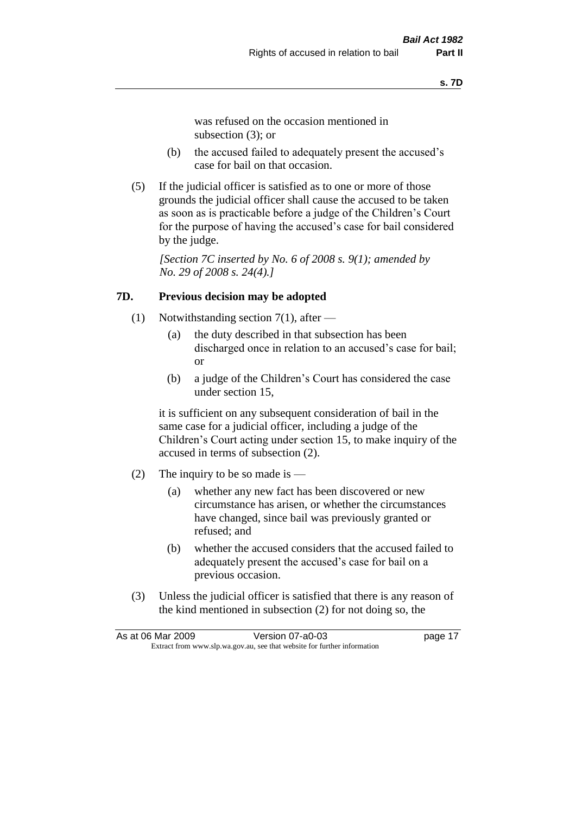was refused on the occasion mentioned in subsection (3); or

- (b) the accused failed to adequately present the accused's case for bail on that occasion.
- (5) If the judicial officer is satisfied as to one or more of those grounds the judicial officer shall cause the accused to be taken as soon as is practicable before a judge of the Children's Court for the purpose of having the accused's case for bail considered by the judge.

*[Section 7C inserted by No. 6 of 2008 s. 9(1); amended by No. 29 of 2008 s. 24(4).]*

#### **7D. Previous decision may be adopted**

- (1) Notwithstanding section 7(1), after
	- (a) the duty described in that subsection has been discharged once in relation to an accused's case for bail; or
	- (b) a judge of the Children's Court has considered the case under section 15,

it is sufficient on any subsequent consideration of bail in the same case for a judicial officer, including a judge of the Children's Court acting under section 15, to make inquiry of the accused in terms of subsection (2).

- (2) The inquiry to be so made is  $-$ 
	- (a) whether any new fact has been discovered or new circumstance has arisen, or whether the circumstances have changed, since bail was previously granted or refused; and
	- (b) whether the accused considers that the accused failed to adequately present the accused's case for bail on a previous occasion.
- (3) Unless the judicial officer is satisfied that there is any reason of the kind mentioned in subsection (2) for not doing so, the

|                                                                          | As at 06 Mar 2009 | Version 07-a0-03 | page 17 |
|--------------------------------------------------------------------------|-------------------|------------------|---------|
| Extract from www.slp.wa.gov.au, see that website for further information |                   |                  |         |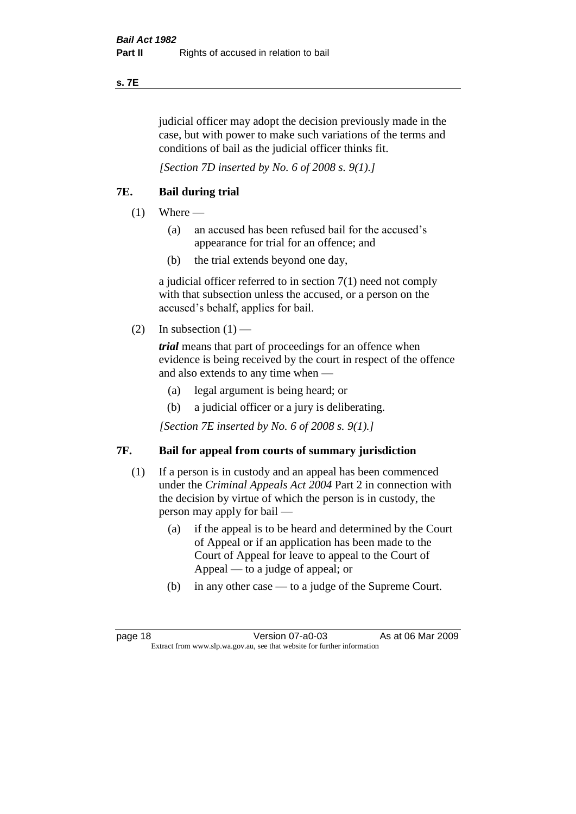#### **s. 7E**

judicial officer may adopt the decision previously made in the case, but with power to make such variations of the terms and conditions of bail as the judicial officer thinks fit.

*[Section 7D inserted by No. 6 of 2008 s. 9(1).]*

#### **7E. Bail during trial**

- $(1)$  Where
	- (a) an accused has been refused bail for the accused's appearance for trial for an offence; and
	- (b) the trial extends beyond one day,

a judicial officer referred to in section 7(1) need not comply with that subsection unless the accused, or a person on the accused's behalf, applies for bail.

(2) In subsection  $(1)$  —

*trial* means that part of proceedings for an offence when evidence is being received by the court in respect of the offence and also extends to any time when —

- (a) legal argument is being heard; or
- (b) a judicial officer or a jury is deliberating.

*[Section 7E inserted by No. 6 of 2008 s. 9(1).]*

#### **7F. Bail for appeal from courts of summary jurisdiction**

- (1) If a person is in custody and an appeal has been commenced under the *Criminal Appeals Act 2004* Part 2 in connection with the decision by virtue of which the person is in custody, the person may apply for bail —
	- (a) if the appeal is to be heard and determined by the Court of Appeal or if an application has been made to the Court of Appeal for leave to appeal to the Court of Appeal — to a judge of appeal; or
	- (b) in any other case to a judge of the Supreme Court.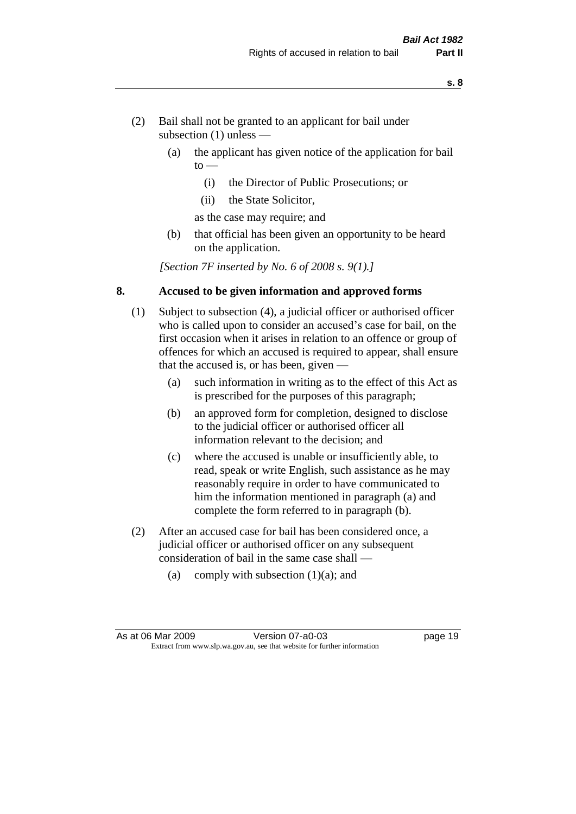- (2) Bail shall not be granted to an applicant for bail under subsection (1) unless —
	- (a) the applicant has given notice of the application for bail  $to -$ 
		- (i) the Director of Public Prosecutions; or
		- (ii) the State Solicitor,
		- as the case may require; and
	- (b) that official has been given an opportunity to be heard on the application.

*[Section 7F inserted by No. 6 of 2008 s. 9(1).]*

#### **8. Accused to be given information and approved forms**

- (1) Subject to subsection (4), a judicial officer or authorised officer who is called upon to consider an accused's case for bail, on the first occasion when it arises in relation to an offence or group of offences for which an accused is required to appear, shall ensure that the accused is, or has been, given —
	- (a) such information in writing as to the effect of this Act as is prescribed for the purposes of this paragraph;
	- (b) an approved form for completion, designed to disclose to the judicial officer or authorised officer all information relevant to the decision; and
	- (c) where the accused is unable or insufficiently able, to read, speak or write English, such assistance as he may reasonably require in order to have communicated to him the information mentioned in paragraph (a) and complete the form referred to in paragraph (b).
- (2) After an accused case for bail has been considered once, a judicial officer or authorised officer on any subsequent consideration of bail in the same case shall —
	- (a) comply with subsection  $(1)(a)$ ; and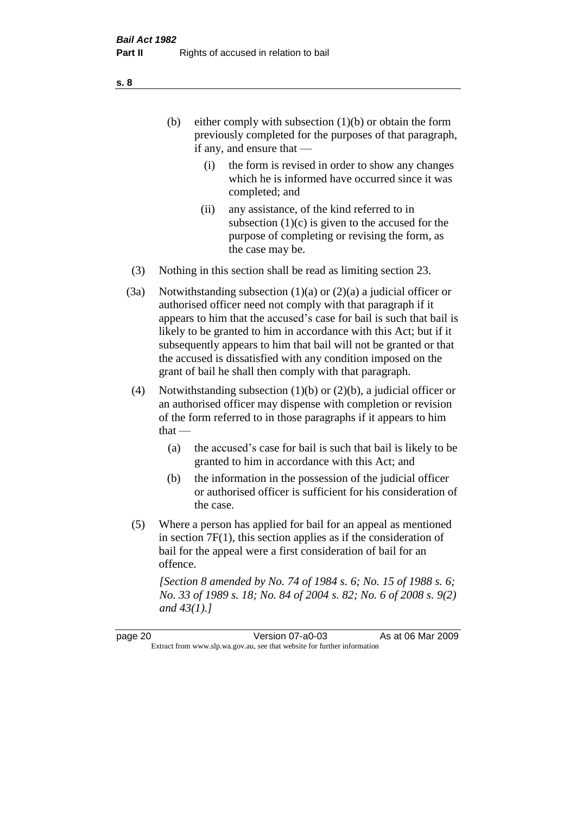- (b) either comply with subsection  $(1)(b)$  or obtain the form previously completed for the purposes of that paragraph, if any, and ensure that —
	- (i) the form is revised in order to show any changes which he is informed have occurred since it was completed; and
	- (ii) any assistance, of the kind referred to in subsection  $(1)(c)$  is given to the accused for the purpose of completing or revising the form, as the case may be.
- (3) Nothing in this section shall be read as limiting section 23.
- (3a) Notwithstanding subsection  $(1)(a)$  or  $(2)(a)$  a judicial officer or authorised officer need not comply with that paragraph if it appears to him that the accused's case for bail is such that bail is likely to be granted to him in accordance with this Act; but if it subsequently appears to him that bail will not be granted or that the accused is dissatisfied with any condition imposed on the grant of bail he shall then comply with that paragraph.
- (4) Notwithstanding subsection (1)(b) or (2)(b), a judicial officer or an authorised officer may dispense with completion or revision of the form referred to in those paragraphs if it appears to him  $that -$ 
	- (a) the accused's case for bail is such that bail is likely to be granted to him in accordance with this Act; and
	- (b) the information in the possession of the judicial officer or authorised officer is sufficient for his consideration of the case.
- (5) Where a person has applied for bail for an appeal as mentioned in section 7F(1), this section applies as if the consideration of bail for the appeal were a first consideration of bail for an offence.

*[Section 8 amended by No. 74 of 1984 s. 6; No. 15 of 1988 s. 6; No. 33 of 1989 s. 18; No. 84 of 2004 s. 82; No. 6 of 2008 s. 9(2) and 43(1).]* 

page 20 Version 07-a0-03 As at 06 Mar 2009 Extract from www.slp.wa.gov.au, see that website for further information

**s. 8**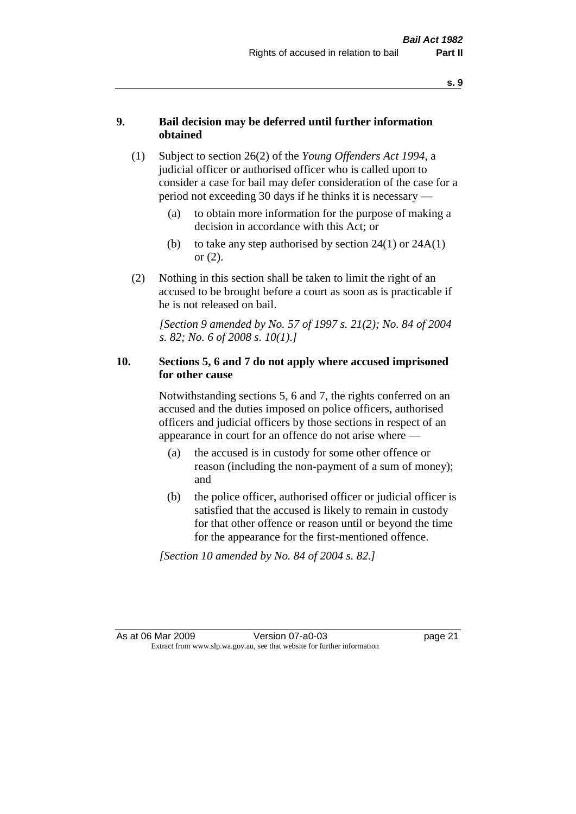#### **9. Bail decision may be deferred until further information obtained**

- (1) Subject to section 26(2) of the *Young Offenders Act 1994*, a judicial officer or authorised officer who is called upon to consider a case for bail may defer consideration of the case for a period not exceeding 30 days if he thinks it is necessary —
	- (a) to obtain more information for the purpose of making a decision in accordance with this Act; or
	- (b) to take any step authorised by section  $24(1)$  or  $24A(1)$ or (2).
- (2) Nothing in this section shall be taken to limit the right of an accused to be brought before a court as soon as is practicable if he is not released on bail.

*[Section 9 amended by No. 57 of 1997 s. 21(2); No. 84 of 2004 s. 82; No. 6 of 2008 s. 10(1).]*

#### **10. Sections 5, 6 and 7 do not apply where accused imprisoned for other cause**

Notwithstanding sections 5, 6 and 7, the rights conferred on an accused and the duties imposed on police officers, authorised officers and judicial officers by those sections in respect of an appearance in court for an offence do not arise where —

- (a) the accused is in custody for some other offence or reason (including the non-payment of a sum of money); and
- (b) the police officer, authorised officer or judicial officer is satisfied that the accused is likely to remain in custody for that other offence or reason until or beyond the time for the appearance for the first-mentioned offence.

*[Section 10 amended by No. 84 of 2004 s. 82.]*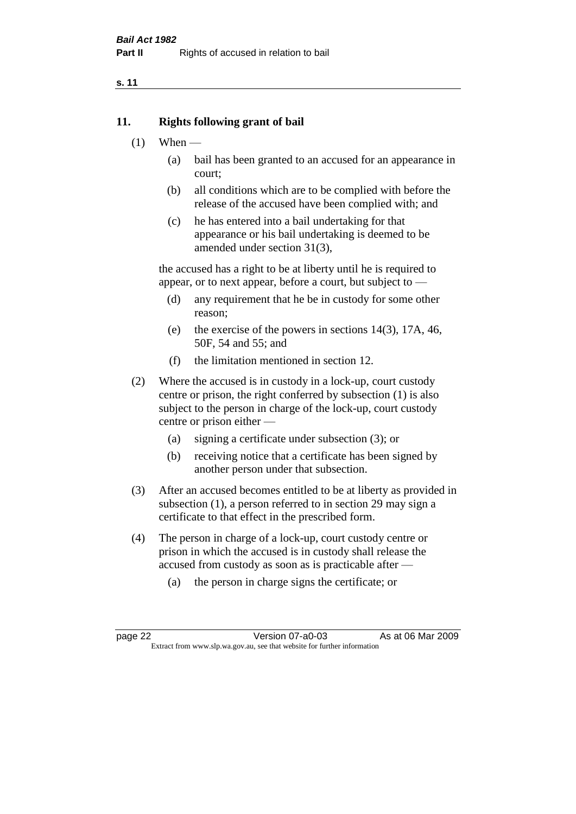#### **11. Rights following grant of bail**

- $(1)$  When
	- (a) bail has been granted to an accused for an appearance in court;
	- (b) all conditions which are to be complied with before the release of the accused have been complied with; and
	- (c) he has entered into a bail undertaking for that appearance or his bail undertaking is deemed to be amended under section 31(3),

the accused has a right to be at liberty until he is required to appear, or to next appear, before a court, but subject to —

- (d) any requirement that he be in custody for some other reason;
- (e) the exercise of the powers in sections 14(3), 17A, 46, 50F, 54 and 55; and
- (f) the limitation mentioned in section 12.
- (2) Where the accused is in custody in a lock-up, court custody centre or prison, the right conferred by subsection (1) is also subject to the person in charge of the lock-up, court custody centre or prison either —
	- (a) signing a certificate under subsection (3); or
	- (b) receiving notice that a certificate has been signed by another person under that subsection.
- (3) After an accused becomes entitled to be at liberty as provided in subsection (1), a person referred to in section 29 may sign a certificate to that effect in the prescribed form.
- (4) The person in charge of a lock-up, court custody centre or prison in which the accused is in custody shall release the accused from custody as soon as is practicable after —
	- (a) the person in charge signs the certificate; or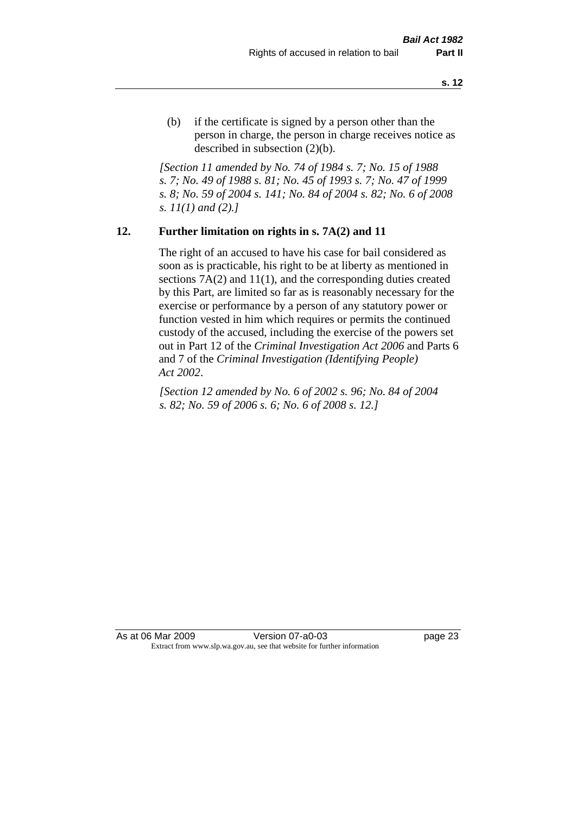(b) if the certificate is signed by a person other than the person in charge, the person in charge receives notice as described in subsection (2)(b).

*[Section 11 amended by No. 74 of 1984 s. 7; No. 15 of 1988 s. 7; No. 49 of 1988 s. 81; No. 45 of 1993 s. 7; No. 47 of 1999 s. 8; No. 59 of 2004 s. 141; No. 84 of 2004 s. 82; No. 6 of 2008 s. 11(1) and (2).]* 

#### **12. Further limitation on rights in s. 7A(2) and 11**

The right of an accused to have his case for bail considered as soon as is practicable, his right to be at liberty as mentioned in sections 7A(2) and 11(1), and the corresponding duties created by this Part, are limited so far as is reasonably necessary for the exercise or performance by a person of any statutory power or function vested in him which requires or permits the continued custody of the accused, including the exercise of the powers set out in Part 12 of the *Criminal Investigation Act 2006* and Parts 6 and 7 of the *Criminal Investigation (Identifying People) Act 2002*.

*[Section 12 amended by No. 6 of 2002 s. 96; No. 84 of 2004 s. 82; No. 59 of 2006 s. 6; No. 6 of 2008 s. 12.]*

As at 06 Mar 2009 Version 07-a0-03 page 23 Extract from www.slp.wa.gov.au, see that website for further information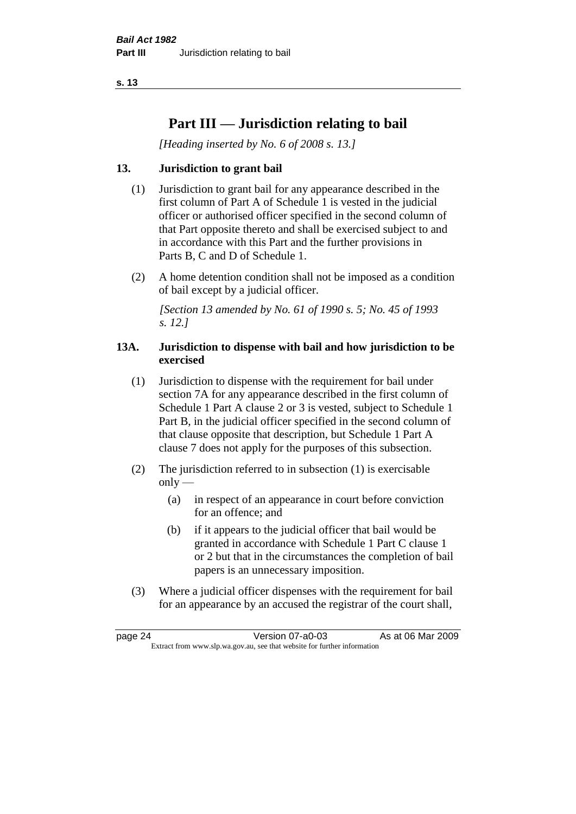# **Part III — Jurisdiction relating to bail**

*[Heading inserted by No. 6 of 2008 s. 13.]*

#### **13. Jurisdiction to grant bail**

- (1) Jurisdiction to grant bail for any appearance described in the first column of Part A of Schedule 1 is vested in the judicial officer or authorised officer specified in the second column of that Part opposite thereto and shall be exercised subject to and in accordance with this Part and the further provisions in Parts B, C and D of Schedule 1.
- (2) A home detention condition shall not be imposed as a condition of bail except by a judicial officer.

*[Section 13 amended by No. 61 of 1990 s. 5; No. 45 of 1993 s. 12.]* 

#### **13A. Jurisdiction to dispense with bail and how jurisdiction to be exercised**

- (1) Jurisdiction to dispense with the requirement for bail under section 7A for any appearance described in the first column of Schedule 1 Part A clause 2 or 3 is vested, subject to Schedule 1 Part B, in the judicial officer specified in the second column of that clause opposite that description, but Schedule 1 Part A clause 7 does not apply for the purposes of this subsection.
- (2) The jurisdiction referred to in subsection (1) is exercisable  $only$ —
	- (a) in respect of an appearance in court before conviction for an offence; and
	- (b) if it appears to the judicial officer that bail would be granted in accordance with Schedule 1 Part C clause 1 or 2 but that in the circumstances the completion of bail papers is an unnecessary imposition.
- (3) Where a judicial officer dispenses with the requirement for bail for an appearance by an accused the registrar of the court shall,

page 24 Version 07-a0-03 As at 06 Mar 2009 Extract from www.slp.wa.gov.au, see that website for further information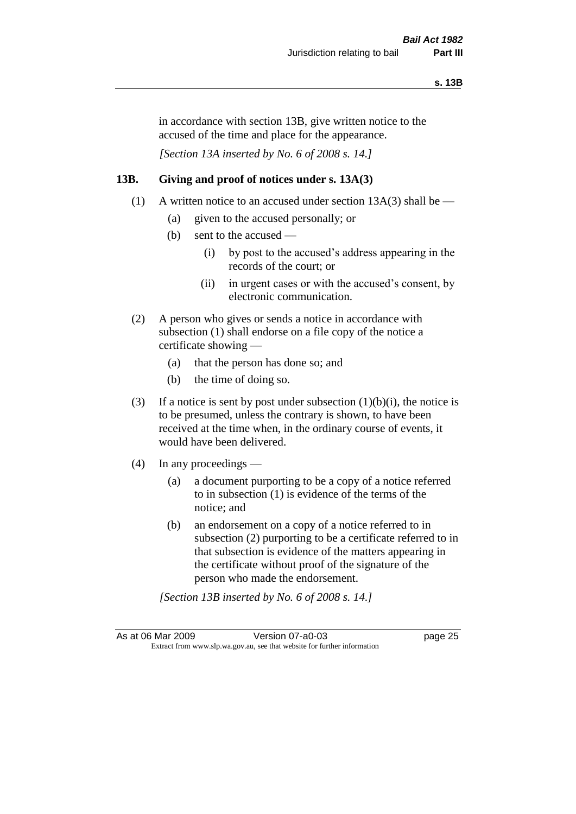in accordance with section 13B, give written notice to the accused of the time and place for the appearance.

*[Section 13A inserted by No. 6 of 2008 s. 14.]*

#### **13B. Giving and proof of notices under s. 13A(3)**

- (1) A written notice to an accused under section 13A(3) shall be
	- (a) given to the accused personally; or
	- (b) sent to the accused
		- (i) by post to the accused's address appearing in the records of the court; or
		- (ii) in urgent cases or with the accused's consent, by electronic communication.
- (2) A person who gives or sends a notice in accordance with subsection (1) shall endorse on a file copy of the notice a certificate showing —
	- (a) that the person has done so; and
	- (b) the time of doing so.
- (3) If a notice is sent by post under subsection  $(1)(b)(i)$ , the notice is to be presumed, unless the contrary is shown, to have been received at the time when, in the ordinary course of events, it would have been delivered.
- (4) In any proceedings
	- (a) a document purporting to be a copy of a notice referred to in subsection (1) is evidence of the terms of the notice; and
	- (b) an endorsement on a copy of a notice referred to in subsection (2) purporting to be a certificate referred to in that subsection is evidence of the matters appearing in the certificate without proof of the signature of the person who made the endorsement.

*[Section 13B inserted by No. 6 of 2008 s. 14.]*

As at 06 Mar 2009 Version 07-a0-03 page 25 Extract from www.slp.wa.gov.au, see that website for further information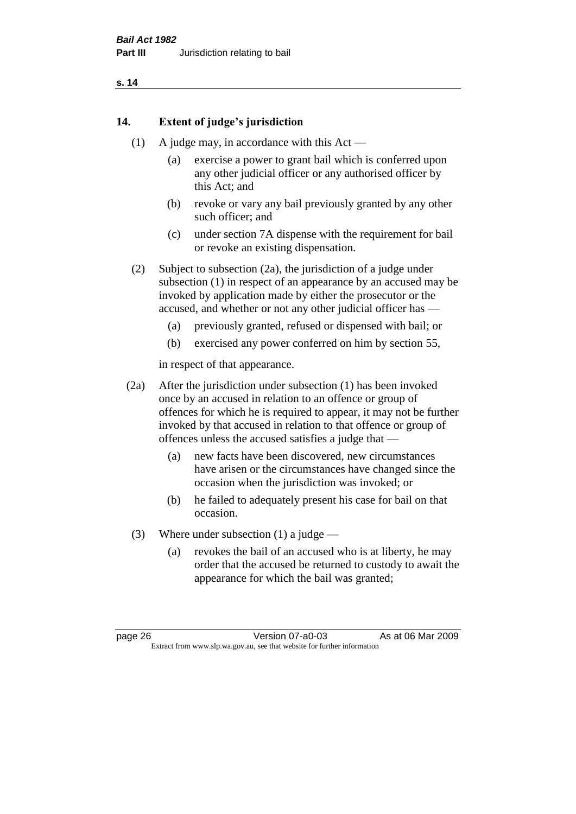#### **14. Extent of judge's jurisdiction**

- (1) A judge may, in accordance with this  $Act -$ 
	- (a) exercise a power to grant bail which is conferred upon any other judicial officer or any authorised officer by this Act; and
	- (b) revoke or vary any bail previously granted by any other such officer; and
	- (c) under section 7A dispense with the requirement for bail or revoke an existing dispensation.

(2) Subject to subsection (2a), the jurisdiction of a judge under subsection (1) in respect of an appearance by an accused may be invoked by application made by either the prosecutor or the accused, and whether or not any other judicial officer has —

- (a) previously granted, refused or dispensed with bail; or
- (b) exercised any power conferred on him by section 55,

in respect of that appearance.

(2a) After the jurisdiction under subsection (1) has been invoked once by an accused in relation to an offence or group of offences for which he is required to appear, it may not be further invoked by that accused in relation to that offence or group of offences unless the accused satisfies a judge that —

- (a) new facts have been discovered, new circumstances have arisen or the circumstances have changed since the occasion when the jurisdiction was invoked; or
- (b) he failed to adequately present his case for bail on that occasion.
- (3) Where under subsection (1) a judge
	- (a) revokes the bail of an accused who is at liberty, he may order that the accused be returned to custody to await the appearance for which the bail was granted;

page 26 Version 07-a0-03 As at 06 Mar 2009 Extract from www.slp.wa.gov.au, see that website for further information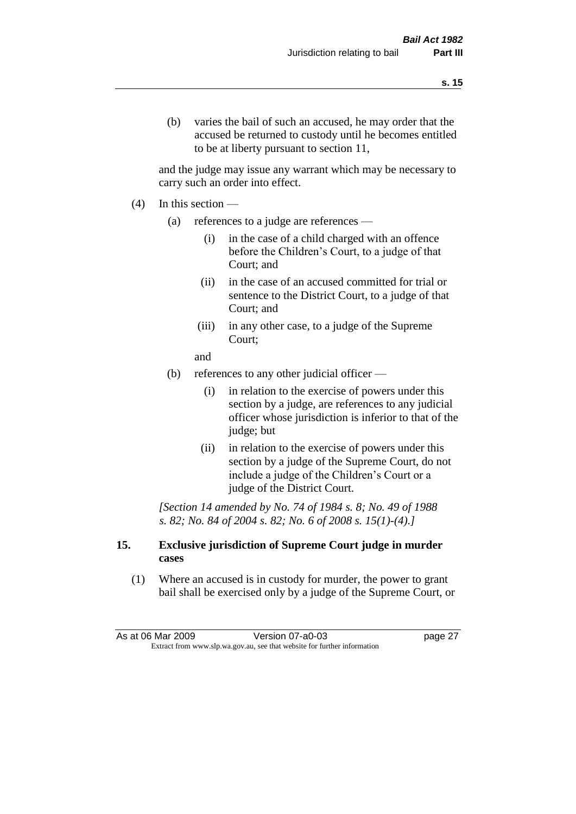(b) varies the bail of such an accused, he may order that the accused be returned to custody until he becomes entitled to be at liberty pursuant to section 11,

and the judge may issue any warrant which may be necessary to carry such an order into effect.

- $(4)$  In this section
	- (a) references to a judge are references
		- (i) in the case of a child charged with an offence before the Children's Court, to a judge of that Court; and
		- (ii) in the case of an accused committed for trial or sentence to the District Court, to a judge of that Court; and
		- (iii) in any other case, to a judge of the Supreme Court;
		- and
	- (b) references to any other judicial officer
		- (i) in relation to the exercise of powers under this section by a judge, are references to any judicial officer whose jurisdiction is inferior to that of the judge; but
		- (ii) in relation to the exercise of powers under this section by a judge of the Supreme Court, do not include a judge of the Children's Court or a judge of the District Court.

*[Section 14 amended by No. 74 of 1984 s. 8; No. 49 of 1988 s. 82; No. 84 of 2004 s. 82; No. 6 of 2008 s. 15(1)-(4).]* 

#### **15. Exclusive jurisdiction of Supreme Court judge in murder cases**

(1) Where an accused is in custody for murder, the power to grant bail shall be exercised only by a judge of the Supreme Court, or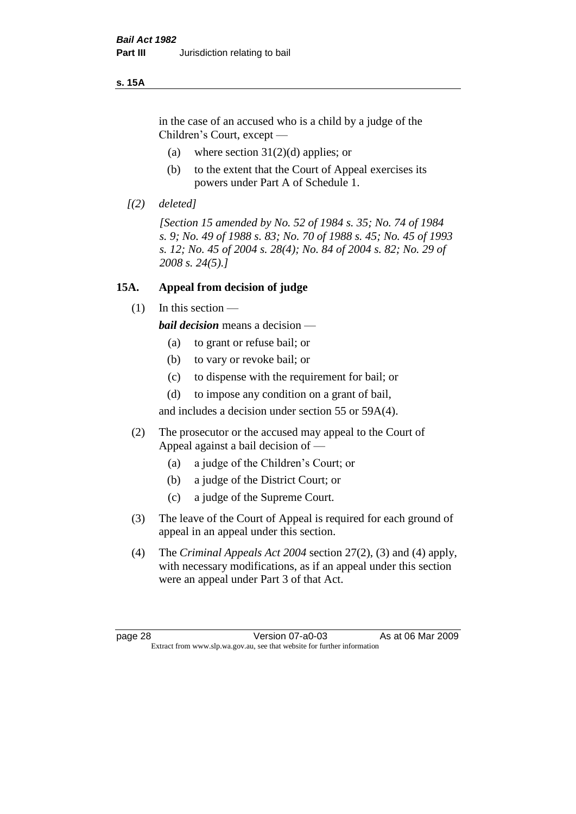#### **s. 15A**

in the case of an accused who is a child by a judge of the Children's Court, except —

- (a) where section  $31(2)(d)$  applies; or
- (b) to the extent that the Court of Appeal exercises its powers under Part A of Schedule 1.
- *[(2) deleted]*

*[Section 15 amended by No. 52 of 1984 s. 35; No. 74 of 1984 s. 9; No. 49 of 1988 s. 83; No. 70 of 1988 s. 45; No. 45 of 1993 s. 12; No. 45 of 2004 s. 28(4); No. 84 of 2004 s. 82; No. 29 of 2008 s. 24(5).]* 

#### **15A. Appeal from decision of judge**

 $(1)$  In this section —

*bail decision* means a decision —

- (a) to grant or refuse bail; or
- (b) to vary or revoke bail; or
- (c) to dispense with the requirement for bail; or
- (d) to impose any condition on a grant of bail,

and includes a decision under section 55 or 59A(4).

- (2) The prosecutor or the accused may appeal to the Court of Appeal against a bail decision of —
	- (a) a judge of the Children's Court; or
	- (b) a judge of the District Court; or
	- (c) a judge of the Supreme Court.
- (3) The leave of the Court of Appeal is required for each ground of appeal in an appeal under this section.
- (4) The *Criminal Appeals Act 2004* section 27(2), (3) and (4) apply, with necessary modifications, as if an appeal under this section were an appeal under Part 3 of that Act.

page 28 Version 07-a0-03 As at 06 Mar 2009 Extract from www.slp.wa.gov.au, see that website for further information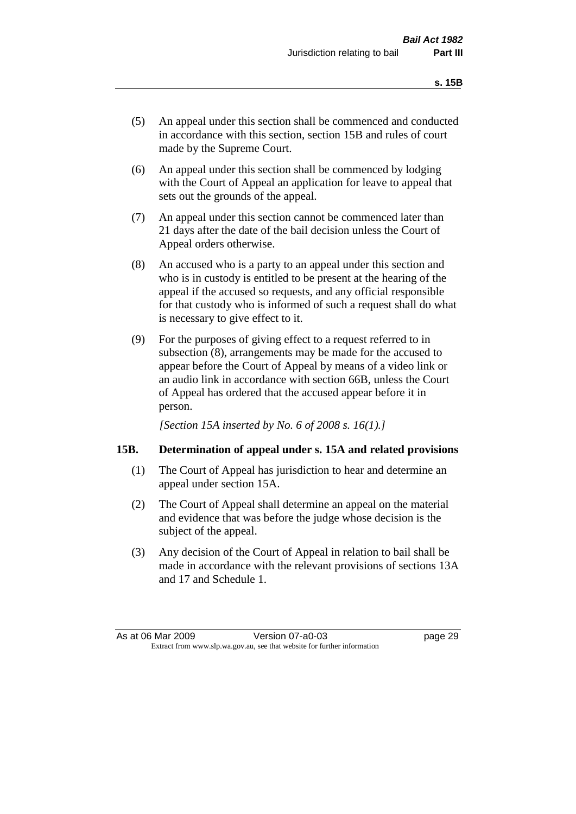- (5) An appeal under this section shall be commenced and conducted in accordance with this section, section 15B and rules of court made by the Supreme Court.
- (6) An appeal under this section shall be commenced by lodging with the Court of Appeal an application for leave to appeal that sets out the grounds of the appeal.
- (7) An appeal under this section cannot be commenced later than 21 days after the date of the bail decision unless the Court of Appeal orders otherwise.
- (8) An accused who is a party to an appeal under this section and who is in custody is entitled to be present at the hearing of the appeal if the accused so requests, and any official responsible for that custody who is informed of such a request shall do what is necessary to give effect to it.
- (9) For the purposes of giving effect to a request referred to in subsection (8), arrangements may be made for the accused to appear before the Court of Appeal by means of a video link or an audio link in accordance with section 66B, unless the Court of Appeal has ordered that the accused appear before it in person.

*[Section 15A inserted by No. 6 of 2008 s. 16(1).]*

### **15B. Determination of appeal under s. 15A and related provisions**

- (1) The Court of Appeal has jurisdiction to hear and determine an appeal under section 15A.
- (2) The Court of Appeal shall determine an appeal on the material and evidence that was before the judge whose decision is the subject of the appeal.
- (3) Any decision of the Court of Appeal in relation to bail shall be made in accordance with the relevant provisions of sections 13A and 17 and Schedule 1.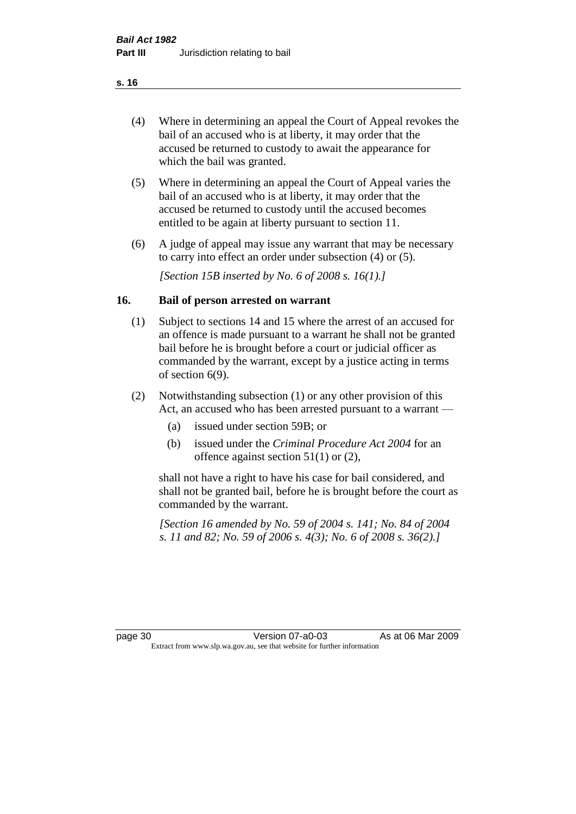- (4) Where in determining an appeal the Court of Appeal revokes the bail of an accused who is at liberty, it may order that the accused be returned to custody to await the appearance for which the bail was granted.
- (5) Where in determining an appeal the Court of Appeal varies the bail of an accused who is at liberty, it may order that the accused be returned to custody until the accused becomes entitled to be again at liberty pursuant to section 11.
- (6) A judge of appeal may issue any warrant that may be necessary to carry into effect an order under subsection (4) or (5).

*[Section 15B inserted by No. 6 of 2008 s. 16(1).]*

#### **16. Bail of person arrested on warrant**

- (1) Subject to sections 14 and 15 where the arrest of an accused for an offence is made pursuant to a warrant he shall not be granted bail before he is brought before a court or judicial officer as commanded by the warrant, except by a justice acting in terms of section 6(9).
- (2) Notwithstanding subsection (1) or any other provision of this Act, an accused who has been arrested pursuant to a warrant —
	- (a) issued under section 59B; or
	- (b) issued under the *Criminal Procedure Act 2004* for an offence against section 51(1) or (2),

shall not have a right to have his case for bail considered, and shall not be granted bail, before he is brought before the court as commanded by the warrant.

*[Section 16 amended by No. 59 of 2004 s. 141; No. 84 of 2004 s. 11 and 82; No. 59 of 2006 s. 4(3); No. 6 of 2008 s. 36(2).]*

page 30 Version 07-a0-03 As at 06 Mar 2009 Extract from www.slp.wa.gov.au, see that website for further information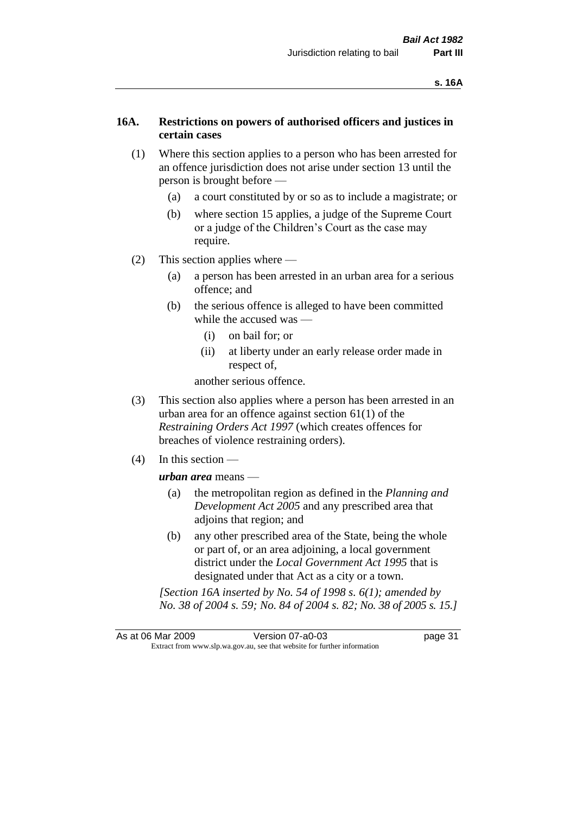## **16A. Restrictions on powers of authorised officers and justices in certain cases**

- (1) Where this section applies to a person who has been arrested for an offence jurisdiction does not arise under section 13 until the person is brought before —
	- (a) a court constituted by or so as to include a magistrate; or
	- (b) where section 15 applies, a judge of the Supreme Court or a judge of the Children's Court as the case may require.
- (2) This section applies where
	- (a) a person has been arrested in an urban area for a serious offence; and
	- (b) the serious offence is alleged to have been committed while the accused was —
		- (i) on bail for; or
		- (ii) at liberty under an early release order made in respect of,

another serious offence.

- (3) This section also applies where a person has been arrested in an urban area for an offence against section 61(1) of the *Restraining Orders Act 1997* (which creates offences for breaches of violence restraining orders).
- (4) In this section —

*urban area* means —

- (a) the metropolitan region as defined in the *Planning and Development Act 2005* and any prescribed area that adjoins that region; and
- (b) any other prescribed area of the State, being the whole or part of, or an area adjoining, a local government district under the *Local Government Act 1995* that is designated under that Act as a city or a town.

*[Section 16A inserted by No. 54 of 1998 s. 6(1); amended by No. 38 of 2004 s. 59; No. 84 of 2004 s. 82; No. 38 of 2005 s. 15.]*

As at 06 Mar 2009 Version 07-a0-03 page 31 Extract from www.slp.wa.gov.au, see that website for further information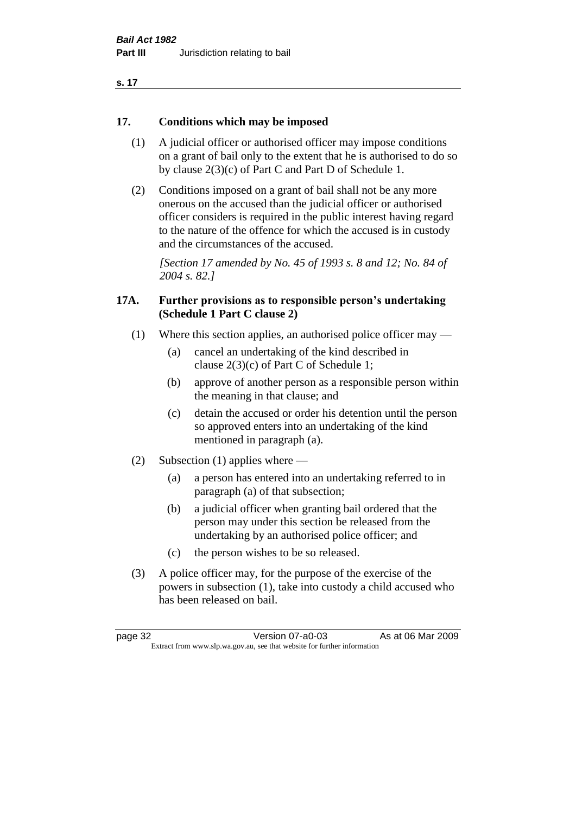### **17. Conditions which may be imposed**

- (1) A judicial officer or authorised officer may impose conditions on a grant of bail only to the extent that he is authorised to do so by clause 2(3)(c) of Part C and Part D of Schedule 1.
- (2) Conditions imposed on a grant of bail shall not be any more onerous on the accused than the judicial officer or authorised officer considers is required in the public interest having regard to the nature of the offence for which the accused is in custody and the circumstances of the accused.

*[Section 17 amended by No. 45 of 1993 s. 8 and 12; No. 84 of 2004 s. 82.]* 

## **17A. Further provisions as to responsible person's undertaking (Schedule 1 Part C clause 2)**

- (1) Where this section applies, an authorised police officer may
	- (a) cancel an undertaking of the kind described in clause 2(3)(c) of Part C of Schedule 1;
	- (b) approve of another person as a responsible person within the meaning in that clause; and
	- (c) detain the accused or order his detention until the person so approved enters into an undertaking of the kind mentioned in paragraph (a).
- (2) Subsection (1) applies where
	- (a) a person has entered into an undertaking referred to in paragraph (a) of that subsection;
	- (b) a judicial officer when granting bail ordered that the person may under this section be released from the undertaking by an authorised police officer; and
	- (c) the person wishes to be so released.
- (3) A police officer may, for the purpose of the exercise of the powers in subsection (1), take into custody a child accused who has been released on bail.

page 32 Version 07-a0-03 As at 06 Mar 2009 Extract from www.slp.wa.gov.au, see that website for further information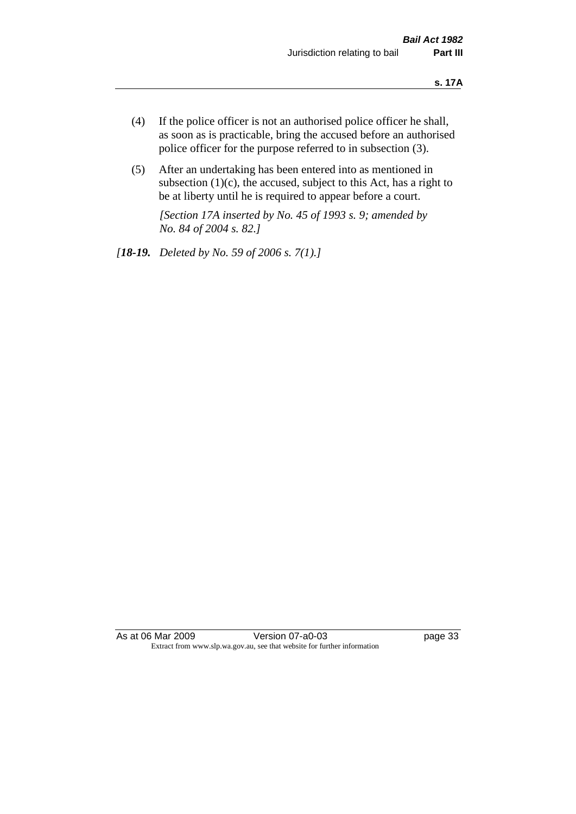- (4) If the police officer is not an authorised police officer he shall, as soon as is practicable, bring the accused before an authorised police officer for the purpose referred to in subsection (3).
- (5) After an undertaking has been entered into as mentioned in subsection  $(1)(c)$ , the accused, subject to this Act, has a right to be at liberty until he is required to appear before a court.

*[Section 17A inserted by No. 45 of 1993 s. 9; amended by No. 84 of 2004 s. 82.]* 

*[18-19. Deleted by No. 59 of 2006 s. 7(1).]*

As at 06 Mar 2009 Version 07-a0-03 page 33 Extract from www.slp.wa.gov.au, see that website for further information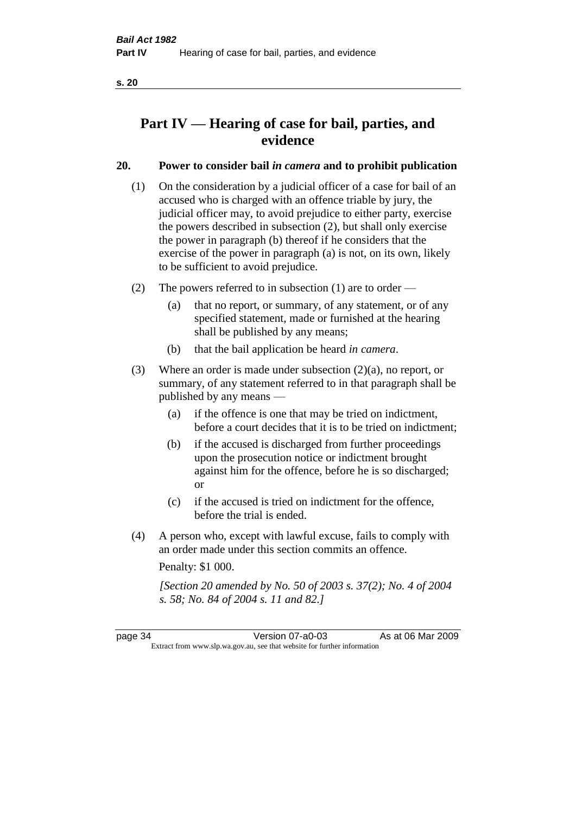# **Part IV — Hearing of case for bail, parties, and evidence**

# **20. Power to consider bail** *in camera* **and to prohibit publication**

- (1) On the consideration by a judicial officer of a case for bail of an accused who is charged with an offence triable by jury, the judicial officer may, to avoid prejudice to either party, exercise the powers described in subsection (2), but shall only exercise the power in paragraph (b) thereof if he considers that the exercise of the power in paragraph (a) is not, on its own, likely to be sufficient to avoid prejudice.
- (2) The powers referred to in subsection (1) are to order
	- (a) that no report, or summary, of any statement, or of any specified statement, made or furnished at the hearing shall be published by any means;
	- (b) that the bail application be heard *in camera*.
- (3) Where an order is made under subsection (2)(a), no report, or summary, of any statement referred to in that paragraph shall be published by any means —
	- (a) if the offence is one that may be tried on indictment, before a court decides that it is to be tried on indictment;
	- (b) if the accused is discharged from further proceedings upon the prosecution notice or indictment brought against him for the offence, before he is so discharged; or
	- (c) if the accused is tried on indictment for the offence, before the trial is ended.
- (4) A person who, except with lawful excuse, fails to comply with an order made under this section commits an offence.

Penalty: \$1 000.

*[Section 20 amended by No. 50 of 2003 s. 37(2); No. 4 of 2004 s. 58; No. 84 of 2004 s. 11 and 82.]*

page 34 Version 07-a0-03 As at 06 Mar 2009 Extract from www.slp.wa.gov.au, see that website for further information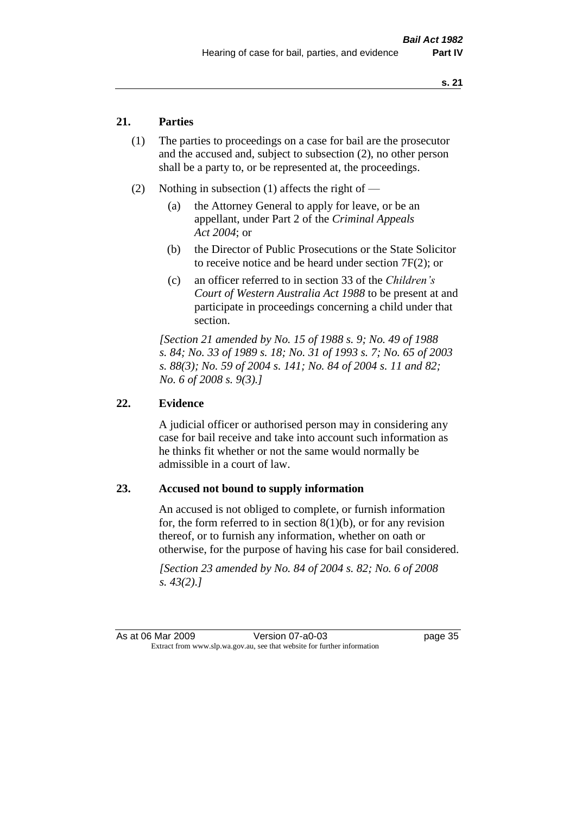# **21. Parties**

- (1) The parties to proceedings on a case for bail are the prosecutor and the accused and, subject to subsection (2), no other person shall be a party to, or be represented at, the proceedings.
- (2) Nothing in subsection (1) affects the right of
	- (a) the Attorney General to apply for leave, or be an appellant, under Part 2 of the *Criminal Appeals Act 2004*; or
	- (b) the Director of Public Prosecutions or the State Solicitor to receive notice and be heard under section 7F(2); or
	- (c) an officer referred to in section 33 of the *Children's Court of Western Australia Act 1988* to be present at and participate in proceedings concerning a child under that section.

*[Section 21 amended by No. 15 of 1988 s. 9; No. 49 of 1988 s. 84; No. 33 of 1989 s. 18; No. 31 of 1993 s. 7; No. 65 of 2003 s. 88(3); No. 59 of 2004 s. 141; No. 84 of 2004 s. 11 and 82; No. 6 of 2008 s. 9(3).]* 

#### **22. Evidence**

A judicial officer or authorised person may in considering any case for bail receive and take into account such information as he thinks fit whether or not the same would normally be admissible in a court of law.

#### **23. Accused not bound to supply information**

An accused is not obliged to complete, or furnish information for, the form referred to in section  $8(1)(b)$ , or for any revision thereof, or to furnish any information, whether on oath or otherwise, for the purpose of having his case for bail considered.

*[Section 23 amended by No. 84 of 2004 s. 82; No. 6 of 2008 s. 43(2).]* 

As at 06 Mar 2009 Version 07-a0-03 page 35 Extract from www.slp.wa.gov.au, see that website for further information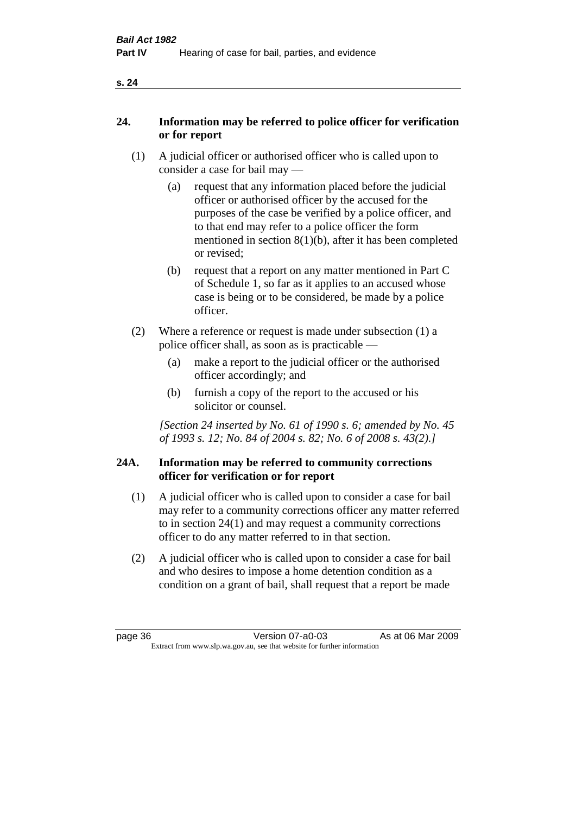|--|

# **24. Information may be referred to police officer for verification or for report**

- (1) A judicial officer or authorised officer who is called upon to consider a case for bail may —
	- (a) request that any information placed before the judicial officer or authorised officer by the accused for the purposes of the case be verified by a police officer, and to that end may refer to a police officer the form mentioned in section 8(1)(b), after it has been completed or revised;
	- (b) request that a report on any matter mentioned in Part C of Schedule 1, so far as it applies to an accused whose case is being or to be considered, be made by a police officer.
- (2) Where a reference or request is made under subsection (1) a police officer shall, as soon as is practicable —
	- (a) make a report to the judicial officer or the authorised officer accordingly; and
	- (b) furnish a copy of the report to the accused or his solicitor or counsel.

*[Section 24 inserted by No. 61 of 1990 s. 6; amended by No. 45 of 1993 s. 12; No. 84 of 2004 s. 82; No. 6 of 2008 s. 43(2).]* 

## **24A. Information may be referred to community corrections officer for verification or for report**

- (1) A judicial officer who is called upon to consider a case for bail may refer to a community corrections officer any matter referred to in section 24(1) and may request a community corrections officer to do any matter referred to in that section.
- (2) A judicial officer who is called upon to consider a case for bail and who desires to impose a home detention condition as a condition on a grant of bail, shall request that a report be made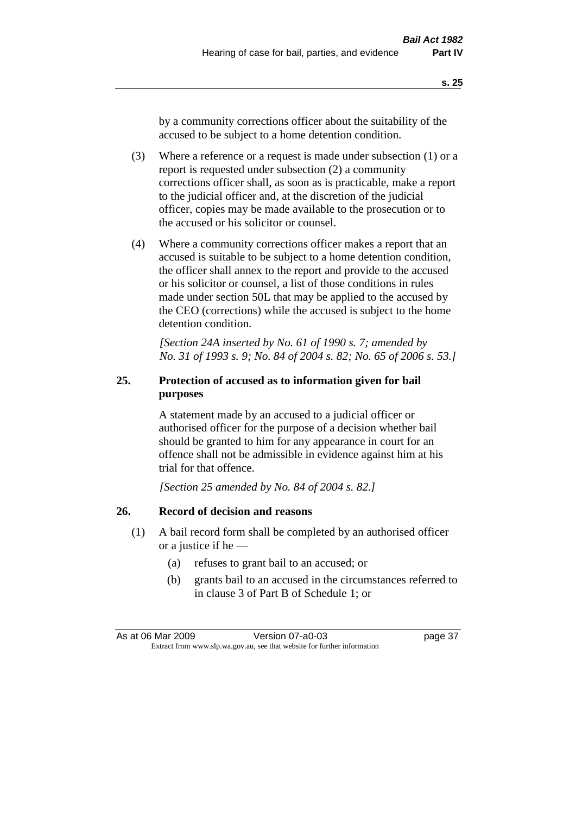by a community corrections officer about the suitability of the accused to be subject to a home detention condition.

- (3) Where a reference or a request is made under subsection (1) or a report is requested under subsection (2) a community corrections officer shall, as soon as is practicable, make a report to the judicial officer and, at the discretion of the judicial officer, copies may be made available to the prosecution or to the accused or his solicitor or counsel.
- (4) Where a community corrections officer makes a report that an accused is suitable to be subject to a home detention condition, the officer shall annex to the report and provide to the accused or his solicitor or counsel, a list of those conditions in rules made under section 50L that may be applied to the accused by the CEO (corrections) while the accused is subject to the home detention condition.

*[Section 24A inserted by No. 61 of 1990 s. 7; amended by No. 31 of 1993 s. 9; No. 84 of 2004 s. 82; No. 65 of 2006 s. 53.]* 

# **25. Protection of accused as to information given for bail purposes**

A statement made by an accused to a judicial officer or authorised officer for the purpose of a decision whether bail should be granted to him for any appearance in court for an offence shall not be admissible in evidence against him at his trial for that offence.

*[Section 25 amended by No. 84 of 2004 s. 82.]* 

# **26. Record of decision and reasons**

- (1) A bail record form shall be completed by an authorised officer or a justice if he —
	- (a) refuses to grant bail to an accused; or
	- (b) grants bail to an accused in the circumstances referred to in clause 3 of Part B of Schedule 1; or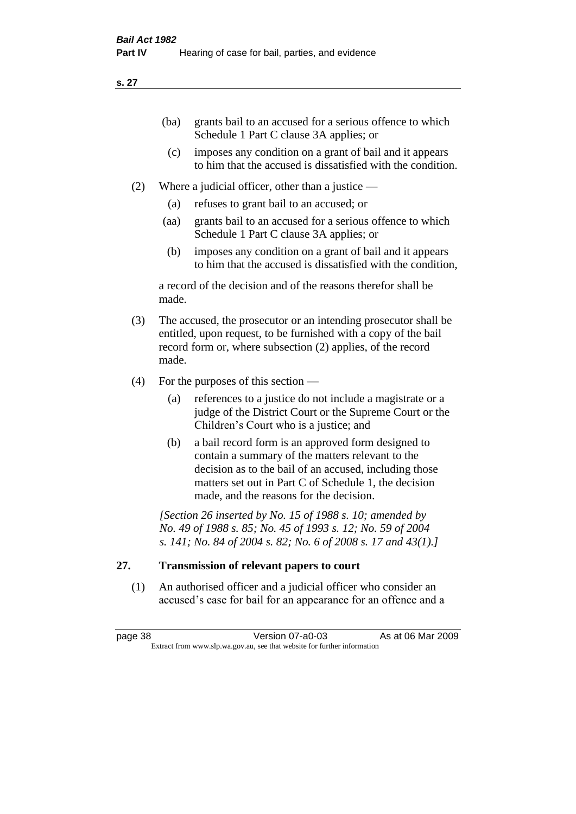| (ba) | grants bail to an accused for a serious offence to which |
|------|----------------------------------------------------------|
|      | Schedule 1 Part C clause 3A applies; or                  |

- (c) imposes any condition on a grant of bail and it appears to him that the accused is dissatisfied with the condition.
- (2) Where a judicial officer, other than a justice
	- (a) refuses to grant bail to an accused; or
	- (aa) grants bail to an accused for a serious offence to which Schedule 1 Part C clause 3A applies; or
	- (b) imposes any condition on a grant of bail and it appears to him that the accused is dissatisfied with the condition,

a record of the decision and of the reasons therefor shall be made.

- (3) The accused, the prosecutor or an intending prosecutor shall be entitled, upon request, to be furnished with a copy of the bail record form or, where subsection (2) applies, of the record made.
- (4) For the purposes of this section
	- (a) references to a justice do not include a magistrate or a judge of the District Court or the Supreme Court or the Children's Court who is a justice; and
	- (b) a bail record form is an approved form designed to contain a summary of the matters relevant to the decision as to the bail of an accused, including those matters set out in Part C of Schedule 1, the decision made, and the reasons for the decision.

*[Section 26 inserted by No. 15 of 1988 s. 10; amended by No. 49 of 1988 s. 85; No. 45 of 1993 s. 12; No. 59 of 2004 s. 141; No. 84 of 2004 s. 82; No. 6 of 2008 s. 17 and 43(1).]* 

# **27. Transmission of relevant papers to court**

(1) An authorised officer and a judicial officer who consider an accused's case for bail for an appearance for an offence and a

page 38 Version 07-a0-03 As at 06 Mar 2009 Extract from www.slp.wa.gov.au, see that website for further information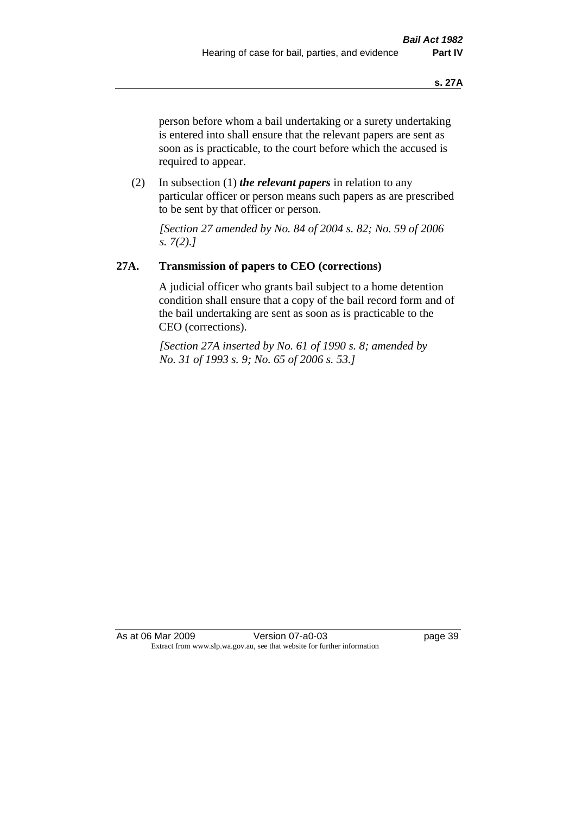person before whom a bail undertaking or a surety undertaking is entered into shall ensure that the relevant papers are sent as soon as is practicable, to the court before which the accused is required to appear.

(2) In subsection (1) *the relevant papers* in relation to any particular officer or person means such papers as are prescribed to be sent by that officer or person.

*[Section 27 amended by No. 84 of 2004 s. 82; No. 59 of 2006 s. 7(2).]* 

# **27A. Transmission of papers to CEO (corrections)**

A judicial officer who grants bail subject to a home detention condition shall ensure that a copy of the bail record form and of the bail undertaking are sent as soon as is practicable to the CEO (corrections).

*[Section 27A inserted by No. 61 of 1990 s. 8; amended by No. 31 of 1993 s. 9; No. 65 of 2006 s. 53.]* 

As at 06 Mar 2009 Version 07-a0-03 page 39 Extract from www.slp.wa.gov.au, see that website for further information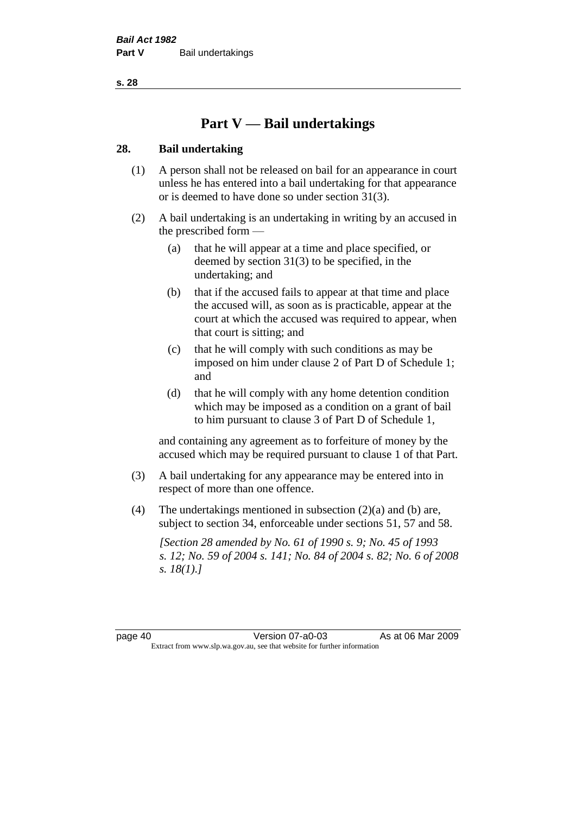# **Part V — Bail undertakings**

### **28. Bail undertaking**

- (1) A person shall not be released on bail for an appearance in court unless he has entered into a bail undertaking for that appearance or is deemed to have done so under section 31(3).
- (2) A bail undertaking is an undertaking in writing by an accused in the prescribed form —
	- (a) that he will appear at a time and place specified, or deemed by section 31(3) to be specified, in the undertaking; and
	- (b) that if the accused fails to appear at that time and place the accused will, as soon as is practicable, appear at the court at which the accused was required to appear, when that court is sitting; and
	- (c) that he will comply with such conditions as may be imposed on him under clause 2 of Part D of Schedule 1; and
	- (d) that he will comply with any home detention condition which may be imposed as a condition on a grant of bail to him pursuant to clause 3 of Part D of Schedule 1,

and containing any agreement as to forfeiture of money by the accused which may be required pursuant to clause 1 of that Part.

- (3) A bail undertaking for any appearance may be entered into in respect of more than one offence.
- (4) The undertakings mentioned in subsection (2)(a) and (b) are, subject to section 34, enforceable under sections 51, 57 and 58.

*[Section 28 amended by No. 61 of 1990 s. 9; No. 45 of 1993 s. 12; No. 59 of 2004 s. 141; No. 84 of 2004 s. 82; No. 6 of 2008 s. 18(1).]*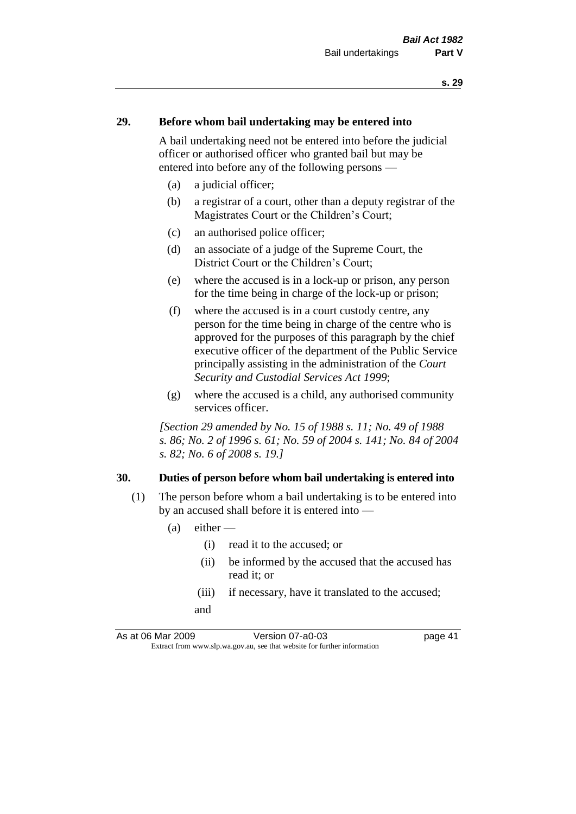#### **29. Before whom bail undertaking may be entered into**

A bail undertaking need not be entered into before the judicial officer or authorised officer who granted bail but may be entered into before any of the following persons —

- (a) a judicial officer;
- (b) a registrar of a court, other than a deputy registrar of the Magistrates Court or the Children's Court;
- (c) an authorised police officer;
- (d) an associate of a judge of the Supreme Court, the District Court or the Children's Court;
- (e) where the accused is in a lock-up or prison, any person for the time being in charge of the lock-up or prison;
- (f) where the accused is in a court custody centre, any person for the time being in charge of the centre who is approved for the purposes of this paragraph by the chief executive officer of the department of the Public Service principally assisting in the administration of the *Court Security and Custodial Services Act 1999*;
- (g) where the accused is a child, any authorised community services officer.

*[Section 29 amended by No. 15 of 1988 s. 11; No. 49 of 1988 s. 86; No. 2 of 1996 s. 61; No. 59 of 2004 s. 141; No. 84 of 2004 s. 82; No. 6 of 2008 s. 19.]* 

#### **30. Duties of person before whom bail undertaking is entered into**

- (1) The person before whom a bail undertaking is to be entered into by an accused shall before it is entered into —
	- $(a)$  either
		- (i) read it to the accused; or
		- (ii) be informed by the accused that the accused has read it; or
		- (iii) if necessary, have it translated to the accused; and

As at 06 Mar 2009 Version 07-a0-03 page 41 Extract from www.slp.wa.gov.au, see that website for further information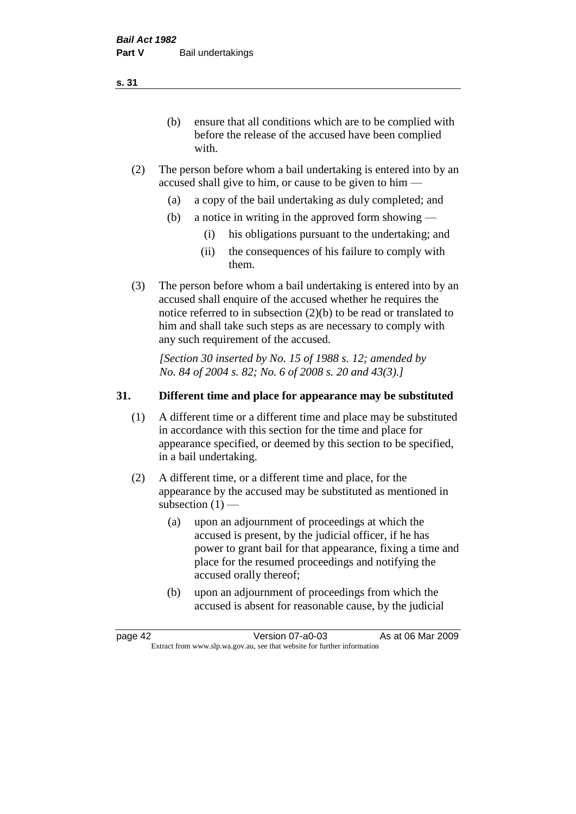(b) ensure that all conditions which are to be complied with before the release of the accused have been complied with.

- (2) The person before whom a bail undertaking is entered into by an accused shall give to him, or cause to be given to him —
	- (a) a copy of the bail undertaking as duly completed; and
	- (b) a notice in writing in the approved form showing
		- (i) his obligations pursuant to the undertaking; and
		- (ii) the consequences of his failure to comply with them.
- (3) The person before whom a bail undertaking is entered into by an accused shall enquire of the accused whether he requires the notice referred to in subsection (2)(b) to be read or translated to him and shall take such steps as are necessary to comply with any such requirement of the accused.

*[Section 30 inserted by No. 15 of 1988 s. 12; amended by No. 84 of 2004 s. 82; No. 6 of 2008 s. 20 and 43(3).]* 

## **31. Different time and place for appearance may be substituted**

- (1) A different time or a different time and place may be substituted in accordance with this section for the time and place for appearance specified, or deemed by this section to be specified, in a bail undertaking.
- (2) A different time, or a different time and place, for the appearance by the accused may be substituted as mentioned in subsection  $(1)$  —
	- (a) upon an adjournment of proceedings at which the accused is present, by the judicial officer, if he has power to grant bail for that appearance, fixing a time and place for the resumed proceedings and notifying the accused orally thereof;
	- (b) upon an adjournment of proceedings from which the accused is absent for reasonable cause, by the judicial

page 42 Version 07-a0-03 As at 06 Mar 2009 Extract from www.slp.wa.gov.au, see that website for further information

**s. 31**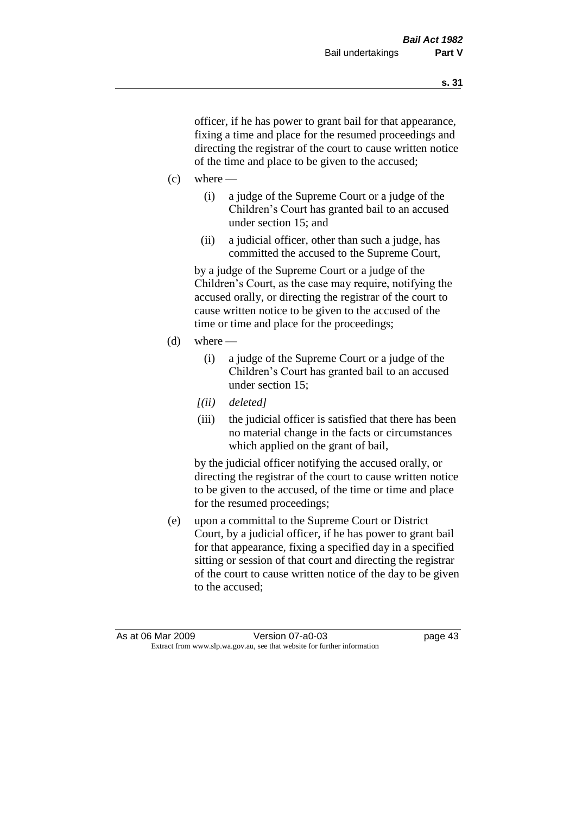officer, if he has power to grant bail for that appearance, fixing a time and place for the resumed proceedings and directing the registrar of the court to cause written notice of the time and place to be given to the accused;

- $(c)$  where
	- (i) a judge of the Supreme Court or a judge of the Children's Court has granted bail to an accused under section 15; and
	- (ii) a judicial officer, other than such a judge, has committed the accused to the Supreme Court,

by a judge of the Supreme Court or a judge of the Children's Court, as the case may require, notifying the accused orally, or directing the registrar of the court to cause written notice to be given to the accused of the time or time and place for the proceedings;

- $(d)$  where
	- (i) a judge of the Supreme Court or a judge of the Children's Court has granted bail to an accused under section 15;
	- *[(ii) deleted]*
	- (iii) the judicial officer is satisfied that there has been no material change in the facts or circumstances which applied on the grant of bail,

by the judicial officer notifying the accused orally, or directing the registrar of the court to cause written notice to be given to the accused, of the time or time and place for the resumed proceedings;

(e) upon a committal to the Supreme Court or District Court, by a judicial officer, if he has power to grant bail for that appearance, fixing a specified day in a specified sitting or session of that court and directing the registrar of the court to cause written notice of the day to be given to the accused;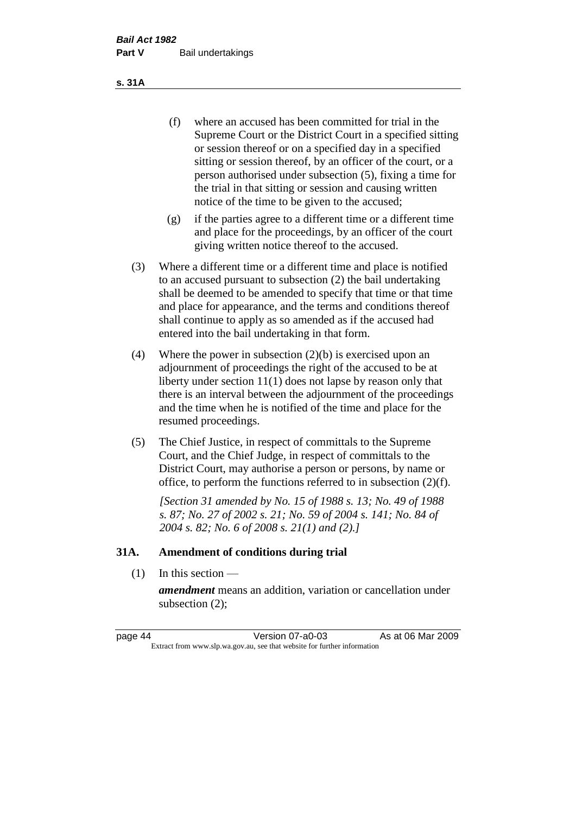- (f) where an accused has been committed for trial in the Supreme Court or the District Court in a specified sitting or session thereof or on a specified day in a specified sitting or session thereof, by an officer of the court, or a person authorised under subsection (5), fixing a time for the trial in that sitting or session and causing written notice of the time to be given to the accused;
- (g) if the parties agree to a different time or a different time and place for the proceedings, by an officer of the court giving written notice thereof to the accused.
- (3) Where a different time or a different time and place is notified to an accused pursuant to subsection (2) the bail undertaking shall be deemed to be amended to specify that time or that time and place for appearance, and the terms and conditions thereof shall continue to apply as so amended as if the accused had entered into the bail undertaking in that form.
- (4) Where the power in subsection (2)(b) is exercised upon an adjournment of proceedings the right of the accused to be at liberty under section 11(1) does not lapse by reason only that there is an interval between the adjournment of the proceedings and the time when he is notified of the time and place for the resumed proceedings.
- (5) The Chief Justice, in respect of committals to the Supreme Court, and the Chief Judge, in respect of committals to the District Court, may authorise a person or persons, by name or office, to perform the functions referred to in subsection (2)(f).

*[Section 31 amended by No. 15 of 1988 s. 13; No. 49 of 1988 s. 87; No. 27 of 2002 s. 21; No. 59 of 2004 s. 141; No. 84 of 2004 s. 82; No. 6 of 2008 s. 21(1) and (2).]* 

### **31A. Amendment of conditions during trial**

(1) In this section —

*amendment* means an addition, variation or cancellation under subsection (2);

page 44 Version 07-a0-03 As at 06 Mar 2009 Extract from www.slp.wa.gov.au, see that website for further information

**s. 31A**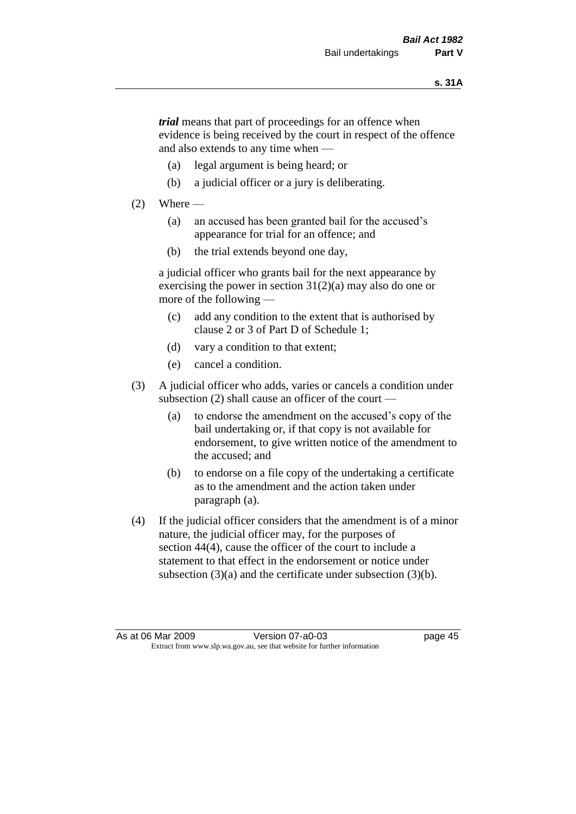*trial* means that part of proceedings for an offence when evidence is being received by the court in respect of the offence and also extends to any time when —

- (a) legal argument is being heard; or
- (b) a judicial officer or a jury is deliberating.

#### $(2)$  Where —

- (a) an accused has been granted bail for the accused's appearance for trial for an offence; and
- (b) the trial extends beyond one day,

a judicial officer who grants bail for the next appearance by exercising the power in section 31(2)(a) may also do one or more of the following —

- (c) add any condition to the extent that is authorised by clause 2 or 3 of Part D of Schedule 1;
- (d) vary a condition to that extent;
- (e) cancel a condition.
- (3) A judicial officer who adds, varies or cancels a condition under subsection (2) shall cause an officer of the court —
	- (a) to endorse the amendment on the accused's copy of the bail undertaking or, if that copy is not available for endorsement, to give written notice of the amendment to the accused; and
	- (b) to endorse on a file copy of the undertaking a certificate as to the amendment and the action taken under paragraph (a).
- (4) If the judicial officer considers that the amendment is of a minor nature, the judicial officer may, for the purposes of section 44(4), cause the officer of the court to include a statement to that effect in the endorsement or notice under subsection (3)(a) and the certificate under subsection (3)(b).

As at 06 Mar 2009 Version 07-a0-03 page 45 Extract from www.slp.wa.gov.au, see that website for further information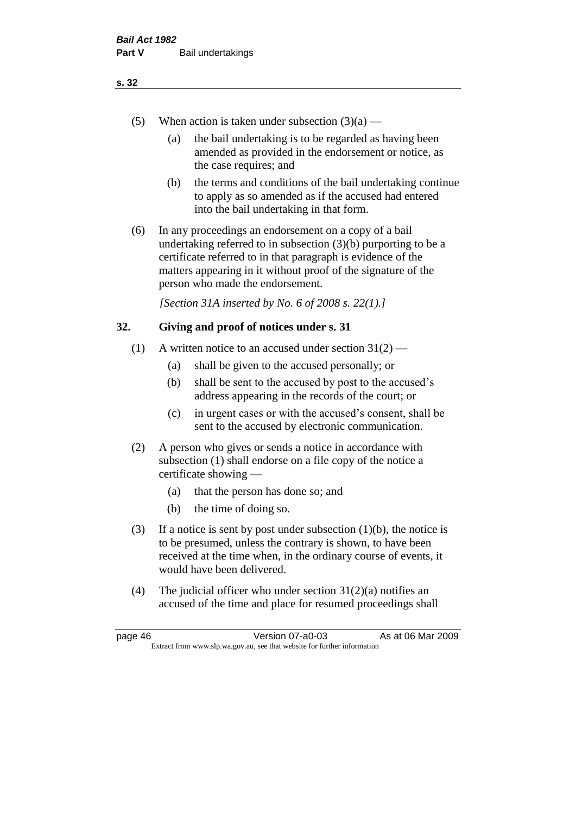- (5) When action is taken under subsection  $(3)(a)$ 
	- (a) the bail undertaking is to be regarded as having been amended as provided in the endorsement or notice, as the case requires; and
	- (b) the terms and conditions of the bail undertaking continue to apply as so amended as if the accused had entered into the bail undertaking in that form.
- (6) In any proceedings an endorsement on a copy of a bail undertaking referred to in subsection (3)(b) purporting to be a certificate referred to in that paragraph is evidence of the matters appearing in it without proof of the signature of the person who made the endorsement.

*[Section 31A inserted by No. 6 of 2008 s. 22(1).]*

### **32. Giving and proof of notices under s. 31**

- (1) A written notice to an accused under section  $31(2)$ 
	- (a) shall be given to the accused personally; or
	- (b) shall be sent to the accused by post to the accused's address appearing in the records of the court; or
	- (c) in urgent cases or with the accused's consent, shall be sent to the accused by electronic communication.
- (2) A person who gives or sends a notice in accordance with subsection (1) shall endorse on a file copy of the notice a certificate showing —
	- (a) that the person has done so; and
	- (b) the time of doing so.
- (3) If a notice is sent by post under subsection  $(1)(b)$ , the notice is to be presumed, unless the contrary is shown, to have been received at the time when, in the ordinary course of events, it would have been delivered.
- (4) The judicial officer who under section  $31(2)(a)$  notifies an accused of the time and place for resumed proceedings shall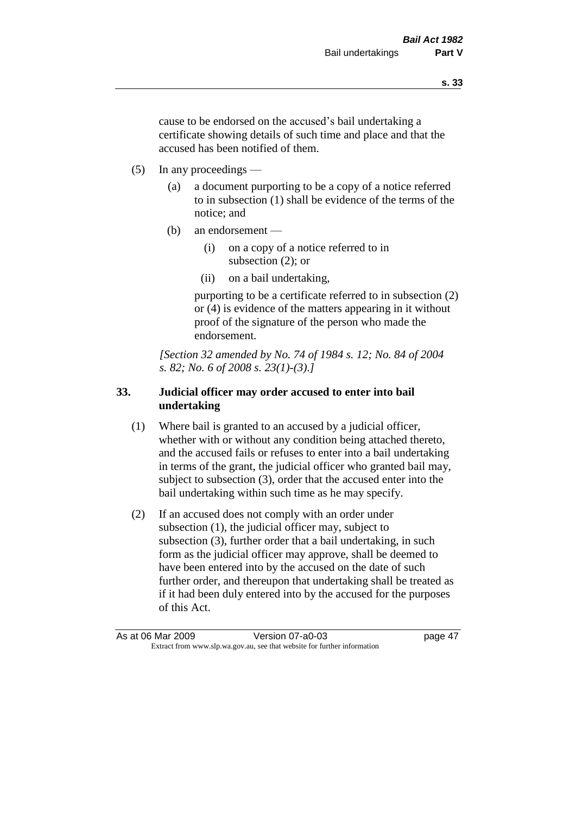cause to be endorsed on the accused's bail undertaking a certificate showing details of such time and place and that the accused has been notified of them.

- (5) In any proceedings
	- (a) a document purporting to be a copy of a notice referred to in subsection (1) shall be evidence of the terms of the notice; and
	- (b) an endorsement
		- (i) on a copy of a notice referred to in subsection (2); or
		- (ii) on a bail undertaking,

purporting to be a certificate referred to in subsection (2) or (4) is evidence of the matters appearing in it without proof of the signature of the person who made the endorsement.

*[Section 32 amended by No. 74 of 1984 s. 12; No. 84 of 2004 s. 82; No. 6 of 2008 s. 23(1)-(3).]* 

# **33. Judicial officer may order accused to enter into bail undertaking**

- (1) Where bail is granted to an accused by a judicial officer, whether with or without any condition being attached thereto, and the accused fails or refuses to enter into a bail undertaking in terms of the grant, the judicial officer who granted bail may, subject to subsection (3), order that the accused enter into the bail undertaking within such time as he may specify.
- (2) If an accused does not comply with an order under subsection (1), the judicial officer may, subject to subsection (3), further order that a bail undertaking, in such form as the judicial officer may approve, shall be deemed to have been entered into by the accused on the date of such further order, and thereupon that undertaking shall be treated as if it had been duly entered into by the accused for the purposes of this Act.

As at 06 Mar 2009 Version 07-a0-03 page 47 Extract from www.slp.wa.gov.au, see that website for further information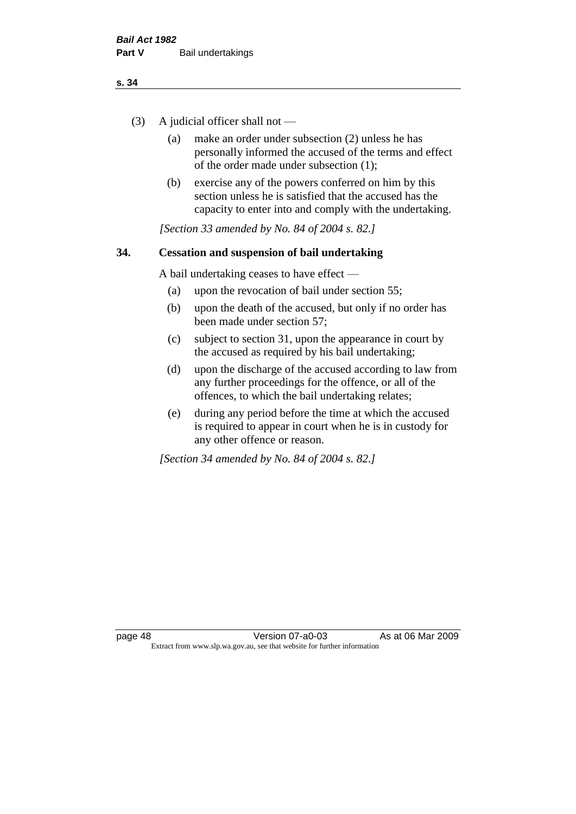- (3) A judicial officer shall not
	- (a) make an order under subsection (2) unless he has personally informed the accused of the terms and effect of the order made under subsection (1);
	- (b) exercise any of the powers conferred on him by this section unless he is satisfied that the accused has the capacity to enter into and comply with the undertaking.

*[Section 33 amended by No. 84 of 2004 s. 82.]* 

## **34. Cessation and suspension of bail undertaking**

A bail undertaking ceases to have effect —

- (a) upon the revocation of bail under section 55;
- (b) upon the death of the accused, but only if no order has been made under section 57;
- (c) subject to section 31, upon the appearance in court by the accused as required by his bail undertaking;
- (d) upon the discharge of the accused according to law from any further proceedings for the offence, or all of the offences, to which the bail undertaking relates;
- (e) during any period before the time at which the accused is required to appear in court when he is in custody for any other offence or reason.

*[Section 34 amended by No. 84 of 2004 s. 82.]*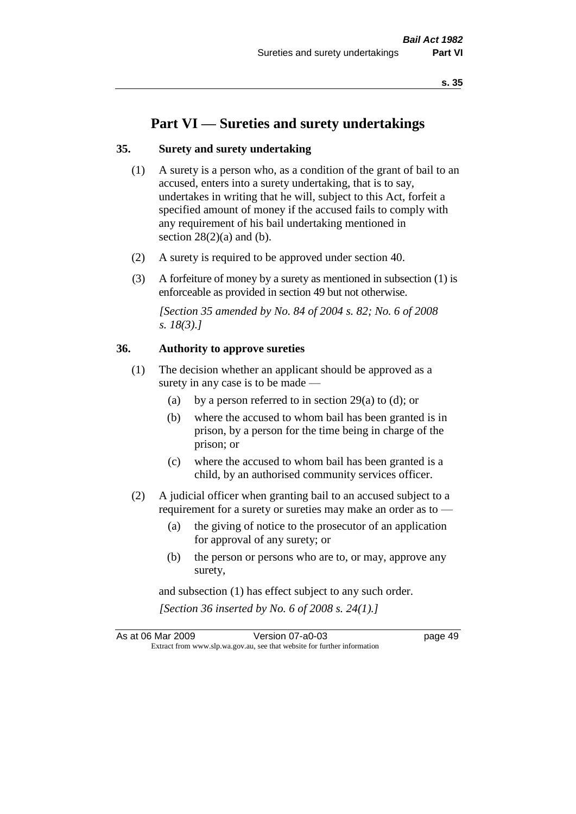# **Part VI — Sureties and surety undertakings**

#### **35. Surety and surety undertaking**

- (1) A surety is a person who, as a condition of the grant of bail to an accused, enters into a surety undertaking, that is to say, undertakes in writing that he will, subject to this Act, forfeit a specified amount of money if the accused fails to comply with any requirement of his bail undertaking mentioned in section  $28(2)(a)$  and (b).
- (2) A surety is required to be approved under section 40.
- (3) A forfeiture of money by a surety as mentioned in subsection (1) is enforceable as provided in section 49 but not otherwise.

*[Section 35 amended by No. 84 of 2004 s. 82; No. 6 of 2008 s. 18(3).]* 

### **36. Authority to approve sureties**

- (1) The decision whether an applicant should be approved as a surety in any case is to be made —
	- (a) by a person referred to in section 29(a) to (d); or
	- (b) where the accused to whom bail has been granted is in prison, by a person for the time being in charge of the prison; or
	- (c) where the accused to whom bail has been granted is a child, by an authorised community services officer.
- (2) A judicial officer when granting bail to an accused subject to a requirement for a surety or sureties may make an order as to —
	- (a) the giving of notice to the prosecutor of an application for approval of any surety; or
	- (b) the person or persons who are to, or may, approve any surety,

and subsection (1) has effect subject to any such order. *[Section 36 inserted by No. 6 of 2008 s. 24(1).]*

As at 06 Mar 2009 Version 07-a0-03 page 49 Extract from www.slp.wa.gov.au, see that website for further information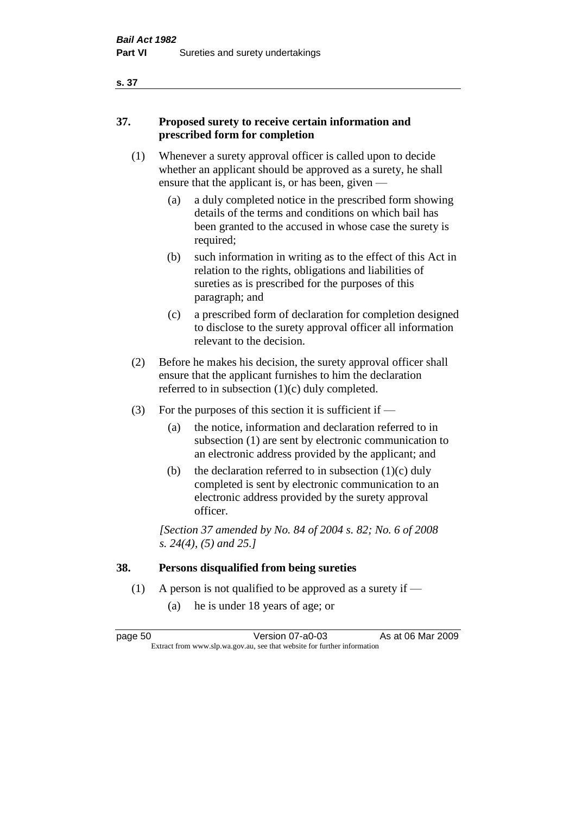# **37. Proposed surety to receive certain information and prescribed form for completion**

- (1) Whenever a surety approval officer is called upon to decide whether an applicant should be approved as a surety, he shall ensure that the applicant is, or has been, given -
	- (a) a duly completed notice in the prescribed form showing details of the terms and conditions on which bail has been granted to the accused in whose case the surety is required;
	- (b) such information in writing as to the effect of this Act in relation to the rights, obligations and liabilities of sureties as is prescribed for the purposes of this paragraph; and
	- (c) a prescribed form of declaration for completion designed to disclose to the surety approval officer all information relevant to the decision.
- (2) Before he makes his decision, the surety approval officer shall ensure that the applicant furnishes to him the declaration referred to in subsection (1)(c) duly completed.
- (3) For the purposes of this section it is sufficient if  $-$ 
	- (a) the notice, information and declaration referred to in subsection (1) are sent by electronic communication to an electronic address provided by the applicant; and
	- (b) the declaration referred to in subsection  $(1)(c)$  duly completed is sent by electronic communication to an electronic address provided by the surety approval officer.

*[Section 37 amended by No. 84 of 2004 s. 82; No. 6 of 2008 s. 24(4), (5) and 25.]* 

# **38. Persons disqualified from being sureties**

- (1) A person is not qualified to be approved as a surety if  $-$ 
	- (a) he is under 18 years of age; or

page 50 Version 07-a0-03 As at 06 Mar 2009 Extract from www.slp.wa.gov.au, see that website for further information

#### **s. 37**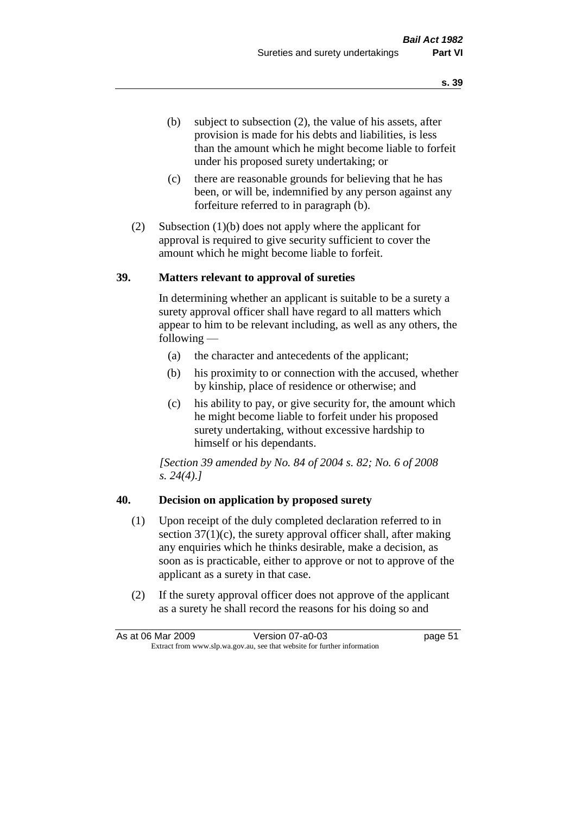- (b) subject to subsection (2), the value of his assets, after provision is made for his debts and liabilities, is less than the amount which he might become liable to forfeit under his proposed surety undertaking; or
- (c) there are reasonable grounds for believing that he has been, or will be, indemnified by any person against any forfeiture referred to in paragraph (b).
- (2) Subsection (1)(b) does not apply where the applicant for approval is required to give security sufficient to cover the amount which he might become liable to forfeit.

#### **39. Matters relevant to approval of sureties**

In determining whether an applicant is suitable to be a surety a surety approval officer shall have regard to all matters which appear to him to be relevant including, as well as any others, the following —

- (a) the character and antecedents of the applicant;
- (b) his proximity to or connection with the accused, whether by kinship, place of residence or otherwise; and
- (c) his ability to pay, or give security for, the amount which he might become liable to forfeit under his proposed surety undertaking, without excessive hardship to himself or his dependants.

*[Section 39 amended by No. 84 of 2004 s. 82; No. 6 of 2008 s. 24(4).]* 

### **40. Decision on application by proposed surety**

- (1) Upon receipt of the duly completed declaration referred to in section  $37(1)(c)$ , the surety approval officer shall, after making any enquiries which he thinks desirable, make a decision, as soon as is practicable, either to approve or not to approve of the applicant as a surety in that case.
- (2) If the surety approval officer does not approve of the applicant as a surety he shall record the reasons for his doing so and

| As at 06 Mar 2009                                                        | Version 07-a0-03 | page 51 |
|--------------------------------------------------------------------------|------------------|---------|
| Extract from www.slp.wa.gov.au, see that website for further information |                  |         |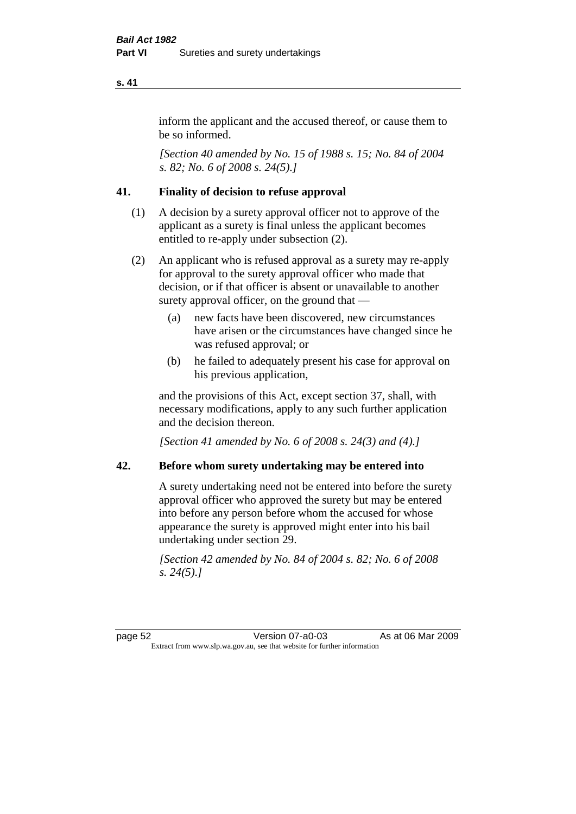inform the applicant and the accused thereof, or cause them to be so informed.

*[Section 40 amended by No. 15 of 1988 s. 15; No. 84 of 2004 s. 82; No. 6 of 2008 s. 24(5).]* 

# **41. Finality of decision to refuse approval**

- (1) A decision by a surety approval officer not to approve of the applicant as a surety is final unless the applicant becomes entitled to re-apply under subsection (2).
- (2) An applicant who is refused approval as a surety may re-apply for approval to the surety approval officer who made that decision, or if that officer is absent or unavailable to another surety approval officer, on the ground that —
	- (a) new facts have been discovered, new circumstances have arisen or the circumstances have changed since he was refused approval; or
	- (b) he failed to adequately present his case for approval on his previous application,

and the provisions of this Act, except section 37, shall, with necessary modifications, apply to any such further application and the decision thereon.

*[Section 41 amended by No. 6 of 2008 s. 24(3) and (4).]*

### **42. Before whom surety undertaking may be entered into**

A surety undertaking need not be entered into before the surety approval officer who approved the surety but may be entered into before any person before whom the accused for whose appearance the surety is approved might enter into his bail undertaking under section 29.

*[Section 42 amended by No. 84 of 2004 s. 82; No. 6 of 2008 s. 24(5).]*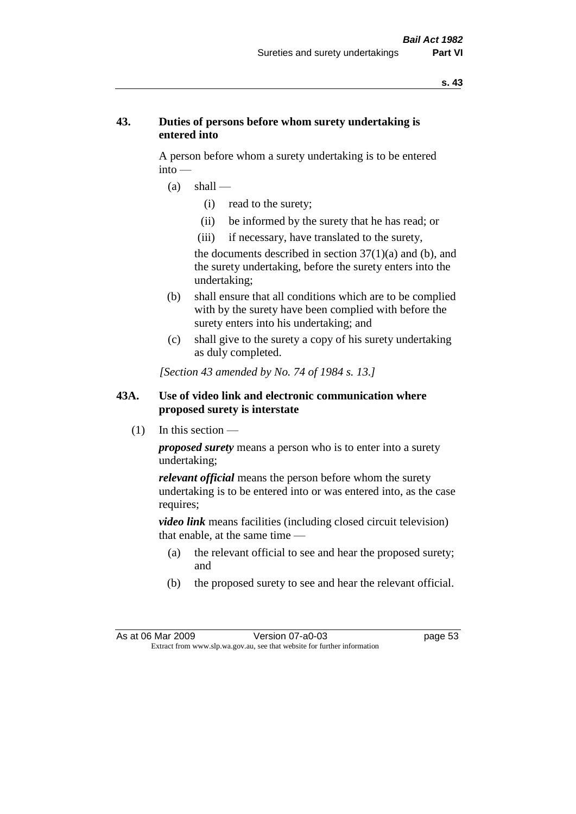## **43. Duties of persons before whom surety undertaking is entered into**

A person before whom a surety undertaking is to be entered into —

- $(a)$  shall
	- (i) read to the surety;
	- (ii) be informed by the surety that he has read; or
	- (iii) if necessary, have translated to the surety,

the documents described in section  $37(1)(a)$  and (b), and the surety undertaking, before the surety enters into the undertaking;

- (b) shall ensure that all conditions which are to be complied with by the surety have been complied with before the surety enters into his undertaking; and
- (c) shall give to the surety a copy of his surety undertaking as duly completed.

*[Section 43 amended by No. 74 of 1984 s. 13.]* 

## **43A. Use of video link and electronic communication where proposed surety is interstate**

 $(1)$  In this section —

*proposed surety* means a person who is to enter into a surety undertaking;

*relevant official* means the person before whom the surety undertaking is to be entered into or was entered into, as the case requires;

*video link* means facilities (including closed circuit television) that enable, at the same time —

- (a) the relevant official to see and hear the proposed surety; and
- (b) the proposed surety to see and hear the relevant official.

As at 06 Mar 2009 Version 07-a0-03 page 53 Extract from www.slp.wa.gov.au, see that website for further information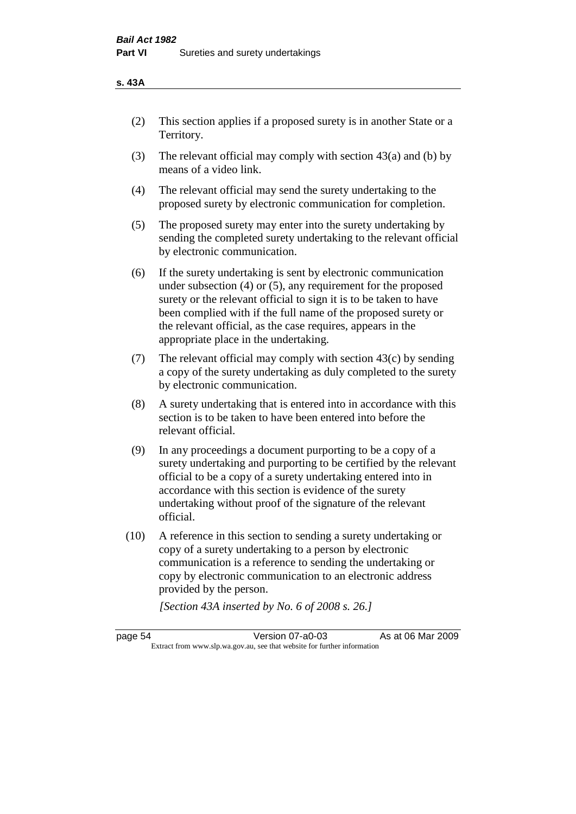#### **s. 43A**

- (2) This section applies if a proposed surety is in another State or a Territory.
- (3) The relevant official may comply with section 43(a) and (b) by means of a video link.
- (4) The relevant official may send the surety undertaking to the proposed surety by electronic communication for completion.
- (5) The proposed surety may enter into the surety undertaking by sending the completed surety undertaking to the relevant official by electronic communication.
- (6) If the surety undertaking is sent by electronic communication under subsection (4) or (5), any requirement for the proposed surety or the relevant official to sign it is to be taken to have been complied with if the full name of the proposed surety or the relevant official, as the case requires, appears in the appropriate place in the undertaking.
- (7) The relevant official may comply with section  $43(c)$  by sending a copy of the surety undertaking as duly completed to the surety by electronic communication.
- (8) A surety undertaking that is entered into in accordance with this section is to be taken to have been entered into before the relevant official.
- (9) In any proceedings a document purporting to be a copy of a surety undertaking and purporting to be certified by the relevant official to be a copy of a surety undertaking entered into in accordance with this section is evidence of the surety undertaking without proof of the signature of the relevant official.
- (10) A reference in this section to sending a surety undertaking or copy of a surety undertaking to a person by electronic communication is a reference to sending the undertaking or copy by electronic communication to an electronic address provided by the person.

*[Section 43A inserted by No. 6 of 2008 s. 26.]*

page 54 Version 07-a0-03 As at 06 Mar 2009 Extract from www.slp.wa.gov.au, see that website for further information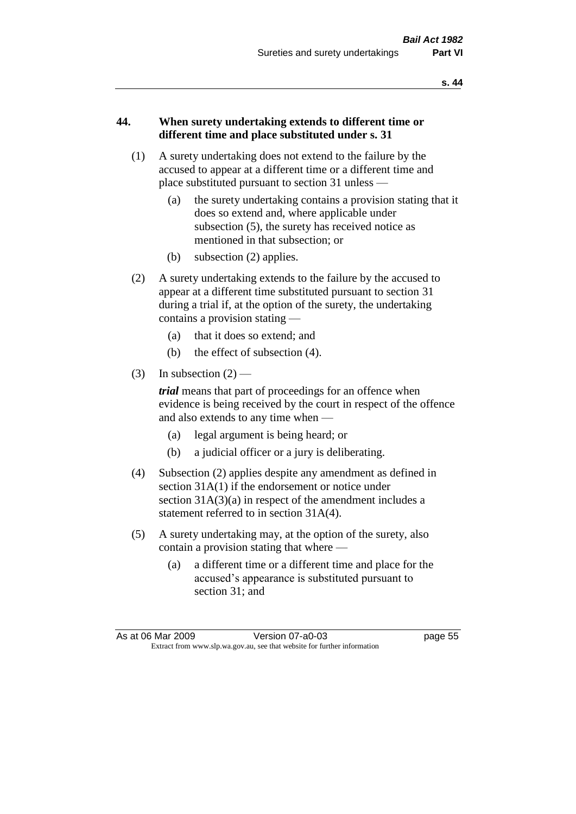## **44. When surety undertaking extends to different time or different time and place substituted under s. 31**

- (1) A surety undertaking does not extend to the failure by the accused to appear at a different time or a different time and place substituted pursuant to section 31 unless —
	- (a) the surety undertaking contains a provision stating that it does so extend and, where applicable under subsection (5), the surety has received notice as mentioned in that subsection; or
	- (b) subsection (2) applies.
- (2) A surety undertaking extends to the failure by the accused to appear at a different time substituted pursuant to section 31 during a trial if, at the option of the surety, the undertaking contains a provision stating —
	- (a) that it does so extend; and
	- (b) the effect of subsection (4).
- (3) In subsection  $(2)$  —

*trial* means that part of proceedings for an offence when evidence is being received by the court in respect of the offence and also extends to any time when —

- (a) legal argument is being heard; or
- (b) a judicial officer or a jury is deliberating.
- (4) Subsection (2) applies despite any amendment as defined in section 31A(1) if the endorsement or notice under section  $31A(3)(a)$  in respect of the amendment includes a statement referred to in section 31A(4).
- (5) A surety undertaking may, at the option of the surety, also contain a provision stating that where —
	- (a) a different time or a different time and place for the accused's appearance is substituted pursuant to section 31; and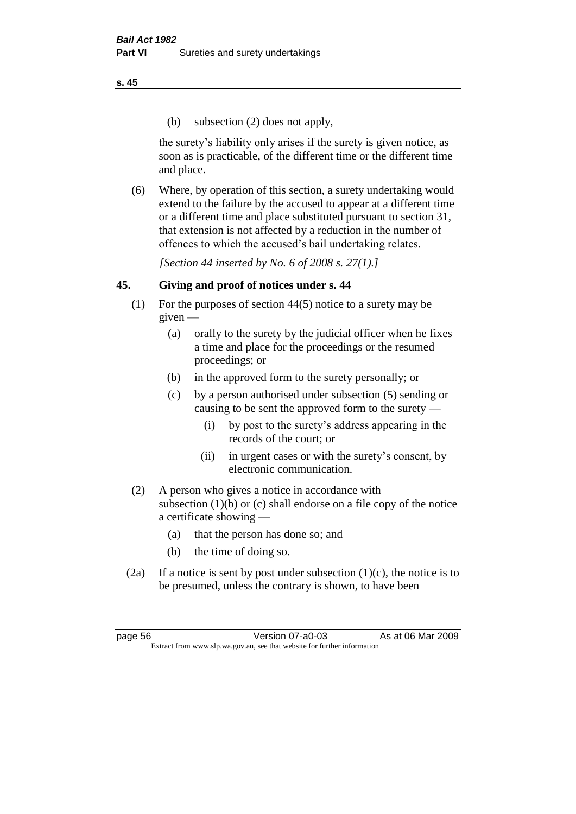(b) subsection (2) does not apply,

the surety's liability only arises if the surety is given notice, as soon as is practicable, of the different time or the different time and place.

(6) Where, by operation of this section, a surety undertaking would extend to the failure by the accused to appear at a different time or a different time and place substituted pursuant to section 31, that extension is not affected by a reduction in the number of offences to which the accused's bail undertaking relates.

*[Section 44 inserted by No. 6 of 2008 s. 27(1).]*

# **45. Giving and proof of notices under s. 44**

- (1) For the purposes of section 44(5) notice to a surety may be  $given -$ 
	- (a) orally to the surety by the judicial officer when he fixes a time and place for the proceedings or the resumed proceedings; or
	- (b) in the approved form to the surety personally; or
	- (c) by a person authorised under subsection (5) sending or causing to be sent the approved form to the surety —
		- (i) by post to the surety's address appearing in the records of the court; or
		- (ii) in urgent cases or with the surety's consent, by electronic communication.
- (2) A person who gives a notice in accordance with subsection (1)(b) or (c) shall endorse on a file copy of the notice a certificate showing —
	- (a) that the person has done so; and
	- (b) the time of doing so.
- (2a) If a notice is sent by post under subsection  $(1)(c)$ , the notice is to be presumed, unless the contrary is shown, to have been

page 56 Version 07-a0-03 As at 06 Mar 2009 Extract from www.slp.wa.gov.au, see that website for further information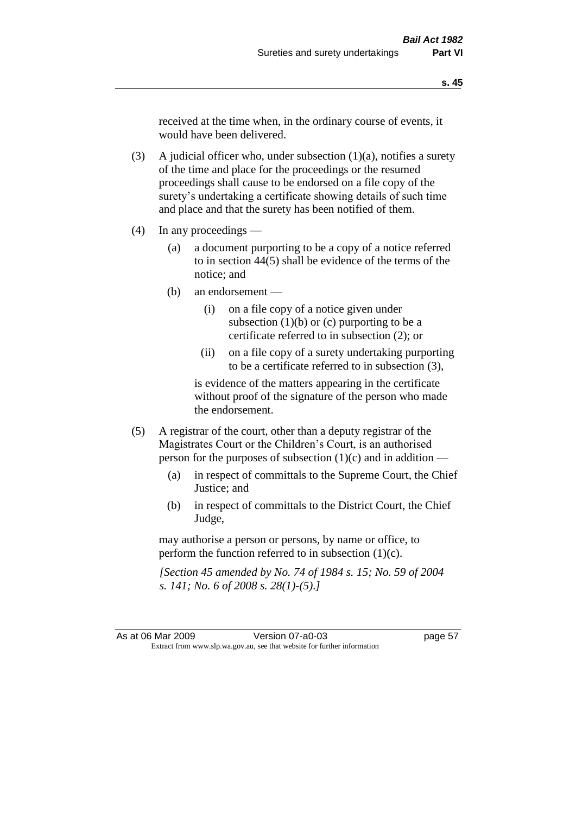received at the time when, in the ordinary course of events, it would have been delivered.

(3) A judicial officer who, under subsection  $(1)(a)$ , notifies a surety of the time and place for the proceedings or the resumed proceedings shall cause to be endorsed on a file copy of the surety's undertaking a certificate showing details of such time and place and that the surety has been notified of them.

- (4) In any proceedings
	- (a) a document purporting to be a copy of a notice referred to in section 44(5) shall be evidence of the terms of the notice; and
	- (b) an endorsement
		- (i) on a file copy of a notice given under subsection  $(1)(b)$  or  $(c)$  purporting to be a certificate referred to in subsection (2); or
		- (ii) on a file copy of a surety undertaking purporting to be a certificate referred to in subsection (3),

is evidence of the matters appearing in the certificate without proof of the signature of the person who made the endorsement.

- (5) A registrar of the court, other than a deputy registrar of the Magistrates Court or the Children's Court, is an authorised person for the purposes of subsection (1)(c) and in addition —
	- (a) in respect of committals to the Supreme Court, the Chief Justice; and
	- (b) in respect of committals to the District Court, the Chief Judge,

may authorise a person or persons, by name or office, to perform the function referred to in subsection  $(1)(c)$ .

*[Section 45 amended by No. 74 of 1984 s. 15; No. 59 of 2004 s. 141; No. 6 of 2008 s. 28(1)-(5).]*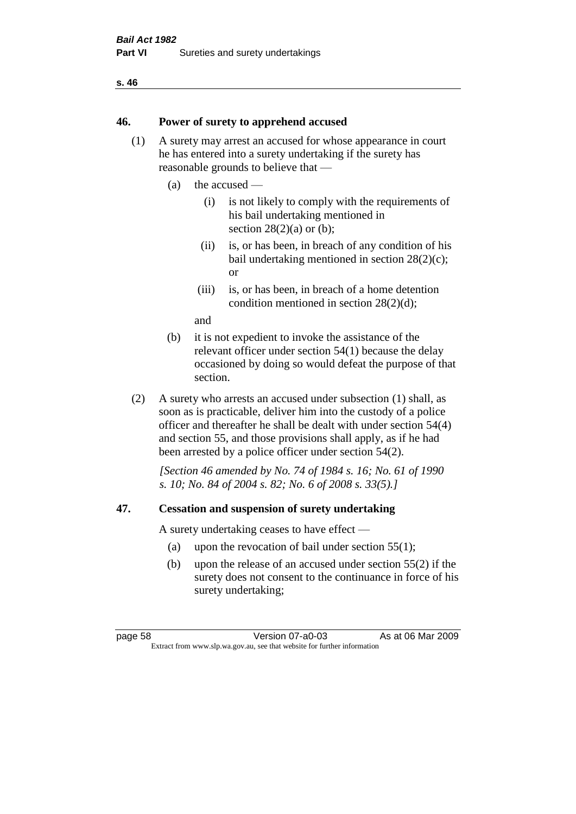#### **46. Power of surety to apprehend accused**

- (1) A surety may arrest an accused for whose appearance in court he has entered into a surety undertaking if the surety has reasonable grounds to believe that —
	- (a) the accused
		- (i) is not likely to comply with the requirements of his bail undertaking mentioned in section  $28(2)(a)$  or (b):
		- (ii) is, or has been, in breach of any condition of his bail undertaking mentioned in section 28(2)(c); or
		- (iii) is, or has been, in breach of a home detention condition mentioned in section 28(2)(d);

and

- (b) it is not expedient to invoke the assistance of the relevant officer under section 54(1) because the delay occasioned by doing so would defeat the purpose of that section.
- (2) A surety who arrests an accused under subsection (1) shall, as soon as is practicable, deliver him into the custody of a police officer and thereafter he shall be dealt with under section 54(4) and section 55, and those provisions shall apply, as if he had been arrested by a police officer under section 54(2).

*[Section 46 amended by No. 74 of 1984 s. 16; No. 61 of 1990 s. 10; No. 84 of 2004 s. 82; No. 6 of 2008 s. 33(5).]* 

### **47. Cessation and suspension of surety undertaking**

A surety undertaking ceases to have effect —

- (a) upon the revocation of bail under section 55(1);
- (b) upon the release of an accused under section 55(2) if the surety does not consent to the continuance in force of his surety undertaking;

page 58 Version 07-a0-03 As at 06 Mar 2009 Extract from www.slp.wa.gov.au, see that website for further information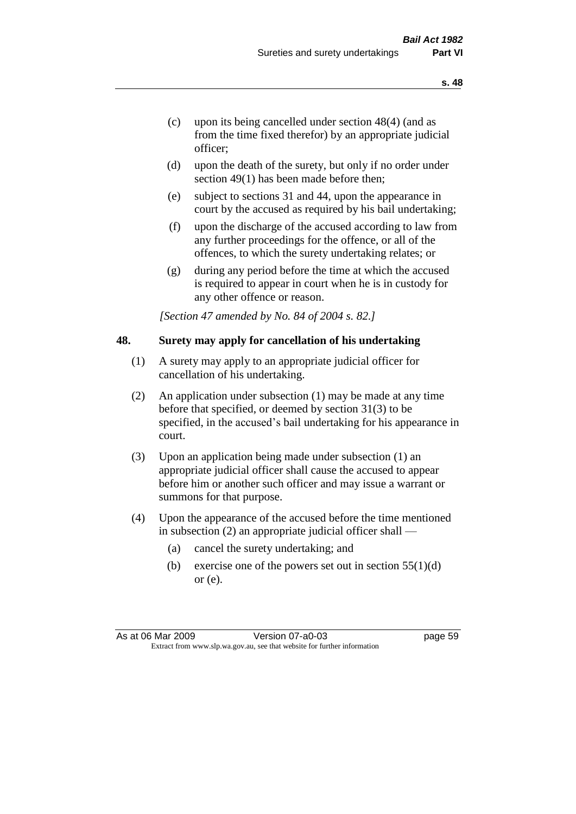- (c) upon its being cancelled under section 48(4) (and as from the time fixed therefor) by an appropriate judicial officer;
- (d) upon the death of the surety, but only if no order under section 49(1) has been made before then;
- (e) subject to sections 31 and 44, upon the appearance in court by the accused as required by his bail undertaking;
- (f) upon the discharge of the accused according to law from any further proceedings for the offence, or all of the offences, to which the surety undertaking relates; or
- (g) during any period before the time at which the accused is required to appear in court when he is in custody for any other offence or reason.

*[Section 47 amended by No. 84 of 2004 s. 82.]* 

#### **48. Surety may apply for cancellation of his undertaking**

- (1) A surety may apply to an appropriate judicial officer for cancellation of his undertaking.
- (2) An application under subsection (1) may be made at any time before that specified, or deemed by section 31(3) to be specified, in the accused's bail undertaking for his appearance in court.
- (3) Upon an application being made under subsection (1) an appropriate judicial officer shall cause the accused to appear before him or another such officer and may issue a warrant or summons for that purpose.
- (4) Upon the appearance of the accused before the time mentioned in subsection (2) an appropriate judicial officer shall —
	- (a) cancel the surety undertaking; and
	- (b) exercise one of the powers set out in section  $55(1)(d)$ or (e).

As at 06 Mar 2009 Version 07-a0-03 page 59 Extract from www.slp.wa.gov.au, see that website for further information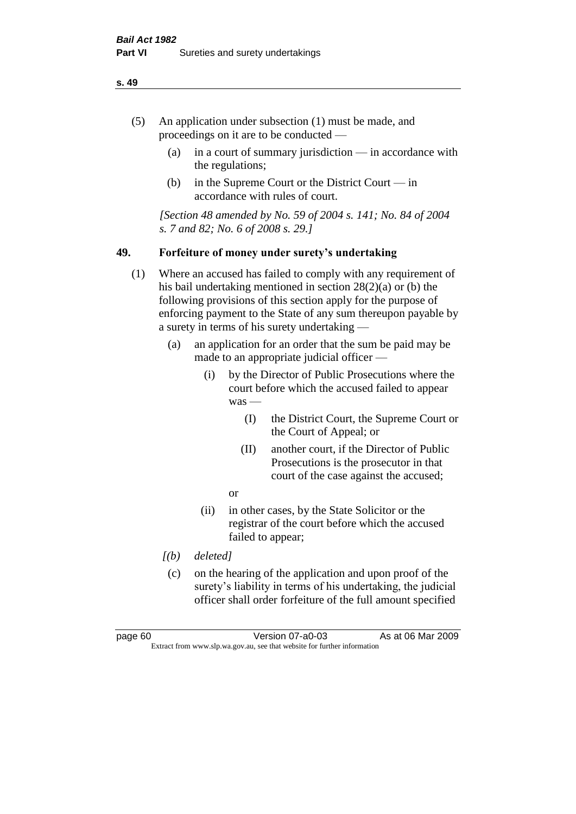- (5) An application under subsection (1) must be made, and proceedings on it are to be conducted —
	- (a) in a court of summary jurisdiction in accordance with the regulations;
	- (b) in the Supreme Court or the District Court  $-\text{in}$ accordance with rules of court.

*[Section 48 amended by No. 59 of 2004 s. 141; No. 84 of 2004 s. 7 and 82; No. 6 of 2008 s. 29.]* 

### **49. Forfeiture of money under surety's undertaking**

- (1) Where an accused has failed to comply with any requirement of his bail undertaking mentioned in section 28(2)(a) or (b) the following provisions of this section apply for the purpose of enforcing payment to the State of any sum thereupon payable by a surety in terms of his surety undertaking —
	- (a) an application for an order that the sum be paid may be made to an appropriate judicial officer —
		- (i) by the Director of Public Prosecutions where the court before which the accused failed to appear was —
			- (I) the District Court, the Supreme Court or the Court of Appeal; or
			- (II) another court, if the Director of Public Prosecutions is the prosecutor in that court of the case against the accused;
			- or
		- (ii) in other cases, by the State Solicitor or the registrar of the court before which the accused failed to appear;
	- *[(b) deleted]*
	- (c) on the hearing of the application and upon proof of the surety's liability in terms of his undertaking, the judicial officer shall order forfeiture of the full amount specified

page 60 Version 07-a0-03 As at 06 Mar 2009 Extract from www.slp.wa.gov.au, see that website for further information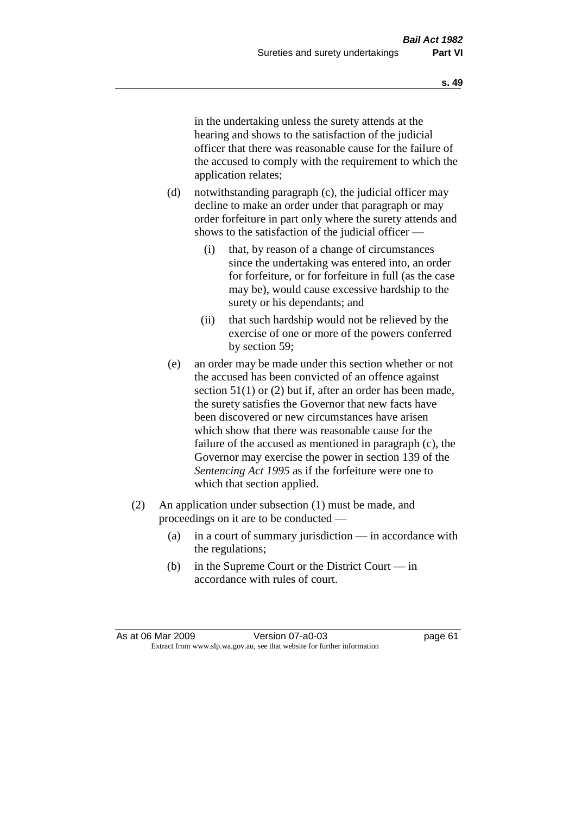in the undertaking unless the surety attends at the hearing and shows to the satisfaction of the judicial officer that there was reasonable cause for the failure of the accused to comply with the requirement to which the application relates;

- (d) notwithstanding paragraph (c), the judicial officer may decline to make an order under that paragraph or may order forfeiture in part only where the surety attends and shows to the satisfaction of the judicial officer —
	- (i) that, by reason of a change of circumstances since the undertaking was entered into, an order for forfeiture, or for forfeiture in full (as the case may be), would cause excessive hardship to the surety or his dependants; and
	- (ii) that such hardship would not be relieved by the exercise of one or more of the powers conferred by section 59;
- (e) an order may be made under this section whether or not the accused has been convicted of an offence against section 51(1) or (2) but if, after an order has been made, the surety satisfies the Governor that new facts have been discovered or new circumstances have arisen which show that there was reasonable cause for the failure of the accused as mentioned in paragraph (c), the Governor may exercise the power in section 139 of the *Sentencing Act 1995* as if the forfeiture were one to which that section applied.
- (2) An application under subsection (1) must be made, and proceedings on it are to be conducted —
	- (a) in a court of summary jurisdiction in accordance with the regulations;
	- (b) in the Supreme Court or the District Court in accordance with rules of court.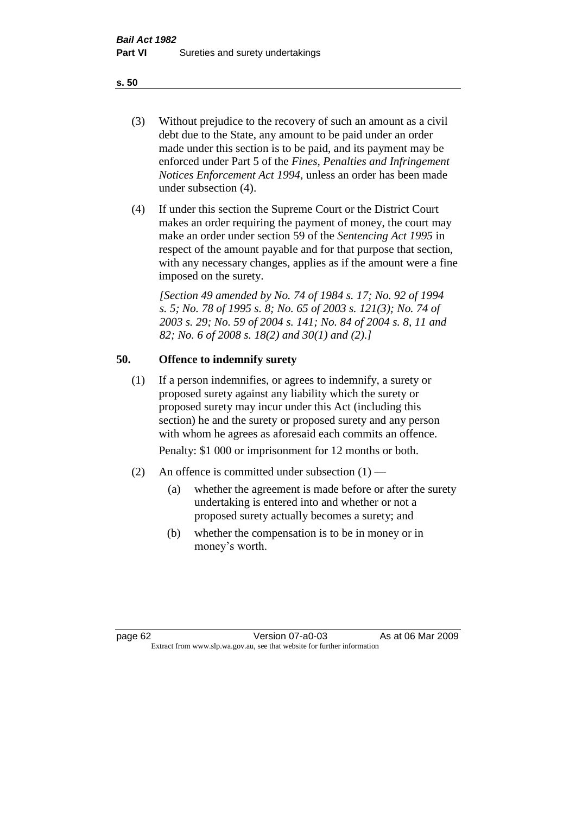- (3) Without prejudice to the recovery of such an amount as a civil debt due to the State, any amount to be paid under an order made under this section is to be paid, and its payment may be enforced under Part 5 of the *Fines, Penalties and Infringement Notices Enforcement Act 1994*, unless an order has been made under subsection (4).
- (4) If under this section the Supreme Court or the District Court makes an order requiring the payment of money, the court may make an order under section 59 of the *Sentencing Act 1995* in respect of the amount payable and for that purpose that section, with any necessary changes, applies as if the amount were a fine imposed on the surety.

*[Section 49 amended by No. 74 of 1984 s. 17; No. 92 of 1994 s. 5; No. 78 of 1995 s. 8; No. 65 of 2003 s. 121(3); No. 74 of 2003 s. 29; No. 59 of 2004 s. 141; No. 84 of 2004 s. 8, 11 and 82; No. 6 of 2008 s. 18(2) and 30(1) and (2).]* 

# **50. Offence to indemnify surety**

(1) If a person indemnifies, or agrees to indemnify, a surety or proposed surety against any liability which the surety or proposed surety may incur under this Act (including this section) he and the surety or proposed surety and any person with whom he agrees as aforesaid each commits an offence.

Penalty: \$1 000 or imprisonment for 12 months or both.

- (2) An offence is committed under subsection  $(1)$ 
	- (a) whether the agreement is made before or after the surety undertaking is entered into and whether or not a proposed surety actually becomes a surety; and
	- (b) whether the compensation is to be in money or in money's worth.

page 62 Version 07-a0-03 As at 06 Mar 2009 Extract from www.slp.wa.gov.au, see that website for further information

**s. 50**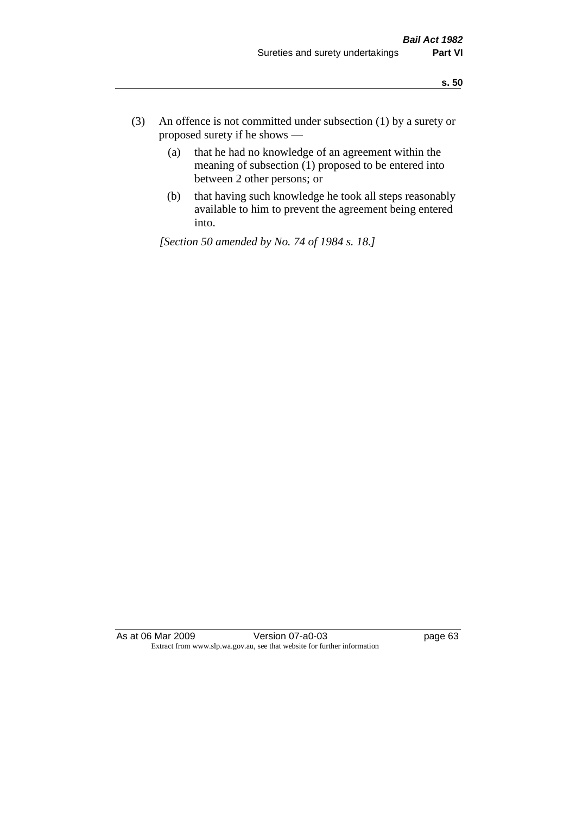- (3) An offence is not committed under subsection (1) by a surety or proposed surety if he shows —
	- (a) that he had no knowledge of an agreement within the meaning of subsection  $(1)$  proposed to be entered into between 2 other persons; or
	- (b) that having such knowledge he took all steps reasonably available to him to prevent the agreement being entered into.

*[Section 50 amended by No. 74 of 1984 s. 18.]* 

As at 06 Mar 2009 Version 07-a0-03 page 63 Extract from www.slp.wa.gov.au, see that website for further information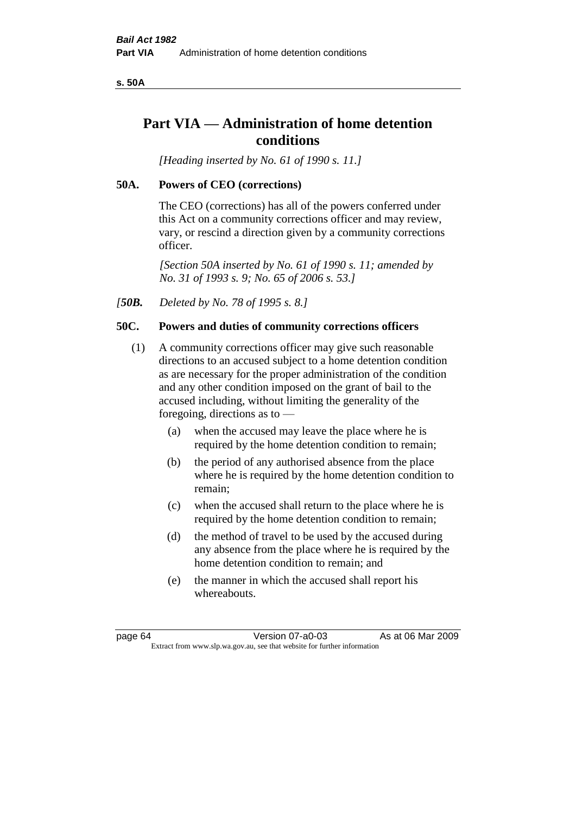**s. 50A**

# **Part VIA — Administration of home detention conditions**

*[Heading inserted by No. 61 of 1990 s. 11.]* 

## **50A. Powers of CEO (corrections)**

The CEO (corrections) has all of the powers conferred under this Act on a community corrections officer and may review, vary, or rescind a direction given by a community corrections officer.

*[Section 50A inserted by No. 61 of 1990 s. 11; amended by No. 31 of 1993 s. 9; No. 65 of 2006 s. 53.]* 

*[50B. Deleted by No. 78 of 1995 s. 8.]* 

## **50C. Powers and duties of community corrections officers**

- (1) A community corrections officer may give such reasonable directions to an accused subject to a home detention condition as are necessary for the proper administration of the condition and any other condition imposed on the grant of bail to the accused including, without limiting the generality of the foregoing, directions as to —
	- (a) when the accused may leave the place where he is required by the home detention condition to remain;
	- (b) the period of any authorised absence from the place where he is required by the home detention condition to remain;
	- (c) when the accused shall return to the place where he is required by the home detention condition to remain;
	- (d) the method of travel to be used by the accused during any absence from the place where he is required by the home detention condition to remain; and
	- (e) the manner in which the accused shall report his whereabouts.

page 64 Version 07-a0-03 As at 06 Mar 2009 Extract from www.slp.wa.gov.au, see that website for further information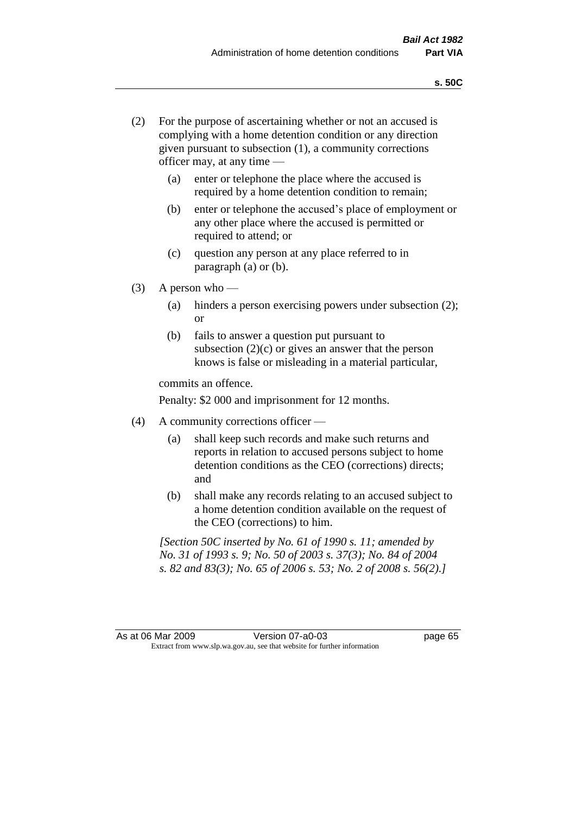- (2) For the purpose of ascertaining whether or not an accused is complying with a home detention condition or any direction given pursuant to subsection (1), a community corrections officer may, at any time —
	- (a) enter or telephone the place where the accused is required by a home detention condition to remain;
	- (b) enter or telephone the accused's place of employment or any other place where the accused is permitted or required to attend; or
	- (c) question any person at any place referred to in paragraph (a) or (b).
- $(3)$  A person who
	- (a) hinders a person exercising powers under subsection (2); or
	- (b) fails to answer a question put pursuant to subsection  $(2)(c)$  or gives an answer that the person knows is false or misleading in a material particular,

commits an offence.

Penalty: \$2 000 and imprisonment for 12 months.

- (4) A community corrections officer
	- (a) shall keep such records and make such returns and reports in relation to accused persons subject to home detention conditions as the CEO (corrections) directs; and
	- (b) shall make any records relating to an accused subject to a home detention condition available on the request of the CEO (corrections) to him.

*[Section 50C inserted by No. 61 of 1990 s. 11; amended by No. 31 of 1993 s. 9; No. 50 of 2003 s. 37(3); No. 84 of 2004 s. 82 and 83(3); No. 65 of 2006 s. 53; No. 2 of 2008 s. 56(2).]*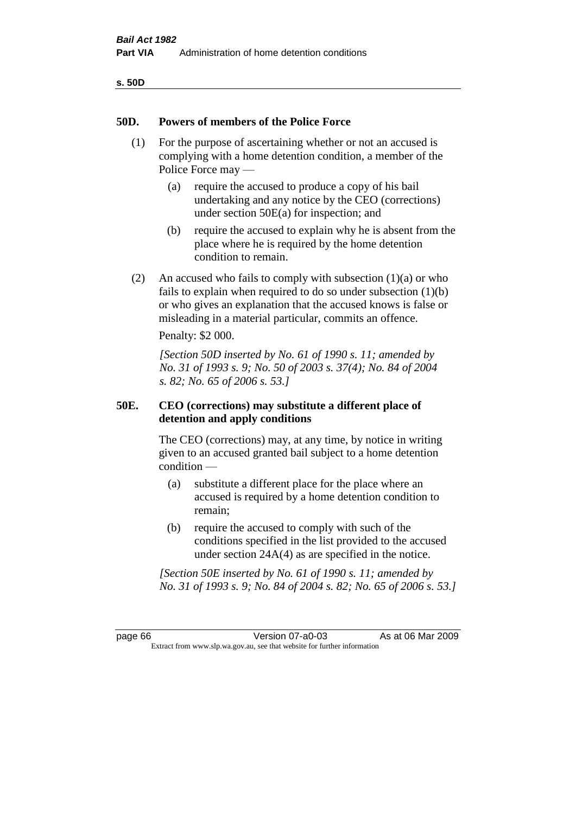| ۰.<br>٠<br>۰.<br>×<br>v<br>۰, |  |
|-------------------------------|--|
|-------------------------------|--|

# **50D. Powers of members of the Police Force**

- (1) For the purpose of ascertaining whether or not an accused is complying with a home detention condition, a member of the Police Force may —
	- (a) require the accused to produce a copy of his bail undertaking and any notice by the CEO (corrections) under section 50E(a) for inspection; and
	- (b) require the accused to explain why he is absent from the place where he is required by the home detention condition to remain.
- (2) An accused who fails to comply with subsection  $(1)(a)$  or who fails to explain when required to do so under subsection (1)(b) or who gives an explanation that the accused knows is false or misleading in a material particular, commits an offence.

Penalty: \$2 000.

*[Section 50D inserted by No. 61 of 1990 s. 11; amended by No. 31 of 1993 s. 9; No. 50 of 2003 s. 37(4); No. 84 of 2004 s. 82; No. 65 of 2006 s. 53.]* 

# **50E. CEO (corrections) may substitute a different place of detention and apply conditions**

The CEO (corrections) may, at any time, by notice in writing given to an accused granted bail subject to a home detention condition —

- (a) substitute a different place for the place where an accused is required by a home detention condition to remain;
- (b) require the accused to comply with such of the conditions specified in the list provided to the accused under section 24A(4) as are specified in the notice.

*[Section 50E inserted by No. 61 of 1990 s. 11; amended by No. 31 of 1993 s. 9; No. 84 of 2004 s. 82; No. 65 of 2006 s. 53.]* 

page 66 Version 07-a0-03 As at 06 Mar 2009 Extract from www.slp.wa.gov.au, see that website for further information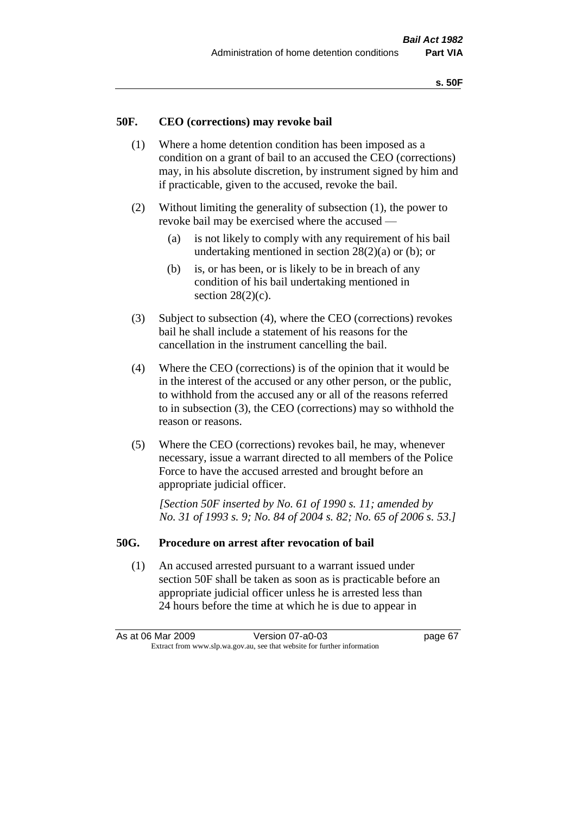## **50F. CEO (corrections) may revoke bail**

- (1) Where a home detention condition has been imposed as a condition on a grant of bail to an accused the CEO (corrections) may, in his absolute discretion, by instrument signed by him and if practicable, given to the accused, revoke the bail.
- (2) Without limiting the generality of subsection (1), the power to revoke bail may be exercised where the accused —
	- (a) is not likely to comply with any requirement of his bail undertaking mentioned in section  $28(2)(a)$  or (b); or
	- (b) is, or has been, or is likely to be in breach of any condition of his bail undertaking mentioned in section  $28(2)(c)$ .
- (3) Subject to subsection (4), where the CEO (corrections) revokes bail he shall include a statement of his reasons for the cancellation in the instrument cancelling the bail.
- (4) Where the CEO (corrections) is of the opinion that it would be in the interest of the accused or any other person, or the public, to withhold from the accused any or all of the reasons referred to in subsection (3), the CEO (corrections) may so withhold the reason or reasons.
- (5) Where the CEO (corrections) revokes bail, he may, whenever necessary, issue a warrant directed to all members of the Police Force to have the accused arrested and brought before an appropriate judicial officer.

*[Section 50F inserted by No. 61 of 1990 s. 11; amended by No. 31 of 1993 s. 9; No. 84 of 2004 s. 82; No. 65 of 2006 s. 53.]* 

#### **50G. Procedure on arrest after revocation of bail**

(1) An accused arrested pursuant to a warrant issued under section 50F shall be taken as soon as is practicable before an appropriate judicial officer unless he is arrested less than 24 hours before the time at which he is due to appear in

As at 06 Mar 2009 Version 07-a0-03 page 67 Extract from www.slp.wa.gov.au, see that website for further information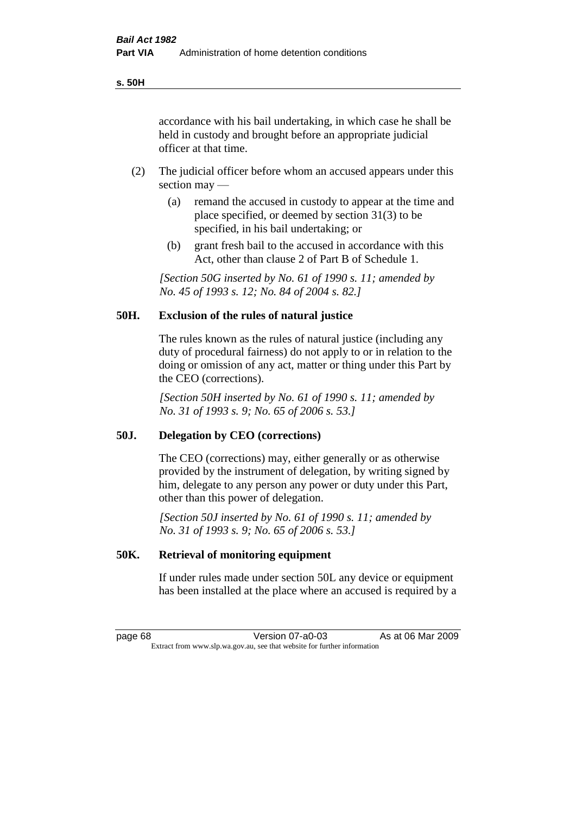accordance with his bail undertaking, in which case he shall be held in custody and brought before an appropriate judicial officer at that time.

- (2) The judicial officer before whom an accused appears under this section may —
	- (a) remand the accused in custody to appear at the time and place specified, or deemed by section 31(3) to be specified, in his bail undertaking; or
	- (b) grant fresh bail to the accused in accordance with this Act, other than clause 2 of Part B of Schedule 1.

*[Section 50G inserted by No. 61 of 1990 s. 11; amended by No. 45 of 1993 s. 12; No. 84 of 2004 s. 82.]* 

# **50H. Exclusion of the rules of natural justice**

The rules known as the rules of natural justice (including any duty of procedural fairness) do not apply to or in relation to the doing or omission of any act, matter or thing under this Part by the CEO (corrections).

*[Section 50H inserted by No. 61 of 1990 s. 11; amended by No. 31 of 1993 s. 9; No. 65 of 2006 s. 53.]* 

#### **50J. Delegation by CEO (corrections)**

The CEO (corrections) may, either generally or as otherwise provided by the instrument of delegation, by writing signed by him, delegate to any person any power or duty under this Part, other than this power of delegation.

*[Section 50J inserted by No. 61 of 1990 s. 11; amended by No. 31 of 1993 s. 9; No. 65 of 2006 s. 53.]* 

## **50K. Retrieval of monitoring equipment**

If under rules made under section 50L any device or equipment has been installed at the place where an accused is required by a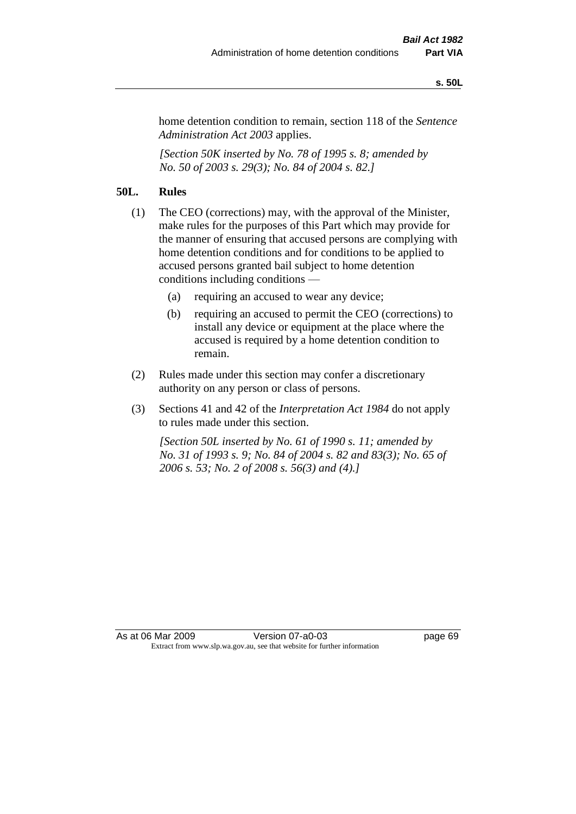#### **s. 50L**

home detention condition to remain, section 118 of the *Sentence Administration Act 2003* applies.

*[Section 50K inserted by No. 78 of 1995 s. 8; amended by No. 50 of 2003 s. 29(3); No. 84 of 2004 s. 82.]* 

# **50L. Rules**

- (1) The CEO (corrections) may, with the approval of the Minister, make rules for the purposes of this Part which may provide for the manner of ensuring that accused persons are complying with home detention conditions and for conditions to be applied to accused persons granted bail subject to home detention conditions including conditions —
	- (a) requiring an accused to wear any device;
	- (b) requiring an accused to permit the CEO (corrections) to install any device or equipment at the place where the accused is required by a home detention condition to remain.
- (2) Rules made under this section may confer a discretionary authority on any person or class of persons.
- (3) Sections 41 and 42 of the *Interpretation Act 1984* do not apply to rules made under this section.

*[Section 50L inserted by No. 61 of 1990 s. 11; amended by No. 31 of 1993 s. 9; No. 84 of 2004 s. 82 and 83(3); No. 65 of 2006 s. 53; No. 2 of 2008 s. 56(3) and (4).]*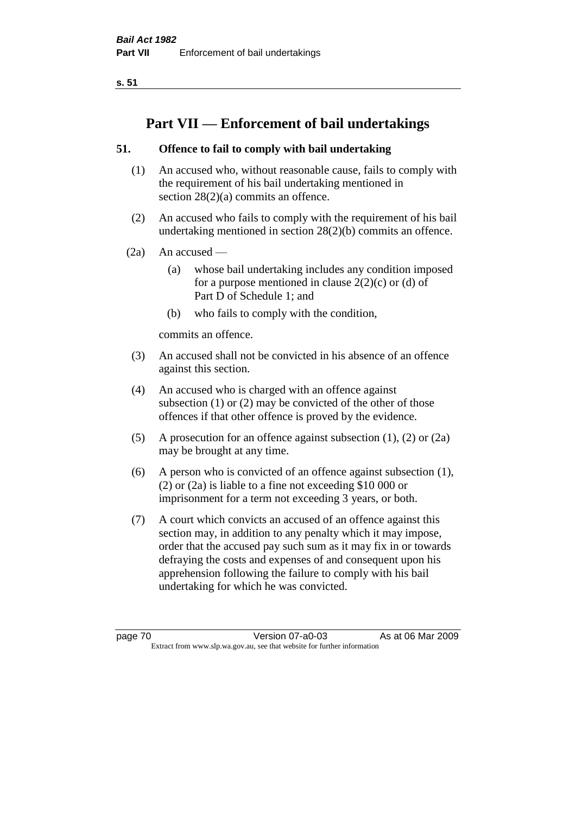**s. 51**

# **Part VII — Enforcement of bail undertakings**

# **51. Offence to fail to comply with bail undertaking**

- (1) An accused who, without reasonable cause, fails to comply with the requirement of his bail undertaking mentioned in section 28(2)(a) commits an offence.
- (2) An accused who fails to comply with the requirement of his bail undertaking mentioned in section 28(2)(b) commits an offence.
- $(2a)$  An accused
	- (a) whose bail undertaking includes any condition imposed for a purpose mentioned in clause  $2(2)(c)$  or (d) of Part D of Schedule 1; and
	- (b) who fails to comply with the condition,

commits an offence.

- (3) An accused shall not be convicted in his absence of an offence against this section.
- (4) An accused who is charged with an offence against subsection (1) or (2) may be convicted of the other of those offences if that other offence is proved by the evidence.
- (5) A prosecution for an offence against subsection (1), (2) or (2a) may be brought at any time.
- (6) A person who is convicted of an offence against subsection (1), (2) or (2a) is liable to a fine not exceeding \$10 000 or imprisonment for a term not exceeding 3 years, or both.
- (7) A court which convicts an accused of an offence against this section may, in addition to any penalty which it may impose, order that the accused pay such sum as it may fix in or towards defraying the costs and expenses of and consequent upon his apprehension following the failure to comply with his bail undertaking for which he was convicted.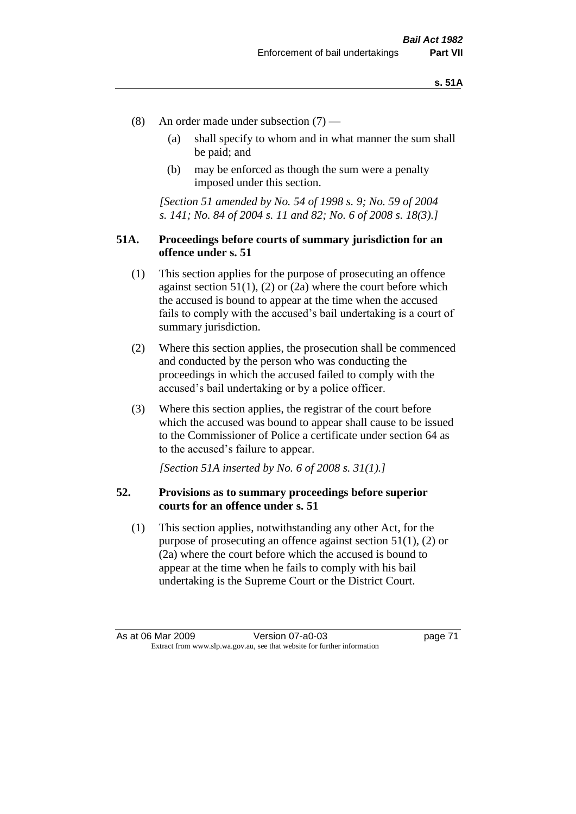- (8) An order made under subsection (7)
	- (a) shall specify to whom and in what manner the sum shall be paid; and
	- (b) may be enforced as though the sum were a penalty imposed under this section.

*[Section 51 amended by No. 54 of 1998 s. 9; No. 59 of 2004 s. 141; No. 84 of 2004 s. 11 and 82; No. 6 of 2008 s. 18(3).]*

## **51A. Proceedings before courts of summary jurisdiction for an offence under s. 51**

- (1) This section applies for the purpose of prosecuting an offence against section  $51(1)$ ,  $(2)$  or  $(2a)$  where the court before which the accused is bound to appear at the time when the accused fails to comply with the accused's bail undertaking is a court of summary jurisdiction.
- (2) Where this section applies, the prosecution shall be commenced and conducted by the person who was conducting the proceedings in which the accused failed to comply with the accused's bail undertaking or by a police officer.
- (3) Where this section applies, the registrar of the court before which the accused was bound to appear shall cause to be issued to the Commissioner of Police a certificate under section 64 as to the accused's failure to appear.

*[Section 51A inserted by No. 6 of 2008 s. 31(1).]*

## **52. Provisions as to summary proceedings before superior courts for an offence under s. 51**

(1) This section applies, notwithstanding any other Act, for the purpose of prosecuting an offence against section 51(1), (2) or (2a) where the court before which the accused is bound to appear at the time when he fails to comply with his bail undertaking is the Supreme Court or the District Court.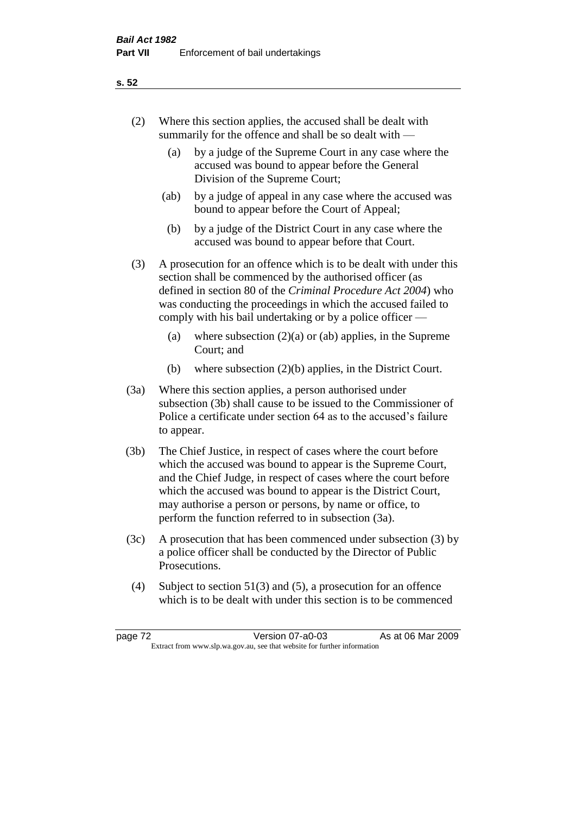- (2) Where this section applies, the accused shall be dealt with summarily for the offence and shall be so dealt with —
	- (a) by a judge of the Supreme Court in any case where the accused was bound to appear before the General Division of the Supreme Court;
	- (ab) by a judge of appeal in any case where the accused was bound to appear before the Court of Appeal;
	- (b) by a judge of the District Court in any case where the accused was bound to appear before that Court.
- (3) A prosecution for an offence which is to be dealt with under this section shall be commenced by the authorised officer (as defined in section 80 of the *Criminal Procedure Act 2004*) who was conducting the proceedings in which the accused failed to comply with his bail undertaking or by a police officer —
	- (a) where subsection  $(2)(a)$  or (ab) applies, in the Supreme Court; and
	- (b) where subsection (2)(b) applies, in the District Court.
- (3a) Where this section applies, a person authorised under subsection (3b) shall cause to be issued to the Commissioner of Police a certificate under section 64 as to the accused's failure to appear.
- (3b) The Chief Justice, in respect of cases where the court before which the accused was bound to appear is the Supreme Court, and the Chief Judge, in respect of cases where the court before which the accused was bound to appear is the District Court, may authorise a person or persons, by name or office, to perform the function referred to in subsection (3a).
- (3c) A prosecution that has been commenced under subsection (3) by a police officer shall be conducted by the Director of Public Prosecutions.
- (4) Subject to section 51(3) and (5), a prosecution for an offence which is to be dealt with under this section is to be commenced

### **s. 52**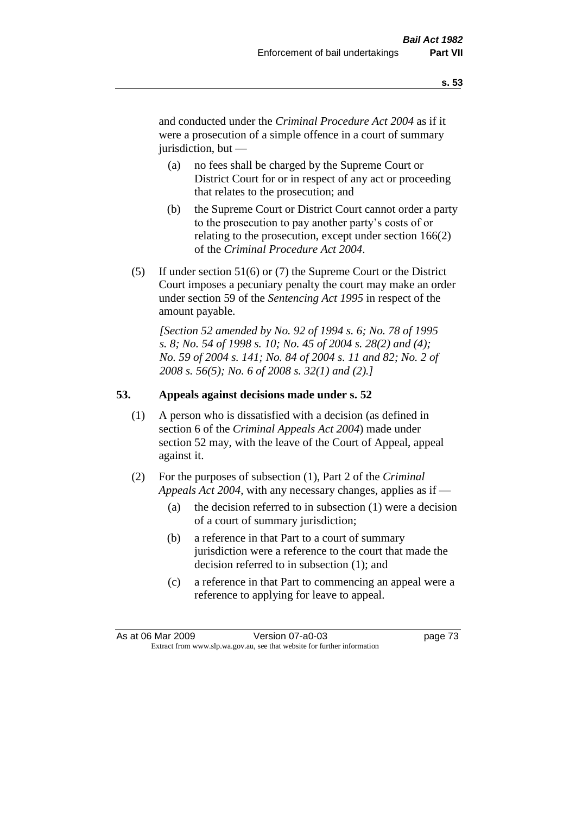and conducted under the *Criminal Procedure Act 2004* as if it were a prosecution of a simple offence in a court of summary jurisdiction, but —

- (a) no fees shall be charged by the Supreme Court or District Court for or in respect of any act or proceeding that relates to the prosecution; and
- (b) the Supreme Court or District Court cannot order a party to the prosecution to pay another party's costs of or relating to the prosecution, except under section 166(2) of the *Criminal Procedure Act 2004*.
- (5) If under section 51(6) or (7) the Supreme Court or the District Court imposes a pecuniary penalty the court may make an order under section 59 of the *Sentencing Act 1995* in respect of the amount payable.

*[Section 52 amended by No. 92 of 1994 s. 6; No. 78 of 1995 s. 8; No. 54 of 1998 s. 10; No. 45 of 2004 s. 28(2) and (4); No. 59 of 2004 s. 141; No. 84 of 2004 s. 11 and 82; No. 2 of 2008 s. 56(5); No. 6 of 2008 s. 32(1) and (2).]* 

# **53. Appeals against decisions made under s. 52**

- (1) A person who is dissatisfied with a decision (as defined in section 6 of the *Criminal Appeals Act 2004*) made under section 52 may, with the leave of the Court of Appeal, appeal against it.
- (2) For the purposes of subsection (1), Part 2 of the *Criminal Appeals Act 2004*, with any necessary changes, applies as if —
	- (a) the decision referred to in subsection (1) were a decision of a court of summary jurisdiction;
	- (b) a reference in that Part to a court of summary jurisdiction were a reference to the court that made the decision referred to in subsection (1); and
	- (c) a reference in that Part to commencing an appeal were a reference to applying for leave to appeal.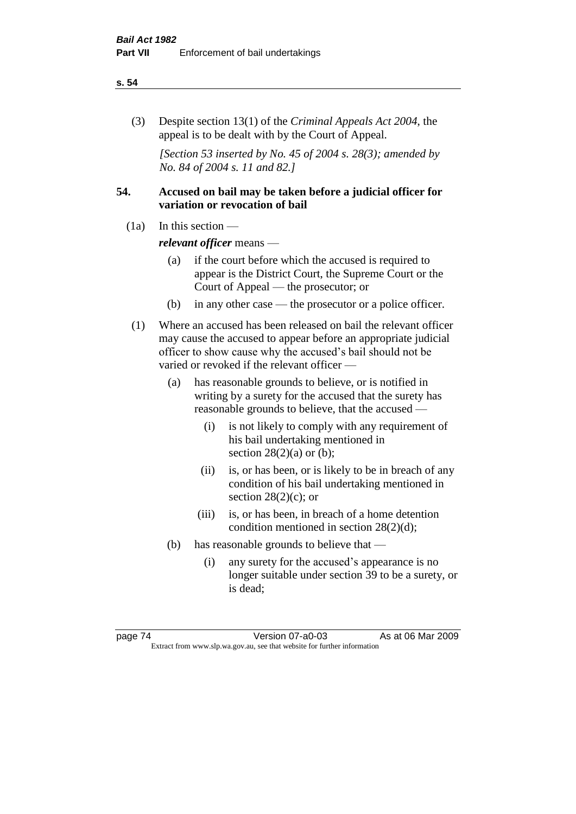#### **s. 54**

(3) Despite section 13(1) of the *Criminal Appeals Act 2004*, the appeal is to be dealt with by the Court of Appeal.

*[Section 53 inserted by No. 45 of 2004 s. 28(3); amended by No. 84 of 2004 s. 11 and 82.]*

# **54. Accused on bail may be taken before a judicial officer for variation or revocation of bail**

(1a) In this section —

*relevant officer* means —

- (a) if the court before which the accused is required to appear is the District Court, the Supreme Court or the Court of Appeal — the prosecutor; or
- (b) in any other case the prosecutor or a police officer.
- (1) Where an accused has been released on bail the relevant officer may cause the accused to appear before an appropriate judicial officer to show cause why the accused's bail should not be varied or revoked if the relevant officer —
	- (a) has reasonable grounds to believe, or is notified in writing by a surety for the accused that the surety has reasonable grounds to believe, that the accused —
		- (i) is not likely to comply with any requirement of his bail undertaking mentioned in section  $28(2)(a)$  or (b);
		- (ii) is, or has been, or is likely to be in breach of any condition of his bail undertaking mentioned in section  $28(2)(c)$ ; or
		- (iii) is, or has been, in breach of a home detention condition mentioned in section 28(2)(d);
	- (b) has reasonable grounds to believe that
		- (i) any surety for the accused's appearance is no longer suitable under section 39 to be a surety, or is dead;

page 74 Version 07-a0-03 As at 06 Mar 2009 Extract from www.slp.wa.gov.au, see that website for further information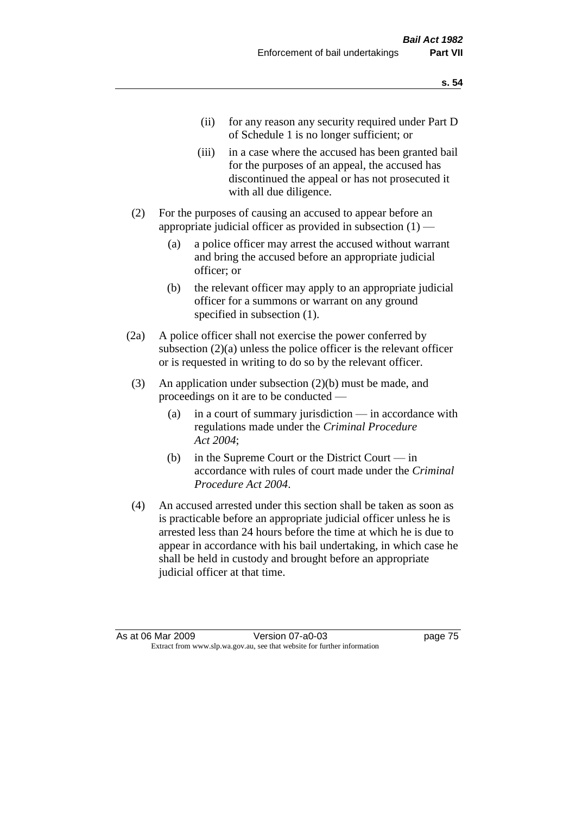- (ii) for any reason any security required under Part D of Schedule 1 is no longer sufficient; or
- (iii) in a case where the accused has been granted bail for the purposes of an appeal, the accused has discontinued the appeal or has not prosecuted it with all due diligence.
- (2) For the purposes of causing an accused to appear before an appropriate judicial officer as provided in subsection  $(1)$  —
	- (a) a police officer may arrest the accused without warrant and bring the accused before an appropriate judicial officer; or
	- (b) the relevant officer may apply to an appropriate judicial officer for a summons or warrant on any ground specified in subsection  $(1)$ .
- (2a) A police officer shall not exercise the power conferred by subsection (2)(a) unless the police officer is the relevant officer or is requested in writing to do so by the relevant officer.
- (3) An application under subsection (2)(b) must be made, and proceedings on it are to be conducted —
	- (a) in a court of summary jurisdiction in accordance with regulations made under the *Criminal Procedure Act 2004*;
	- (b) in the Supreme Court or the District Court in accordance with rules of court made under the *Criminal Procedure Act 2004*.
- (4) An accused arrested under this section shall be taken as soon as is practicable before an appropriate judicial officer unless he is arrested less than 24 hours before the time at which he is due to appear in accordance with his bail undertaking, in which case he shall be held in custody and brought before an appropriate judicial officer at that time.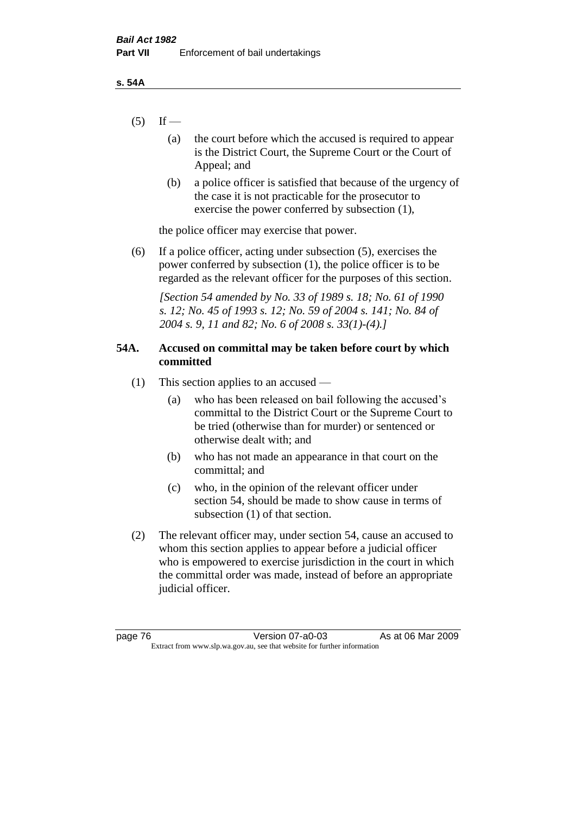- $(5)$  If
	- (a) the court before which the accused is required to appear is the District Court, the Supreme Court or the Court of Appeal; and
	- (b) a police officer is satisfied that because of the urgency of the case it is not practicable for the prosecutor to exercise the power conferred by subsection (1),

the police officer may exercise that power.

(6) If a police officer, acting under subsection (5), exercises the power conferred by subsection (1), the police officer is to be regarded as the relevant officer for the purposes of this section.

*[Section 54 amended by No. 33 of 1989 s. 18; No. 61 of 1990 s. 12; No. 45 of 1993 s. 12; No. 59 of 2004 s. 141; No. 84 of 2004 s. 9, 11 and 82; No. 6 of 2008 s. 33(1)-(4).]* 

# **54A. Accused on committal may be taken before court by which committed**

- (1) This section applies to an accused
	- (a) who has been released on bail following the accused's committal to the District Court or the Supreme Court to be tried (otherwise than for murder) or sentenced or otherwise dealt with; and
	- (b) who has not made an appearance in that court on the committal; and
	- (c) who, in the opinion of the relevant officer under section 54, should be made to show cause in terms of subsection (1) of that section.
- (2) The relevant officer may, under section 54, cause an accused to whom this section applies to appear before a judicial officer who is empowered to exercise jurisdiction in the court in which the committal order was made, instead of before an appropriate judicial officer.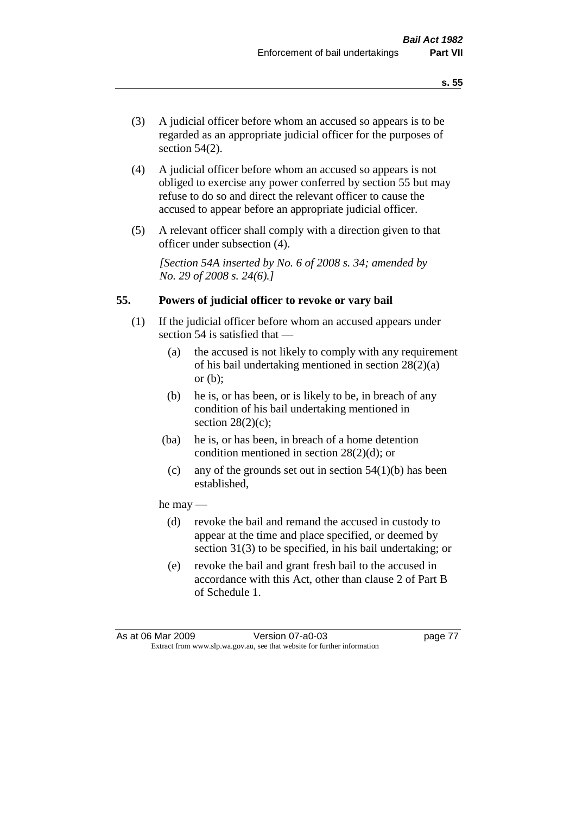- (3) A judicial officer before whom an accused so appears is to be regarded as an appropriate judicial officer for the purposes of section 54(2).
- (4) A judicial officer before whom an accused so appears is not obliged to exercise any power conferred by section 55 but may refuse to do so and direct the relevant officer to cause the accused to appear before an appropriate judicial officer.
- (5) A relevant officer shall comply with a direction given to that officer under subsection (4).

*[Section 54A inserted by No. 6 of 2008 s. 34; amended by No. 29 of 2008 s. 24(6).]*

### **55. Powers of judicial officer to revoke or vary bail**

- (1) If the judicial officer before whom an accused appears under section 54 is satisfied that —
	- (a) the accused is not likely to comply with any requirement of his bail undertaking mentioned in section 28(2)(a) or (b);
	- (b) he is, or has been, or is likely to be, in breach of any condition of his bail undertaking mentioned in section  $28(2)(c)$ ;
	- (ba) he is, or has been, in breach of a home detention condition mentioned in section 28(2)(d); or
		- (c) any of the grounds set out in section  $54(1)(b)$  has been established,

#### he may —

- (d) revoke the bail and remand the accused in custody to appear at the time and place specified, or deemed by section 31(3) to be specified, in his bail undertaking; or
- (e) revoke the bail and grant fresh bail to the accused in accordance with this Act, other than clause 2 of Part B of Schedule 1.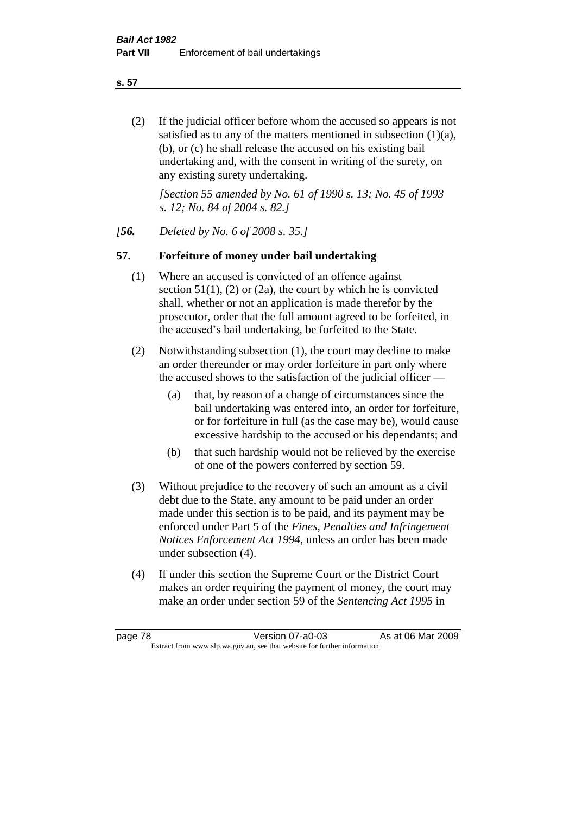**s. 57**

(2) If the judicial officer before whom the accused so appears is not satisfied as to any of the matters mentioned in subsection (1)(a), (b), or (c) he shall release the accused on his existing bail undertaking and, with the consent in writing of the surety, on any existing surety undertaking.

*[Section 55 amended by No. 61 of 1990 s. 13; No. 45 of 1993 s. 12; No. 84 of 2004 s. 82.]* 

*[56. Deleted by No. 6 of 2008 s. 35.]*

# **57. Forfeiture of money under bail undertaking**

- (1) Where an accused is convicted of an offence against section  $51(1)$ , (2) or (2a), the court by which he is convicted shall, whether or not an application is made therefor by the prosecutor, order that the full amount agreed to be forfeited, in the accused's bail undertaking, be forfeited to the State.
- (2) Notwithstanding subsection (1), the court may decline to make an order thereunder or may order forfeiture in part only where the accused shows to the satisfaction of the judicial officer —
	- (a) that, by reason of a change of circumstances since the bail undertaking was entered into, an order for forfeiture, or for forfeiture in full (as the case may be), would cause excessive hardship to the accused or his dependants; and
	- (b) that such hardship would not be relieved by the exercise of one of the powers conferred by section 59.
- (3) Without prejudice to the recovery of such an amount as a civil debt due to the State, any amount to be paid under an order made under this section is to be paid, and its payment may be enforced under Part 5 of the *Fines, Penalties and Infringement Notices Enforcement Act 1994*, unless an order has been made under subsection (4).
- (4) If under this section the Supreme Court or the District Court makes an order requiring the payment of money, the court may make an order under section 59 of the *Sentencing Act 1995* in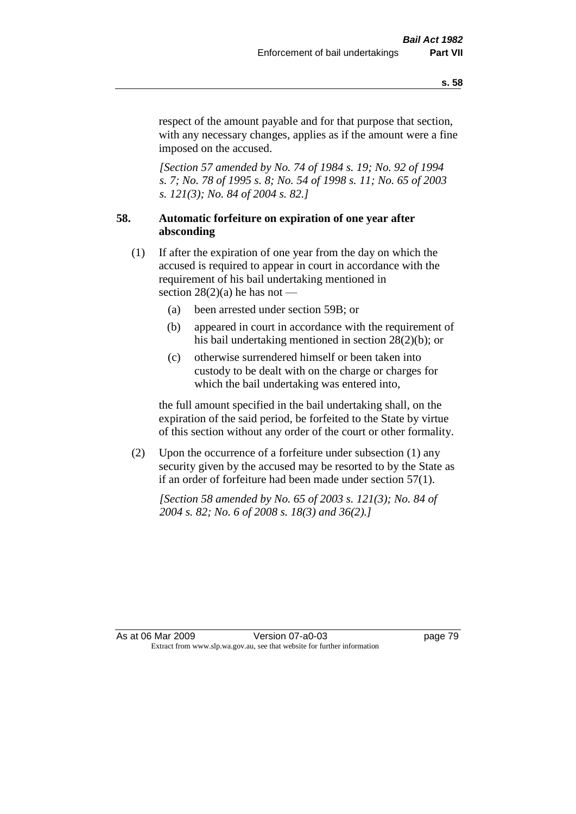respect of the amount payable and for that purpose that section, with any necessary changes, applies as if the amount were a fine imposed on the accused.

*[Section 57 amended by No. 74 of 1984 s. 19; No. 92 of 1994 s. 7; No. 78 of 1995 s. 8; No. 54 of 1998 s. 11; No. 65 of 2003 s. 121(3); No. 84 of 2004 s. 82.]* 

# **58. Automatic forfeiture on expiration of one year after absconding**

- (1) If after the expiration of one year from the day on which the accused is required to appear in court in accordance with the requirement of his bail undertaking mentioned in section  $28(2)(a)$  he has not —
	- (a) been arrested under section 59B; or
	- (b) appeared in court in accordance with the requirement of his bail undertaking mentioned in section 28(2)(b); or
	- (c) otherwise surrendered himself or been taken into custody to be dealt with on the charge or charges for which the bail undertaking was entered into,

the full amount specified in the bail undertaking shall, on the expiration of the said period, be forfeited to the State by virtue of this section without any order of the court or other formality.

(2) Upon the occurrence of a forfeiture under subsection (1) any security given by the accused may be resorted to by the State as if an order of forfeiture had been made under section 57(1).

*[Section 58 amended by No. 65 of 2003 s. 121(3); No. 84 of 2004 s. 82; No. 6 of 2008 s. 18(3) and 36(2).]*

As at 06 Mar 2009 Version 07-a0-03 page 79 Extract from www.slp.wa.gov.au, see that website for further information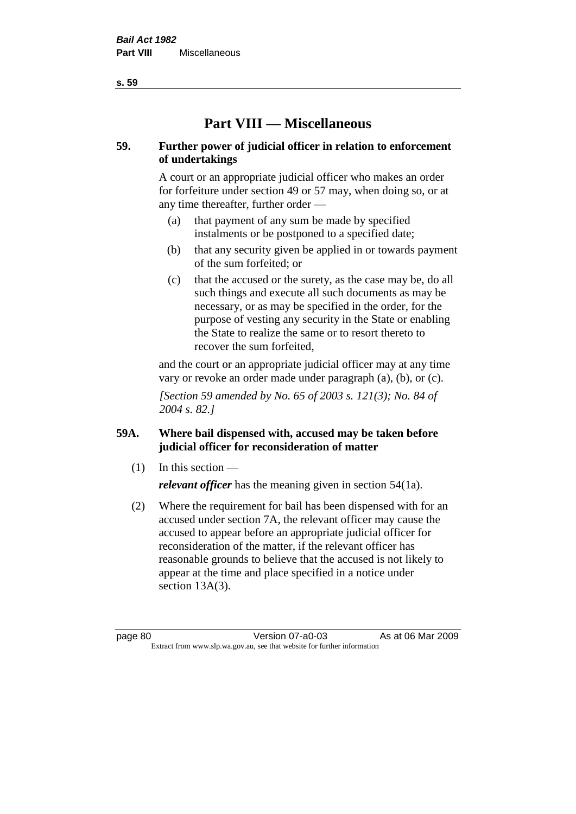# **Part VIII — Miscellaneous**

# **59. Further power of judicial officer in relation to enforcement of undertakings**

A court or an appropriate judicial officer who makes an order for forfeiture under section 49 or 57 may, when doing so, or at any time thereafter, further order —

- (a) that payment of any sum be made by specified instalments or be postponed to a specified date;
- (b) that any security given be applied in or towards payment of the sum forfeited; or
- (c) that the accused or the surety, as the case may be, do all such things and execute all such documents as may be necessary, or as may be specified in the order, for the purpose of vesting any security in the State or enabling the State to realize the same or to resort thereto to recover the sum forfeited,

and the court or an appropriate judicial officer may at any time vary or revoke an order made under paragraph (a), (b), or (c).

*[Section 59 amended by No. 65 of 2003 s. 121(3); No. 84 of 2004 s. 82.]*

# **59A. Where bail dispensed with, accused may be taken before judicial officer for reconsideration of matter**

- $(1)$  In this section *relevant officer* has the meaning given in section 54(1a).
- (2) Where the requirement for bail has been dispensed with for an accused under section 7A, the relevant officer may cause the accused to appear before an appropriate judicial officer for reconsideration of the matter, if the relevant officer has reasonable grounds to believe that the accused is not likely to appear at the time and place specified in a notice under section 13A(3).

**s. 59**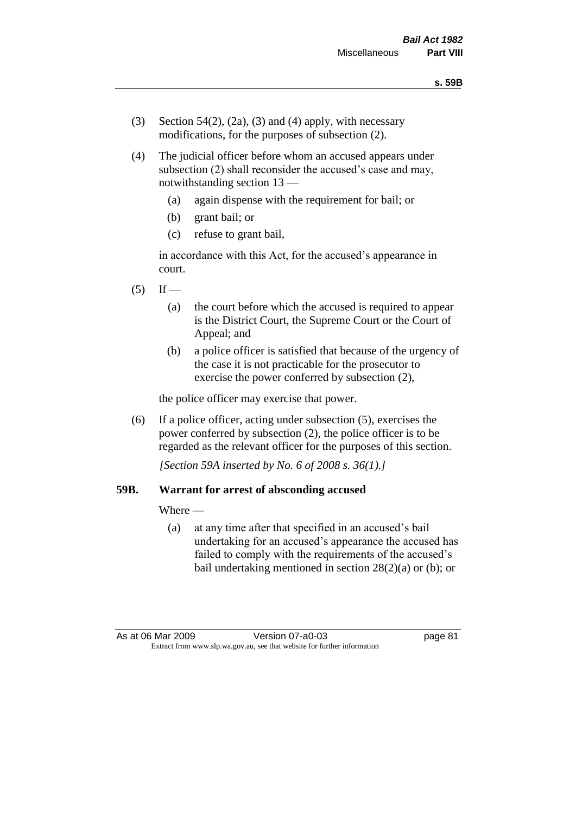- (3) Section 54(2), (2a), (3) and (4) apply, with necessary modifications, for the purposes of subsection (2).
- (4) The judicial officer before whom an accused appears under subsection (2) shall reconsider the accused's case and may, notwithstanding section 13 —
	- (a) again dispense with the requirement for bail; or
	- (b) grant bail; or
	- (c) refuse to grant bail,

in accordance with this Act, for the accused's appearance in court.

- $(5)$  If
	- (a) the court before which the accused is required to appear is the District Court, the Supreme Court or the Court of Appeal; and
	- (b) a police officer is satisfied that because of the urgency of the case it is not practicable for the prosecutor to exercise the power conferred by subsection (2),

the police officer may exercise that power.

(6) If a police officer, acting under subsection (5), exercises the power conferred by subsection (2), the police officer is to be regarded as the relevant officer for the purposes of this section.

*[Section 59A inserted by No. 6 of 2008 s. 36(1).]*

#### **59B. Warrant for arrest of absconding accused**

Where —

(a) at any time after that specified in an accused's bail undertaking for an accused's appearance the accused has failed to comply with the requirements of the accused's bail undertaking mentioned in section 28(2)(a) or (b); or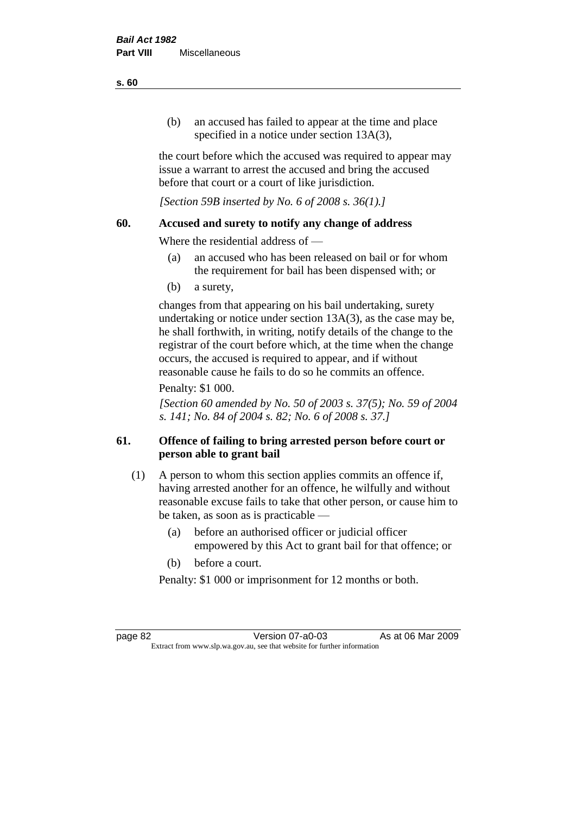(b) an accused has failed to appear at the time and place specified in a notice under section 13A(3).

the court before which the accused was required to appear may issue a warrant to arrest the accused and bring the accused before that court or a court of like jurisdiction.

*[Section 59B inserted by No. 6 of 2008 s. 36(1).]*

### **60. Accused and surety to notify any change of address**

Where the residential address of —

- (a) an accused who has been released on bail or for whom the requirement for bail has been dispensed with; or
- (b) a surety,

changes from that appearing on his bail undertaking, surety undertaking or notice under section 13A(3), as the case may be, he shall forthwith, in writing, notify details of the change to the registrar of the court before which, at the time when the change occurs, the accused is required to appear, and if without reasonable cause he fails to do so he commits an offence.

# Penalty: \$1 000.

*[Section 60 amended by No. 50 of 2003 s. 37(5); No. 59 of 2004 s. 141; No. 84 of 2004 s. 82; No. 6 of 2008 s. 37.]*

# **61. Offence of failing to bring arrested person before court or person able to grant bail**

- (1) A person to whom this section applies commits an offence if, having arrested another for an offence, he wilfully and without reasonable excuse fails to take that other person, or cause him to be taken, as soon as is practicable —
	- (a) before an authorised officer or judicial officer empowered by this Act to grant bail for that offence; or
	- (b) before a court.

Penalty: \$1 000 or imprisonment for 12 months or both.

page 82 Version 07-a0-03 As at 06 Mar 2009 Extract from www.slp.wa.gov.au, see that website for further information

#### **s. 60**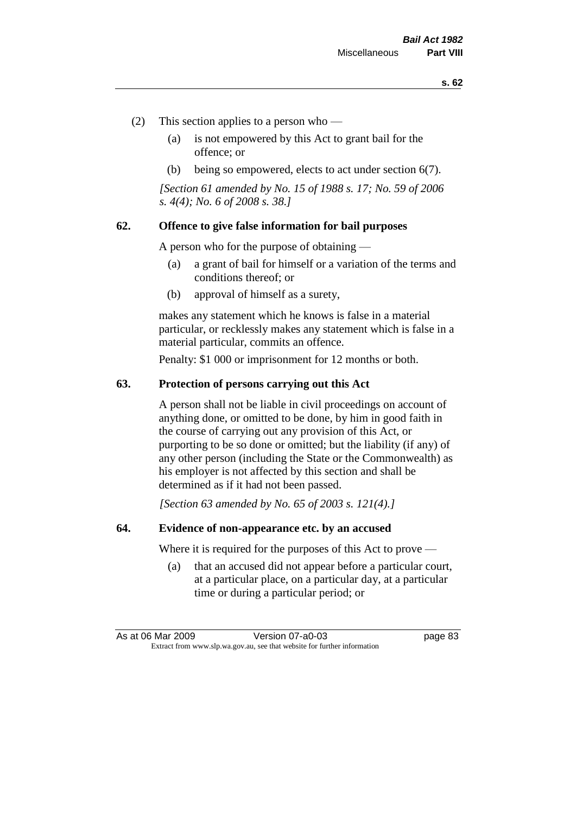- (2) This section applies to a person who
	- (a) is not empowered by this Act to grant bail for the offence; or
	- (b) being so empowered, elects to act under section 6(7).

*[Section 61 amended by No. 15 of 1988 s. 17; No. 59 of 2006 s. 4(4); No. 6 of 2008 s. 38.]* 

### **62. Offence to give false information for bail purposes**

A person who for the purpose of obtaining —

- (a) a grant of bail for himself or a variation of the terms and conditions thereof; or
- (b) approval of himself as a surety,

makes any statement which he knows is false in a material particular, or recklessly makes any statement which is false in a material particular, commits an offence.

Penalty: \$1 000 or imprisonment for 12 months or both.

#### **63. Protection of persons carrying out this Act**

A person shall not be liable in civil proceedings on account of anything done, or omitted to be done, by him in good faith in the course of carrying out any provision of this Act, or purporting to be so done or omitted; but the liability (if any) of any other person (including the State or the Commonwealth) as his employer is not affected by this section and shall be determined as if it had not been passed.

*[Section 63 amended by No. 65 of 2003 s. 121(4).]*

### **64. Evidence of non-appearance etc. by an accused**

Where it is required for the purposes of this Act to prove —

(a) that an accused did not appear before a particular court, at a particular place, on a particular day, at a particular time or during a particular period; or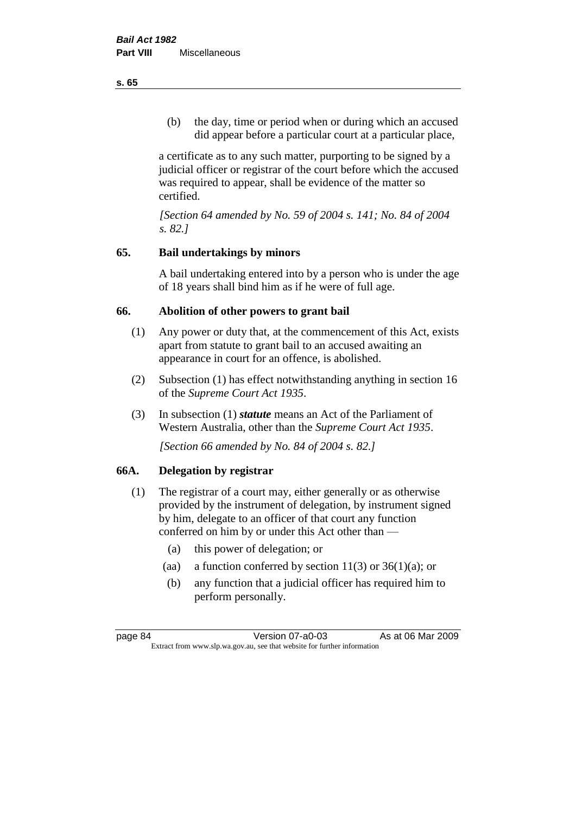(b) the day, time or period when or during which an accused did appear before a particular court at a particular place,

a certificate as to any such matter, purporting to be signed by a judicial officer or registrar of the court before which the accused was required to appear, shall be evidence of the matter so certified.

*[Section 64 amended by No. 59 of 2004 s. 141; No. 84 of 2004 s. 82.]* 

# **65. Bail undertakings by minors**

A bail undertaking entered into by a person who is under the age of 18 years shall bind him as if he were of full age.

# **66. Abolition of other powers to grant bail**

- (1) Any power or duty that, at the commencement of this Act, exists apart from statute to grant bail to an accused awaiting an appearance in court for an offence, is abolished.
- (2) Subsection (1) has effect notwithstanding anything in section 16 of the *Supreme Court Act 1935*.
- (3) In subsection (1) *statute* means an Act of the Parliament of Western Australia, other than the *Supreme Court Act 1935*.

*[Section 66 amended by No. 84 of 2004 s. 82.]*

# **66A. Delegation by registrar**

- (1) The registrar of a court may, either generally or as otherwise provided by the instrument of delegation, by instrument signed by him, delegate to an officer of that court any function conferred on him by or under this Act other than —
	- (a) this power of delegation; or
	- (aa) a function conferred by section  $11(3)$  or  $36(1)(a)$ ; or
	- (b) any function that a judicial officer has required him to perform personally.

**s. 65**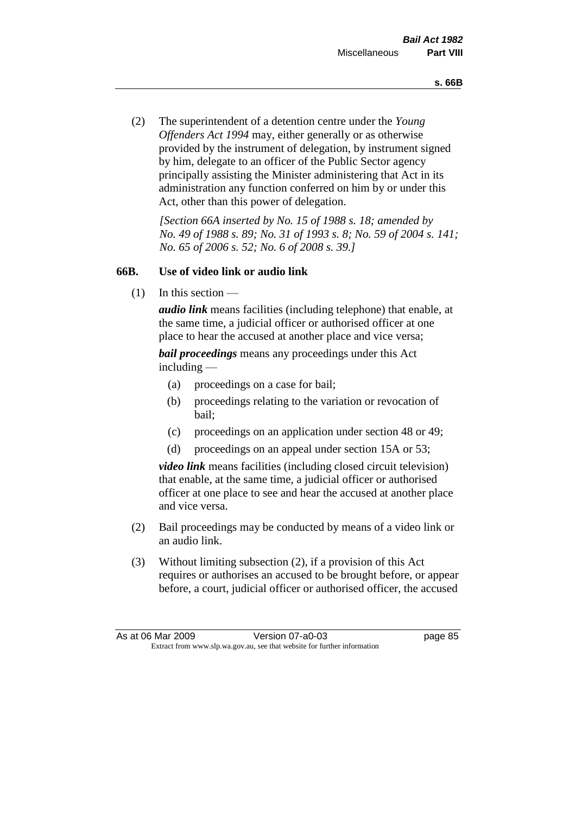(2) The superintendent of a detention centre under the *Young Offenders Act 1994* may, either generally or as otherwise provided by the instrument of delegation, by instrument signed by him, delegate to an officer of the Public Sector agency principally assisting the Minister administering that Act in its administration any function conferred on him by or under this Act, other than this power of delegation.

*[Section 66A inserted by No. 15 of 1988 s. 18; amended by No. 49 of 1988 s. 89; No. 31 of 1993 s. 8; No. 59 of 2004 s. 141; No. 65 of 2006 s. 52; No. 6 of 2008 s. 39.]* 

# **66B. Use of video link or audio link**

(1) In this section —

*audio link* means facilities (including telephone) that enable, at the same time, a judicial officer or authorised officer at one place to hear the accused at another place and vice versa;

*bail proceedings* means any proceedings under this Act including —

- (a) proceedings on a case for bail;
- (b) proceedings relating to the variation or revocation of bail;
- (c) proceedings on an application under section 48 or 49;
- (d) proceedings on an appeal under section 15A or 53;

*video link* means facilities (including closed circuit television) that enable, at the same time, a judicial officer or authorised officer at one place to see and hear the accused at another place and vice versa.

- (2) Bail proceedings may be conducted by means of a video link or an audio link.
- (3) Without limiting subsection (2), if a provision of this Act requires or authorises an accused to be brought before, or appear before, a court, judicial officer or authorised officer, the accused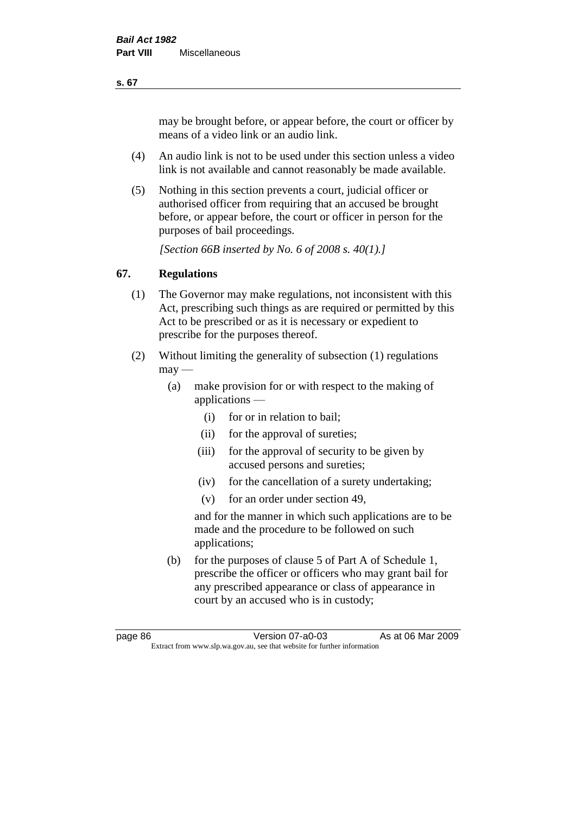may be brought before, or appear before, the court or officer by means of a video link or an audio link.

- (4) An audio link is not to be used under this section unless a video link is not available and cannot reasonably be made available.
- (5) Nothing in this section prevents a court, judicial officer or authorised officer from requiring that an accused be brought before, or appear before, the court or officer in person for the purposes of bail proceedings.

*[Section 66B inserted by No. 6 of 2008 s. 40(1).]*

# **67. Regulations**

- (1) The Governor may make regulations, not inconsistent with this Act, prescribing such things as are required or permitted by this Act to be prescribed or as it is necessary or expedient to prescribe for the purposes thereof.
- (2) Without limiting the generality of subsection (1) regulations  $\text{max}$  —
	- (a) make provision for or with respect to the making of applications —
		- (i) for or in relation to bail;
		- (ii) for the approval of sureties;
		- (iii) for the approval of security to be given by accused persons and sureties;
		- (iv) for the cancellation of a surety undertaking;
		- (v) for an order under section 49,

and for the manner in which such applications are to be made and the procedure to be followed on such applications;

(b) for the purposes of clause 5 of Part A of Schedule 1, prescribe the officer or officers who may grant bail for any prescribed appearance or class of appearance in court by an accused who is in custody;

**s. 67**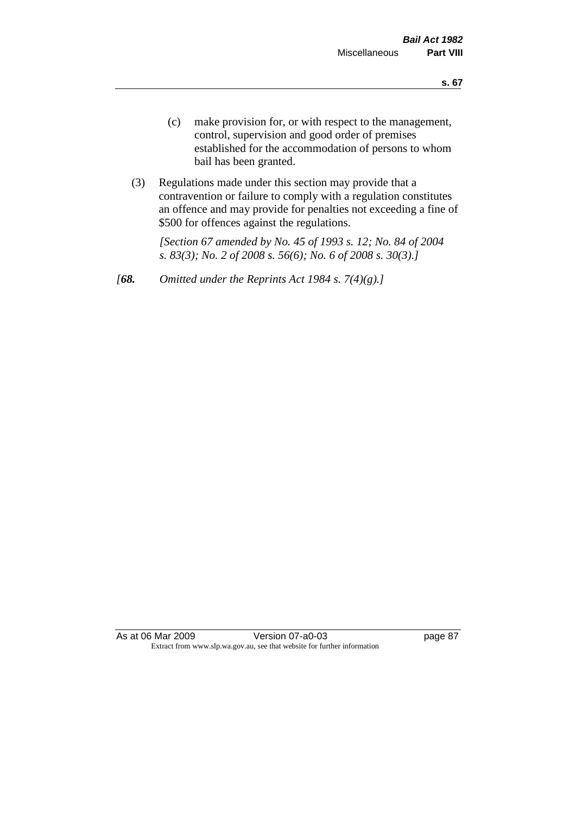- (c) make provision for, or with respect to the management, control, supervision and good order of premises established for the accommodation of persons to whom bail has been granted.
- (3) Regulations made under this section may provide that a contravention or failure to comply with a regulation constitutes an offence and may provide for penalties not exceeding a fine of \$500 for offences against the regulations.

*[Section 67 amended by No. 45 of 1993 s. 12; No. 84 of 2004 s. 83(3); No. 2 of 2008 s. 56(6); No. 6 of 2008 s. 30(3).]* 

*[68. Omitted under the Reprints Act 1984 s. 7(4)(g).]*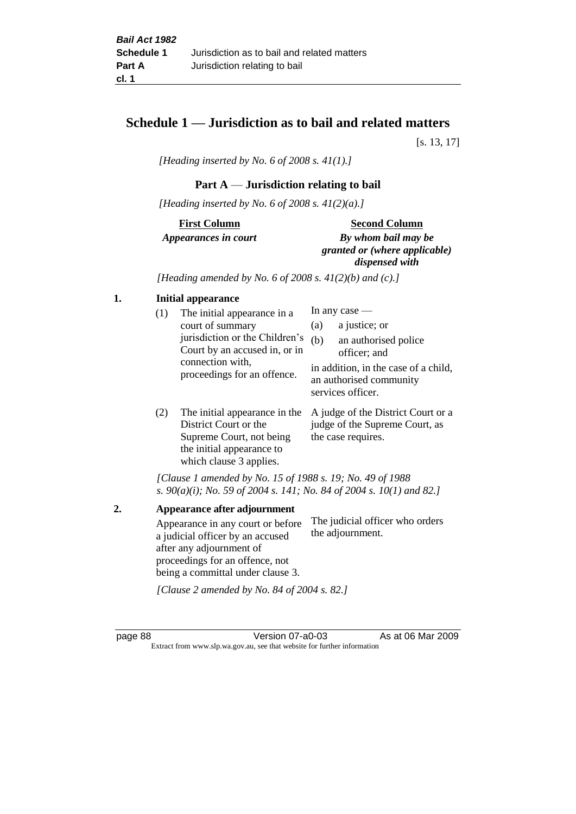# **Schedule 1 — Jurisdiction as to bail and related matters**

[s. 13, 17]

*[Heading inserted by No. 6 of 2008 s. 41(1).]*

# **Part A** — **Jurisdiction relating to bail**

*[Heading inserted by No. 6 of 2008 s. 41(2)(a).]*

# **First Column** *Appearances in court*

#### **Second Column**

*By whom bail may be granted or (where applicable) dispensed with*

*[Heading amended by No. 6 of 2008 s. 41(2)(b) and (c).]*

### **1. Initial appearance**

| (1) | The initial appearance in a<br>court of summary<br>jurisdiction or the Children's<br>Court by an accused in, or in<br>connection with,<br>proceedings for an offence. | In any case $-$<br>a justice; or<br>(a)<br>(b)<br>an authorised police<br>officer; and |                                                                                      |
|-----|-----------------------------------------------------------------------------------------------------------------------------------------------------------------------|----------------------------------------------------------------------------------------|--------------------------------------------------------------------------------------|
|     |                                                                                                                                                                       |                                                                                        | in addition, in the case of a child,<br>an authorised community<br>services officer. |

(2) The initial appearance in the A judge of the District Court or a District Court or the Supreme Court, not being the initial appearance to which clause 3 applies. judge of the Supreme Court, as the case requires.

*[Clause 1 amended by No. 15 of 1988 s. 19; No. 49 of 1988 s. 90(a)(i); No. 59 of 2004 s. 141; No. 84 of 2004 s. 10(1) and 82.]*

**2. Appearance after adjournment** Appearance in any court or before a judicial officer by an accused after any adjournment of proceedings for an offence, not being a committal under clause 3. The judicial officer who orders the adjournment.

*[Clause 2 amended by No. 84 of 2004 s. 82.]*

page 88 Version 07-a0-03 As at 06 Mar 2009 Extract from www.slp.wa.gov.au, see that website for further information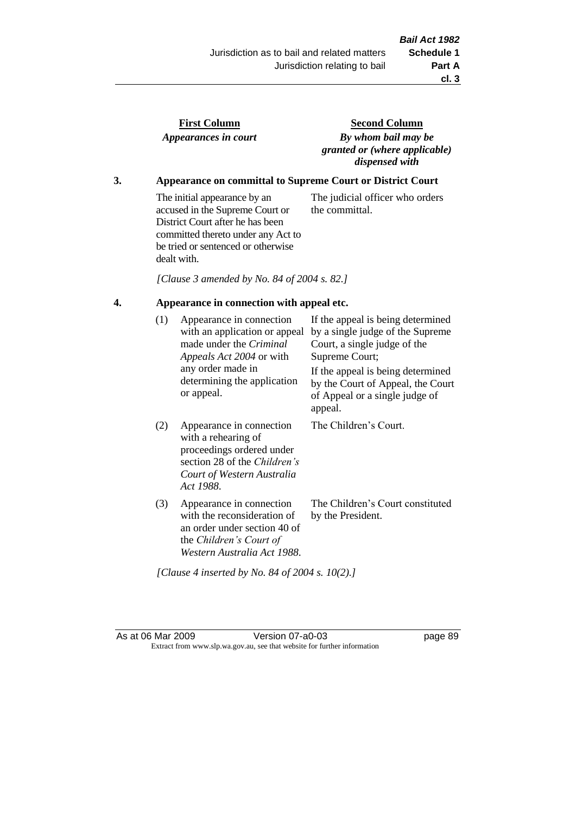the committal.

| <b>First Column</b>  |  |
|----------------------|--|
| Appearances in court |  |

**Second Column** *By whom bail may be granted or (where applicable) dispensed with*

The judicial officer who orders

# **3. Appearance on committal to Supreme Court or District Court**

The initial appearance by an accused in the Supreme Court or District Court after he has been committed thereto under any Act to be tried or sentenced or otherwise dealt with.

*[Clause 3 amended by No. 84 of 2004 s. 82.]*

## **4. Appearance in connection with appeal etc.**

| (1) | Appearance in connection<br>with an application or appeal<br>made under the Criminal<br>Appeals Act 2004 or with<br>any order made in<br>determining the application<br>or appeal. | If the appeal is being determined<br>by a single judge of the Supreme<br>Court, a single judge of the<br>Supreme Court;<br>If the appeal is being determined<br>by the Court of Appeal, the Court<br>of Appeal or a single judge of<br>appeal. |
|-----|------------------------------------------------------------------------------------------------------------------------------------------------------------------------------------|------------------------------------------------------------------------------------------------------------------------------------------------------------------------------------------------------------------------------------------------|
| (2) | Appearance in connection<br>with a rehearing of<br>proceedings ordered under<br>section 28 of the <i>Children's</i><br>Court of Western Australia<br>Act 1988.                     | The Children's Court.                                                                                                                                                                                                                          |
| (3) | Appearance in connection<br>with the reconsideration of<br>an order under section 40 of<br>the <i>Children's Court of</i><br>Western Australia Act 1988.                           | The Children's Court constituted<br>by the President.                                                                                                                                                                                          |

As at 06 Mar 2009 Version 07-a0-03 page 89 Extract from www.slp.wa.gov.au, see that website for further information

*[Clause 4 inserted by No. 84 of 2004 s. 10(2).]*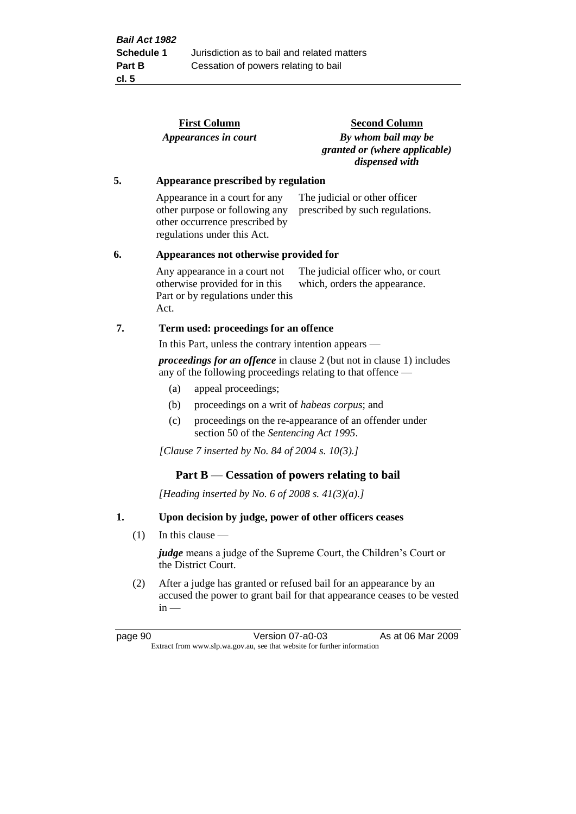|    |     |                                                       | <b>First Column</b>                                                                                                              | <b>Second Column</b>                                                                                                                 |  |
|----|-----|-------------------------------------------------------|----------------------------------------------------------------------------------------------------------------------------------|--------------------------------------------------------------------------------------------------------------------------------------|--|
|    |     |                                                       | Appearances in court                                                                                                             | By whom bail may be<br>granted or (where applicable)<br>dispensed with                                                               |  |
| 5. |     |                                                       | Appearance prescribed by regulation                                                                                              |                                                                                                                                      |  |
|    |     |                                                       | Appearance in a court for any<br>other purpose or following any<br>other occurrence prescribed by<br>regulations under this Act. | The judicial or other officer<br>prescribed by such regulations.                                                                     |  |
| 6. |     |                                                       | Appearances not otherwise provided for                                                                                           |                                                                                                                                      |  |
|    |     | Act.                                                  | Any appearance in a court not<br>otherwise provided for in this<br>Part or by regulations under this                             | The judicial officer who, or court<br>which, orders the appearance.                                                                  |  |
| 7. |     |                                                       | Term used: proceedings for an offence                                                                                            |                                                                                                                                      |  |
|    |     | In this Part, unless the contrary intention appears — |                                                                                                                                  |                                                                                                                                      |  |
|    |     |                                                       |                                                                                                                                  | proceedings for an offence in clause 2 (but not in clause 1) includes<br>any of the following proceedings relating to that offence — |  |
|    |     | (a)                                                   | appeal proceedings;                                                                                                              |                                                                                                                                      |  |
|    |     | (b)                                                   | proceedings on a writ of <i>habeas corpus</i> ; and                                                                              |                                                                                                                                      |  |
|    |     | (c)                                                   | section 50 of the Sentencing Act 1995.                                                                                           | proceedings on the re-appearance of an offender under                                                                                |  |
|    |     |                                                       | [Clause 7 inserted by No. 84 of 2004 s. 10(3).]                                                                                  |                                                                                                                                      |  |
|    |     |                                                       | Part $B$ — Cessation of powers relating to bail                                                                                  |                                                                                                                                      |  |
|    |     |                                                       | [Heading inserted by No. 6 of 2008 s. $41(3)(a)$ .]                                                                              |                                                                                                                                      |  |
| 1. |     |                                                       |                                                                                                                                  | Upon decision by judge, power of other officers ceases                                                                               |  |
|    | (1) |                                                       | In this clause $-$                                                                                                               |                                                                                                                                      |  |
|    |     |                                                       | the District Court.                                                                                                              | <i>judge</i> means a judge of the Supreme Court, the Children's Court or                                                             |  |

(2) After a judge has granted or refused bail for an appearance by an accused the power to grant bail for that appearance ceases to be vested  $in -$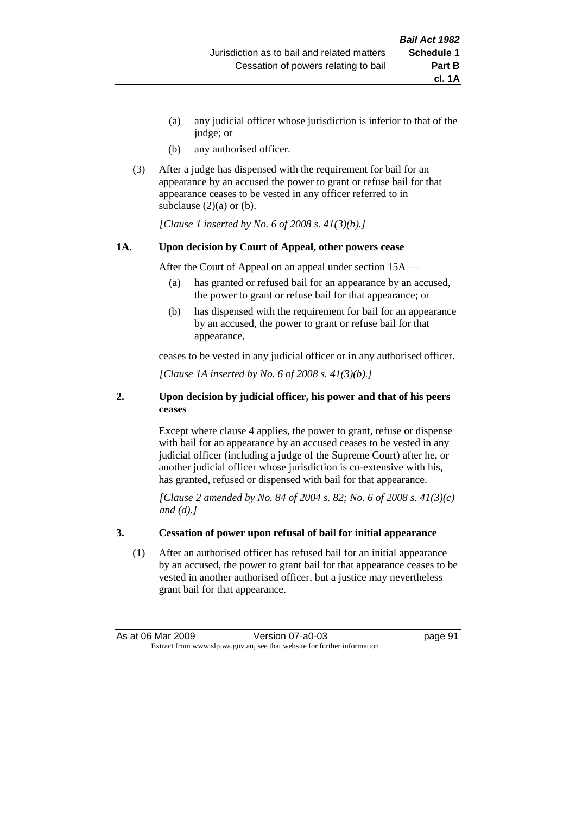- (a) any judicial officer whose jurisdiction is inferior to that of the judge; or
- (b) any authorised officer.
- (3) After a judge has dispensed with the requirement for bail for an appearance by an accused the power to grant or refuse bail for that appearance ceases to be vested in any officer referred to in subclause  $(2)(a)$  or  $(b)$ .

*[Clause 1 inserted by No. 6 of 2008 s. 41(3)(b).]*

#### **1A. Upon decision by Court of Appeal, other powers cease**

After the Court of Appeal on an appeal under section 15A —

- (a) has granted or refused bail for an appearance by an accused, the power to grant or refuse bail for that appearance; or
- (b) has dispensed with the requirement for bail for an appearance by an accused, the power to grant or refuse bail for that appearance,

ceases to be vested in any judicial officer or in any authorised officer.

*[Clause 1A inserted by No. 6 of 2008 s. 41(3)(b).]*

#### **2. Upon decision by judicial officer, his power and that of his peers ceases**

Except where clause 4 applies, the power to grant, refuse or dispense with bail for an appearance by an accused ceases to be vested in any judicial officer (including a judge of the Supreme Court) after he, or another judicial officer whose jurisdiction is co-extensive with his, has granted, refused or dispensed with bail for that appearance.

*[Clause 2 amended by No. 84 of 2004 s. 82; No. 6 of 2008 s. 41(3)(c) and (d).]*

#### **3. Cessation of power upon refusal of bail for initial appearance**

(1) After an authorised officer has refused bail for an initial appearance by an accused, the power to grant bail for that appearance ceases to be vested in another authorised officer, but a justice may nevertheless grant bail for that appearance.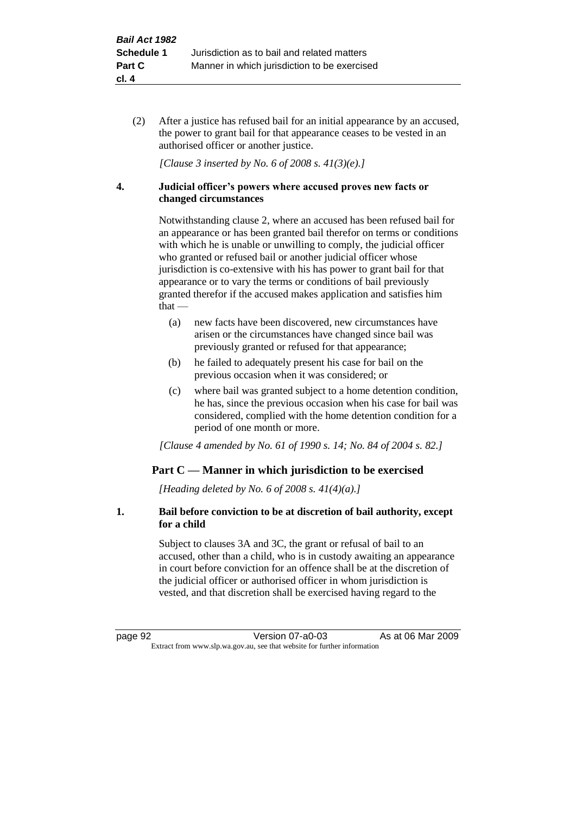(2) After a justice has refused bail for an initial appearance by an accused, the power to grant bail for that appearance ceases to be vested in an authorised officer or another justice.

*[Clause 3 inserted by No. 6 of 2008 s. 41(3)(e).]*

#### **4. Judicial officer's powers where accused proves new facts or changed circumstances**

Notwithstanding clause 2, where an accused has been refused bail for an appearance or has been granted bail therefor on terms or conditions with which he is unable or unwilling to comply, the judicial officer who granted or refused bail or another judicial officer whose jurisdiction is co-extensive with his has power to grant bail for that appearance or to vary the terms or conditions of bail previously granted therefor if the accused makes application and satisfies him that —

- (a) new facts have been discovered, new circumstances have arisen or the circumstances have changed since bail was previously granted or refused for that appearance;
- (b) he failed to adequately present his case for bail on the previous occasion when it was considered; or
- (c) where bail was granted subject to a home detention condition, he has, since the previous occasion when his case for bail was considered, complied with the home detention condition for a period of one month or more.

*[Clause 4 amended by No. 61 of 1990 s. 14; No. 84 of 2004 s. 82.]*

# **Part C — Manner in which jurisdiction to be exercised**

*[Heading deleted by No. 6 of 2008 s. 41(4)(a).]*

### **1. Bail before conviction to be at discretion of bail authority, except for a child**

Subject to clauses 3A and 3C, the grant or refusal of bail to an accused, other than a child, who is in custody awaiting an appearance in court before conviction for an offence shall be at the discretion of the judicial officer or authorised officer in whom jurisdiction is vested, and that discretion shall be exercised having regard to the

page 92 Version 07-a0-03 As at 06 Mar 2009 Extract from www.slp.wa.gov.au, see that website for further information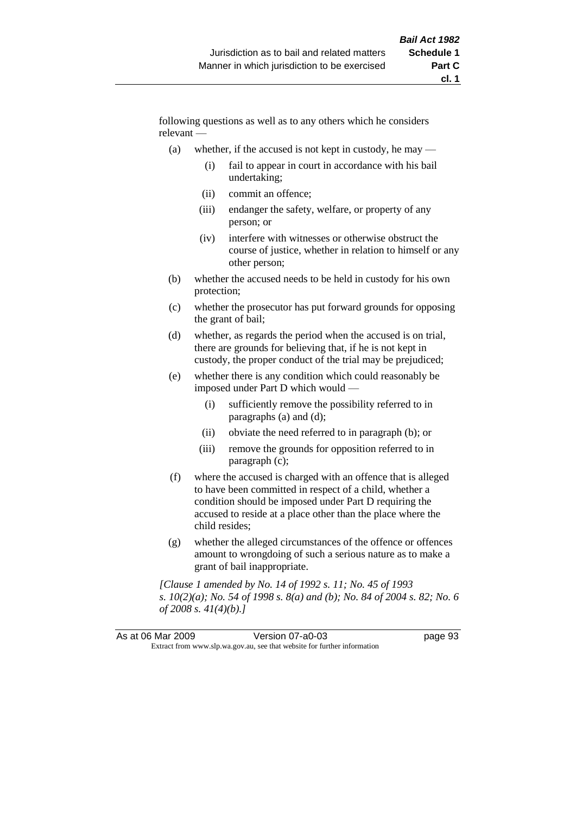following questions as well as to any others which he considers relevant —

- (a) whether, if the accused is not kept in custody, he may
	- (i) fail to appear in court in accordance with his bail undertaking;
	- (ii) commit an offence;
	- (iii) endanger the safety, welfare, or property of any person; or
	- (iv) interfere with witnesses or otherwise obstruct the course of justice, whether in relation to himself or any other person;
- (b) whether the accused needs to be held in custody for his own protection;
- (c) whether the prosecutor has put forward grounds for opposing the grant of bail;
- (d) whether, as regards the period when the accused is on trial, there are grounds for believing that, if he is not kept in custody, the proper conduct of the trial may be prejudiced;
- (e) whether there is any condition which could reasonably be imposed under Part D which would —
	- (i) sufficiently remove the possibility referred to in paragraphs (a) and (d);
	- (ii) obviate the need referred to in paragraph (b); or
	- (iii) remove the grounds for opposition referred to in paragraph (c);
- (f) where the accused is charged with an offence that is alleged to have been committed in respect of a child, whether a condition should be imposed under Part D requiring the accused to reside at a place other than the place where the child resides;
- (g) whether the alleged circumstances of the offence or offences amount to wrongdoing of such a serious nature as to make a grant of bail inappropriate.

*[Clause 1 amended by No. 14 of 1992 s. 11; No. 45 of 1993 s. 10(2)(a); No. 54 of 1998 s. 8(a) and (b); No. 84 of 2004 s. 82; No. 6 of 2008 s. 41(4)(b).]*

| As at 06 Mar 2009 |                                                                          | Version 07-a0-03 | page 93 |
|-------------------|--------------------------------------------------------------------------|------------------|---------|
|                   | Extract from www.slp.wa.gov.au, see that website for further information |                  |         |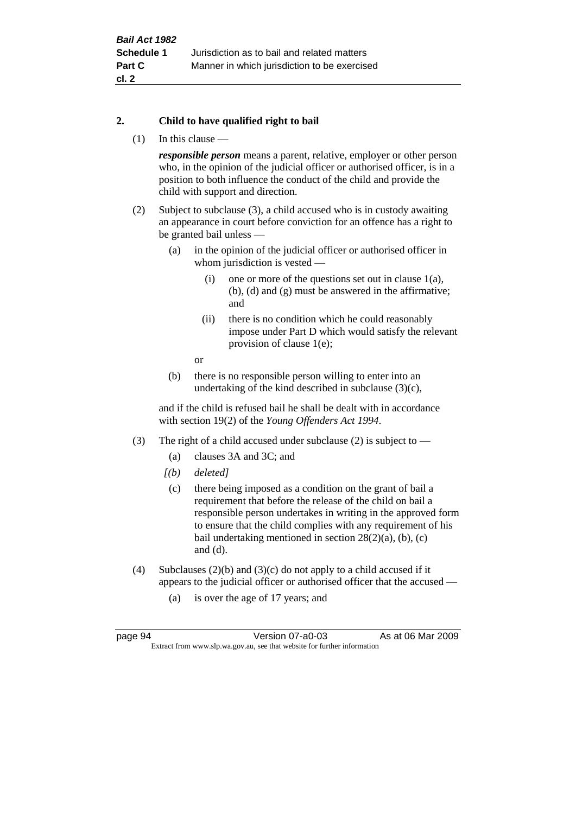### **2. Child to have qualified right to bail**

(1) In this clause —

*responsible person* means a parent, relative, employer or other person who, in the opinion of the judicial officer or authorised officer, is in a position to both influence the conduct of the child and provide the child with support and direction.

- (2) Subject to subclause (3), a child accused who is in custody awaiting an appearance in court before conviction for an offence has a right to be granted bail unless —
	- (a) in the opinion of the judicial officer or authorised officer in whom jurisdiction is vested —
		- (i) one or more of the questions set out in clause 1(a), (b), (d) and (g) must be answered in the affirmative; and
		- (ii) there is no condition which he could reasonably impose under Part D which would satisfy the relevant provision of clause 1(e);
		- or
	- (b) there is no responsible person willing to enter into an undertaking of the kind described in subclause (3)(c),

and if the child is refused bail he shall be dealt with in accordance with section 19(2) of the *Young Offenders Act 1994*.

- (3) The right of a child accused under subclause (2) is subject to
	- (a) clauses 3A and 3C; and
	- *[(b) deleted]*
	- (c) there being imposed as a condition on the grant of bail a requirement that before the release of the child on bail a responsible person undertakes in writing in the approved form to ensure that the child complies with any requirement of his bail undertaking mentioned in section  $28(2)(a)$ , (b), (c) and (d).
- (4) Subclauses  $(2)(b)$  and  $(3)(c)$  do not apply to a child accused if it appears to the judicial officer or authorised officer that the accused —
	- (a) is over the age of 17 years; and

page 94 Version 07-a0-03 As at 06 Mar 2009 Extract from www.slp.wa.gov.au, see that website for further information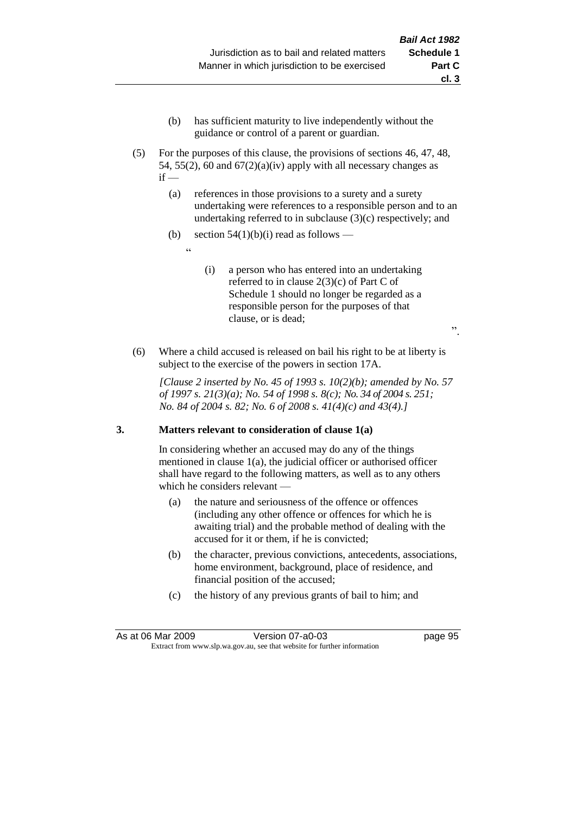- (b) has sufficient maturity to live independently without the guidance or control of a parent or guardian.
- (5) For the purposes of this clause, the provisions of sections 46, 47, 48, 54, 55(2), 60 and  $67(2)(a)(iv)$  apply with all necessary changes as  $if -$ 
	- (a) references in those provisions to a surety and a surety undertaking were references to a responsible person and to an undertaking referred to in subclause (3)(c) respectively; and
	- (b) section  $54(1)(b)(i)$  read as follows
		- <u>، د</u>
- (i) a person who has entered into an undertaking referred to in clause 2(3)(c) of Part C of Schedule 1 should no longer be regarded as a responsible person for the purposes of that clause, or is dead;

".

(6) Where a child accused is released on bail his right to be at liberty is subject to the exercise of the powers in section 17A.

*[Clause 2 inserted by No. 45 of 1993 s. 10(2)(b); amended by No. 57 of 1997 s. 21(3)(a); No. 54 of 1998 s. 8(c); No. 34 of 2004 s. 251; No. 84 of 2004 s. 82; No. 6 of 2008 s. 41(4)(c) and 43(4).]*

# **3. Matters relevant to consideration of clause 1(a)**

In considering whether an accused may do any of the things mentioned in clause 1(a), the judicial officer or authorised officer shall have regard to the following matters, as well as to any others which he considers relevant —

- (a) the nature and seriousness of the offence or offences (including any other offence or offences for which he is awaiting trial) and the probable method of dealing with the accused for it or them, if he is convicted;
- (b) the character, previous convictions, antecedents, associations, home environment, background, place of residence, and financial position of the accused;
- (c) the history of any previous grants of bail to him; and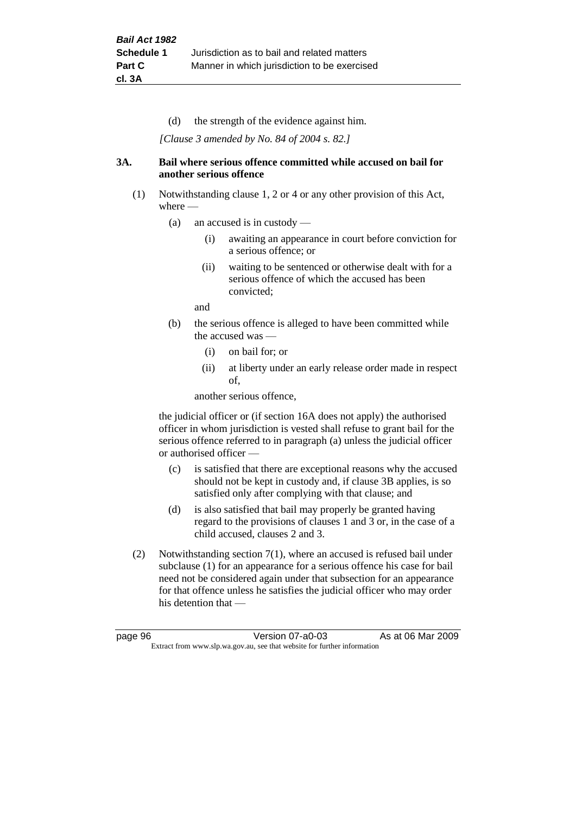(d) the strength of the evidence against him.

*[Clause 3 amended by No. 84 of 2004 s. 82.]*

#### **3A. Bail where serious offence committed while accused on bail for another serious offence**

- (1) Notwithstanding clause 1, 2 or 4 or any other provision of this Act, where —
	- (a) an accused is in custody
		- (i) awaiting an appearance in court before conviction for a serious offence; or
		- (ii) waiting to be sentenced or otherwise dealt with for a serious offence of which the accused has been convicted;

and

- (b) the serious offence is alleged to have been committed while the accused was —
	- (i) on bail for; or
	- (ii) at liberty under an early release order made in respect of,

another serious offence,

the judicial officer or (if section 16A does not apply) the authorised officer in whom jurisdiction is vested shall refuse to grant bail for the serious offence referred to in paragraph (a) unless the judicial officer or authorised officer —

- (c) is satisfied that there are exceptional reasons why the accused should not be kept in custody and, if clause 3B applies, is so satisfied only after complying with that clause; and
- (d) is also satisfied that bail may properly be granted having regard to the provisions of clauses 1 and 3 or, in the case of a child accused, clauses 2 and 3.
- (2) Notwithstanding section 7(1), where an accused is refused bail under subclause (1) for an appearance for a serious offence his case for bail need not be considered again under that subsection for an appearance for that offence unless he satisfies the judicial officer who may order his detention that —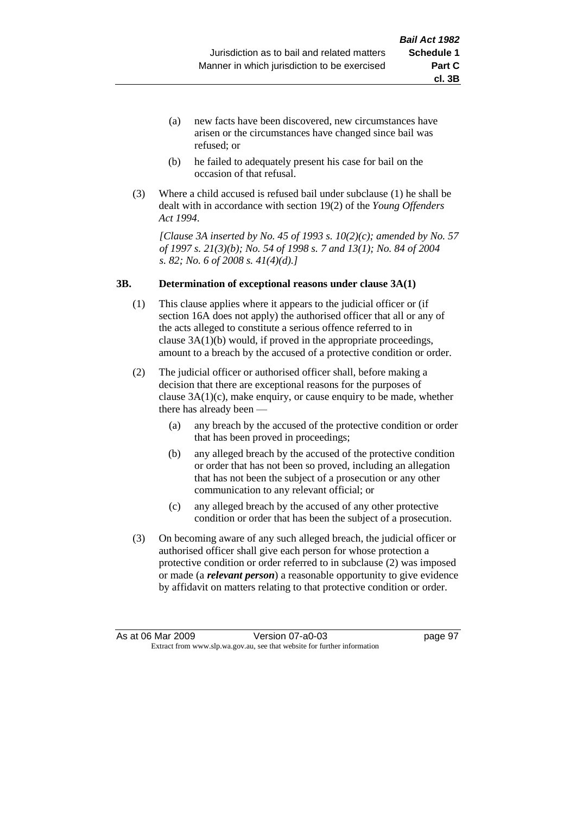- (a) new facts have been discovered, new circumstances have arisen or the circumstances have changed since bail was refused; or
- (b) he failed to adequately present his case for bail on the occasion of that refusal.
- (3) Where a child accused is refused bail under subclause (1) he shall be dealt with in accordance with section 19(2) of the *Young Offenders Act 1994*.

*[Clause 3A inserted by No. 45 of 1993 s. 10(2)(c); amended by No. 57 of 1997 s. 21(3)(b); No. 54 of 1998 s. 7 and 13(1); No. 84 of 2004 s. 82; No. 6 of 2008 s. 41(4)(d).]*

#### **3B. Determination of exceptional reasons under clause 3A(1)**

- (1) This clause applies where it appears to the judicial officer or (if section 16A does not apply) the authorised officer that all or any of the acts alleged to constitute a serious offence referred to in clause 3A(1)(b) would, if proved in the appropriate proceedings, amount to a breach by the accused of a protective condition or order.
- (2) The judicial officer or authorised officer shall, before making a decision that there are exceptional reasons for the purposes of clause  $3A(1)(c)$ , make enquiry, or cause enquiry to be made, whether there has already been —
	- (a) any breach by the accused of the protective condition or order that has been proved in proceedings;
	- (b) any alleged breach by the accused of the protective condition or order that has not been so proved, including an allegation that has not been the subject of a prosecution or any other communication to any relevant official; or
	- (c) any alleged breach by the accused of any other protective condition or order that has been the subject of a prosecution.
- (3) On becoming aware of any such alleged breach, the judicial officer or authorised officer shall give each person for whose protection a protective condition or order referred to in subclause (2) was imposed or made (a *relevant person*) a reasonable opportunity to give evidence by affidavit on matters relating to that protective condition or order.

**cl. 3B**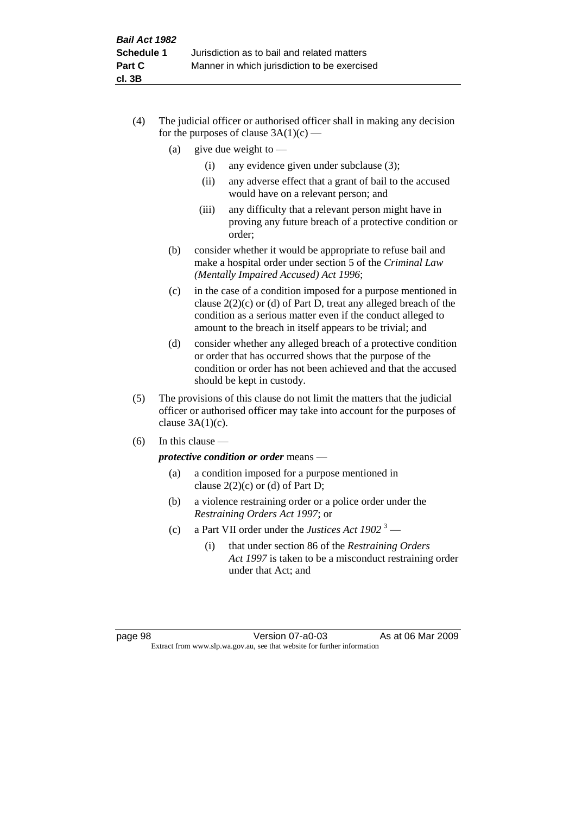- (4) The judicial officer or authorised officer shall in making any decision for the purposes of clause  $3A(1)(c)$  —
	- (a) give due weight to  $-$ 
		- (i) any evidence given under subclause (3);
		- (ii) any adverse effect that a grant of bail to the accused would have on a relevant person; and
		- (iii) any difficulty that a relevant person might have in proving any future breach of a protective condition or order;
	- (b) consider whether it would be appropriate to refuse bail and make a hospital order under section 5 of the *Criminal Law (Mentally Impaired Accused) Act 1996*;
	- (c) in the case of a condition imposed for a purpose mentioned in clause 2(2)(c) or (d) of Part D, treat any alleged breach of the condition as a serious matter even if the conduct alleged to amount to the breach in itself appears to be trivial; and
	- (d) consider whether any alleged breach of a protective condition or order that has occurred shows that the purpose of the condition or order has not been achieved and that the accused should be kept in custody.
- (5) The provisions of this clause do not limit the matters that the judicial officer or authorised officer may take into account for the purposes of clause  $3A(1)(c)$ .
- (6) In this clause —

*protective condition or order* means —

- (a) a condition imposed for a purpose mentioned in clause  $2(2)(c)$  or (d) of Part D;
- (b) a violence restraining order or a police order under the *Restraining Orders Act 1997*; or
- (c) a Part VII order under the *Justices Act 1902* <sup>3</sup>
	- (i) that under section 86 of the *Restraining Orders Act 1997* is taken to be a misconduct restraining order under that Act; and

page 98 Version 07-a0-03 As at 06 Mar 2009 Extract from www.slp.wa.gov.au, see that website for further information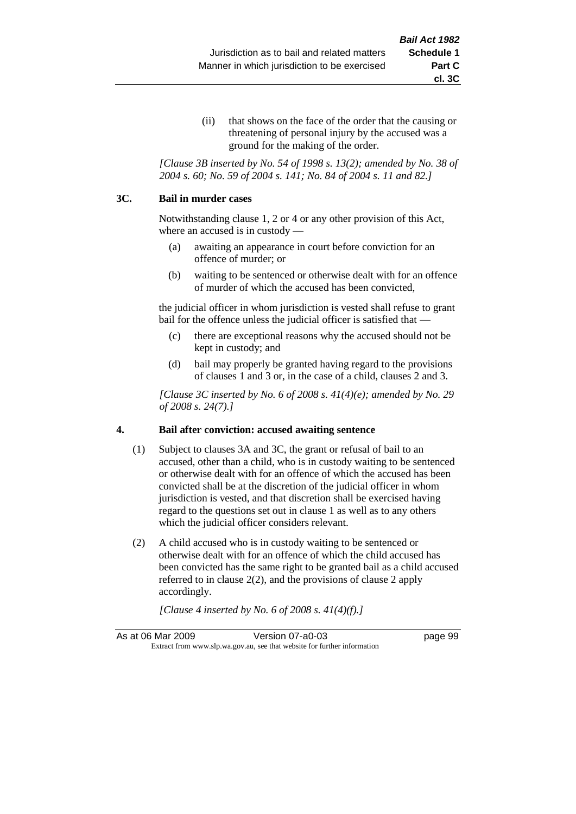(ii) that shows on the face of the order that the causing or threatening of personal injury by the accused was a ground for the making of the order.

*[Clause 3B inserted by No. 54 of 1998 s. 13(2); amended by No. 38 of 2004 s. 60; No. 59 of 2004 s. 141; No. 84 of 2004 s. 11 and 82.]*

#### **3C. Bail in murder cases**

Notwithstanding clause 1, 2 or 4 or any other provision of this Act, where an accused is in custody —

- (a) awaiting an appearance in court before conviction for an offence of murder; or
- (b) waiting to be sentenced or otherwise dealt with for an offence of murder of which the accused has been convicted,

the judicial officer in whom jurisdiction is vested shall refuse to grant bail for the offence unless the judicial officer is satisfied that —

- (c) there are exceptional reasons why the accused should not be kept in custody; and
- (d) bail may properly be granted having regard to the provisions of clauses 1 and 3 or, in the case of a child, clauses 2 and 3.

*[Clause 3C inserted by No. 6 of 2008 s. 41(4)(e); amended by No. 29 of 2008 s. 24(7).]*

### **4. Bail after conviction: accused awaiting sentence**

- (1) Subject to clauses 3A and 3C, the grant or refusal of bail to an accused, other than a child, who is in custody waiting to be sentenced or otherwise dealt with for an offence of which the accused has been convicted shall be at the discretion of the judicial officer in whom jurisdiction is vested, and that discretion shall be exercised having regard to the questions set out in clause 1 as well as to any others which the judicial officer considers relevant.
- (2) A child accused who is in custody waiting to be sentenced or otherwise dealt with for an offence of which the child accused has been convicted has the same right to be granted bail as a child accused referred to in clause 2(2), and the provisions of clause 2 apply accordingly.

*[Clause 4 inserted by No. 6 of 2008 s. 41(4)(f).]*

As at 06 Mar 2009 Version 07-a0-03 page 99 Extract from www.slp.wa.gov.au, see that website for further information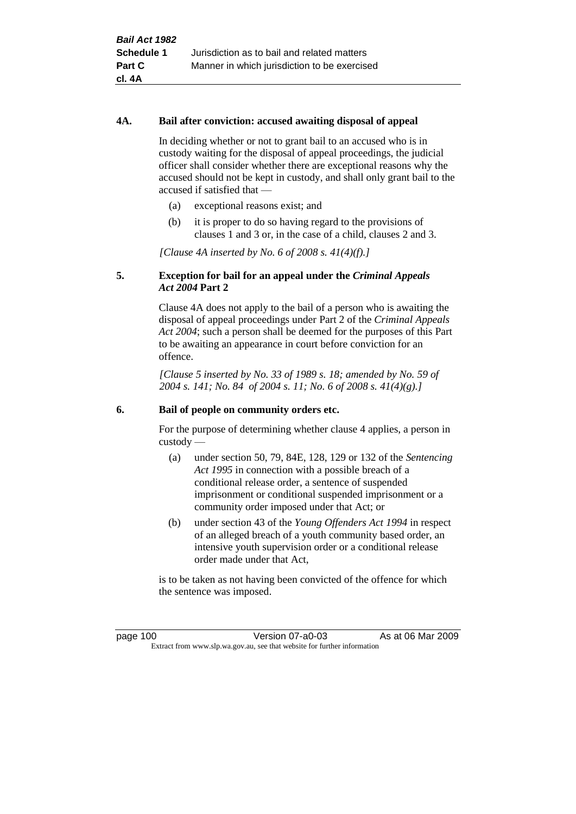#### **4A. Bail after conviction: accused awaiting disposal of appeal**

In deciding whether or not to grant bail to an accused who is in custody waiting for the disposal of appeal proceedings, the judicial officer shall consider whether there are exceptional reasons why the accused should not be kept in custody, and shall only grant bail to the accused if satisfied that —

- (a) exceptional reasons exist; and
- (b) it is proper to do so having regard to the provisions of clauses 1 and 3 or, in the case of a child, clauses 2 and 3.

*[Clause 4A inserted by No. 6 of 2008 s. 41(4)(f).]*

#### **5. Exception for bail for an appeal under the** *Criminal Appeals Act 2004* **Part 2**

Clause 4A does not apply to the bail of a person who is awaiting the disposal of appeal proceedings under Part 2 of the *Criminal Appeals Act 2004*; such a person shall be deemed for the purposes of this Part to be awaiting an appearance in court before conviction for an offence.

*[Clause 5 inserted by No. 33 of 1989 s. 18; amended by No. 59 of 2004 s. 141; No. 84 of 2004 s. 11; No. 6 of 2008 s. 41(4)(g).]*

#### **6. Bail of people on community orders etc.**

For the purpose of determining whether clause 4 applies, a person in custody —

- (a) under section 50, 79, 84E, 128, 129 or 132 of the *Sentencing Act 1995* in connection with a possible breach of a conditional release order, a sentence of suspended imprisonment or conditional suspended imprisonment or a community order imposed under that Act; or
- (b) under section 43 of the *Young Offenders Act 1994* in respect of an alleged breach of a youth community based order, an intensive youth supervision order or a conditional release order made under that Act,

is to be taken as not having been convicted of the offence for which the sentence was imposed.

page 100 Version 07-a0-03 As at 06 Mar 2009 Extract from www.slp.wa.gov.au, see that website for further information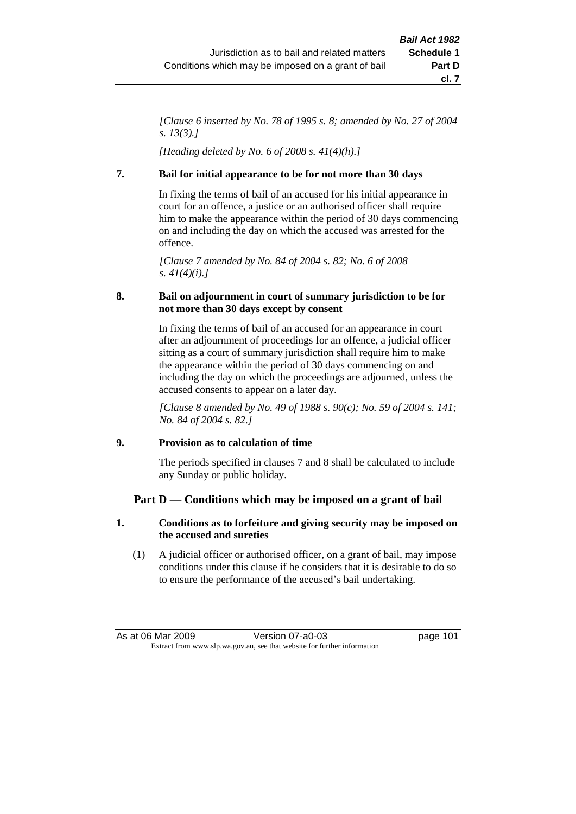*[Clause 6 inserted by No. 78 of 1995 s. 8; amended by No. 27 of 2004 s. 13(3).]*

*[Heading deleted by No. 6 of 2008 s. 41(4)(h).]*

## **7. Bail for initial appearance to be for not more than 30 days**

In fixing the terms of bail of an accused for his initial appearance in court for an offence, a justice or an authorised officer shall require him to make the appearance within the period of 30 days commencing on and including the day on which the accused was arrested for the offence.

*[Clause 7 amended by No. 84 of 2004 s. 82; No. 6 of 2008 s. 41(4)(i).]*

## **8. Bail on adjournment in court of summary jurisdiction to be for not more than 30 days except by consent**

In fixing the terms of bail of an accused for an appearance in court after an adjournment of proceedings for an offence, a judicial officer sitting as a court of summary jurisdiction shall require him to make the appearance within the period of 30 days commencing on and including the day on which the proceedings are adjourned, unless the accused consents to appear on a later day.

*[Clause 8 amended by No. 49 of 1988 s. 90(c); No. 59 of 2004 s. 141; No. 84 of 2004 s. 82.]*

### **9. Provision as to calculation of time**

The periods specified in clauses 7 and 8 shall be calculated to include any Sunday or public holiday.

## **Part D — Conditions which may be imposed on a grant of bail**

## **1. Conditions as to forfeiture and giving security may be imposed on the accused and sureties**

(1) A judicial officer or authorised officer, on a grant of bail, may impose conditions under this clause if he considers that it is desirable to do so to ensure the performance of the accused's bail undertaking.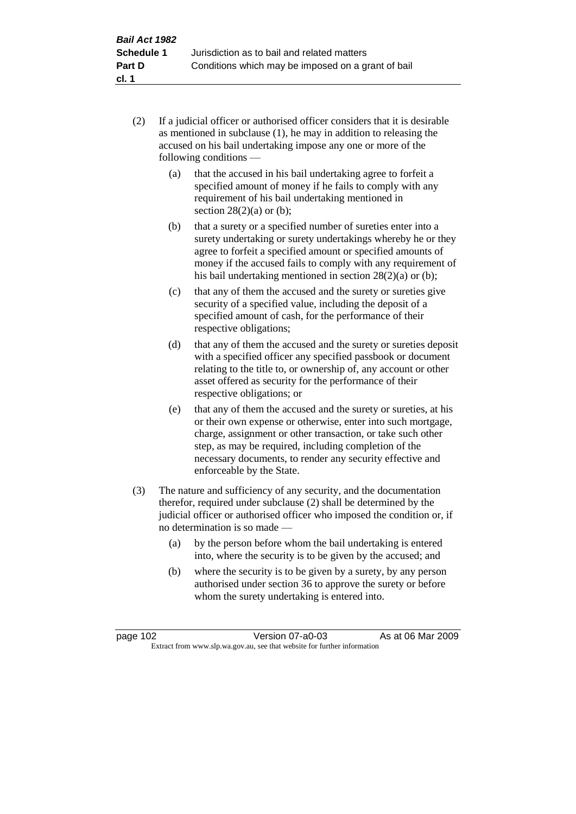- (2) If a judicial officer or authorised officer considers that it is desirable as mentioned in subclause (1), he may in addition to releasing the accused on his bail undertaking impose any one or more of the following conditions —
	- (a) that the accused in his bail undertaking agree to forfeit a specified amount of money if he fails to comply with any requirement of his bail undertaking mentioned in section  $28(2)(a)$  or (b);
	- (b) that a surety or a specified number of sureties enter into a surety undertaking or surety undertakings whereby he or they agree to forfeit a specified amount or specified amounts of money if the accused fails to comply with any requirement of his bail undertaking mentioned in section 28(2)(a) or (b);
	- (c) that any of them the accused and the surety or sureties give security of a specified value, including the deposit of a specified amount of cash, for the performance of their respective obligations;
	- (d) that any of them the accused and the surety or sureties deposit with a specified officer any specified passbook or document relating to the title to, or ownership of, any account or other asset offered as security for the performance of their respective obligations; or
	- (e) that any of them the accused and the surety or sureties, at his or their own expense or otherwise, enter into such mortgage, charge, assignment or other transaction, or take such other step, as may be required, including completion of the necessary documents, to render any security effective and enforceable by the State.
- (3) The nature and sufficiency of any security, and the documentation therefor, required under subclause (2) shall be determined by the judicial officer or authorised officer who imposed the condition or, if no determination is so made —
	- (a) by the person before whom the bail undertaking is entered into, where the security is to be given by the accused; and
	- (b) where the security is to be given by a surety, by any person authorised under section 36 to approve the surety or before whom the surety undertaking is entered into.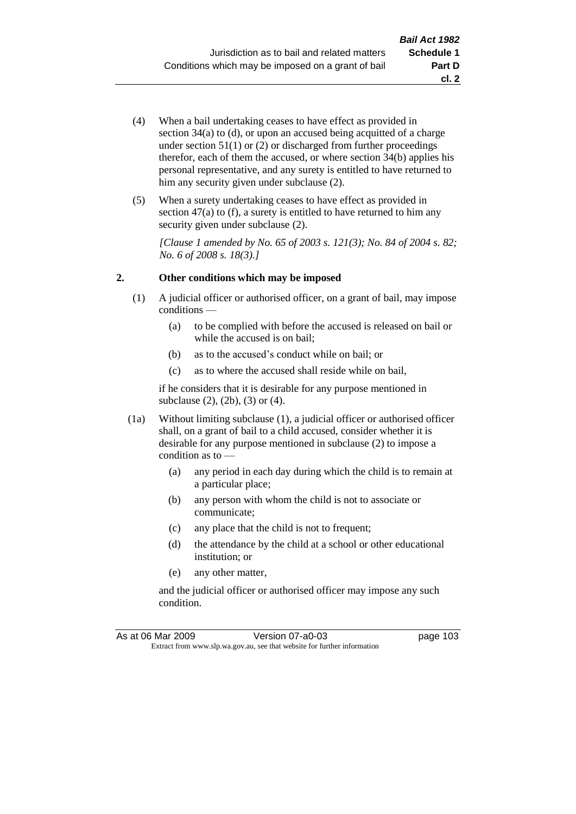- (4) When a bail undertaking ceases to have effect as provided in section 34(a) to (d), or upon an accused being acquitted of a charge under section  $51(1)$  or  $(2)$  or discharged from further proceedings therefor, each of them the accused, or where section  $34(b)$  applies his personal representative, and any surety is entitled to have returned to him any security given under subclause  $(2)$ .
- (5) When a surety undertaking ceases to have effect as provided in section 47(a) to (f), a surety is entitled to have returned to him any security given under subclause  $(2)$ .

*[Clause 1 amended by No. 65 of 2003 s. 121(3); No. 84 of 2004 s. 82; No. 6 of 2008 s. 18(3).]*

## **2. Other conditions which may be imposed**

- (1) A judicial officer or authorised officer, on a grant of bail, may impose conditions —
	- (a) to be complied with before the accused is released on bail or while the accused is on bail;
	- (b) as to the accused's conduct while on bail; or
	- (c) as to where the accused shall reside while on bail,

if he considers that it is desirable for any purpose mentioned in subclause (2), (2b), (3) or (4).

- (1a) Without limiting subclause (1), a judicial officer or authorised officer shall, on a grant of bail to a child accused, consider whether it is desirable for any purpose mentioned in subclause (2) to impose a condition as to -
	- (a) any period in each day during which the child is to remain at a particular place;
	- (b) any person with whom the child is not to associate or communicate;
	- (c) any place that the child is not to frequent;
	- (d) the attendance by the child at a school or other educational institution; or
	- (e) any other matter,

and the judicial officer or authorised officer may impose any such condition.

As at 06 Mar 2009 Version 07-a0-03 page 103 Extract from www.slp.wa.gov.au, see that website for further information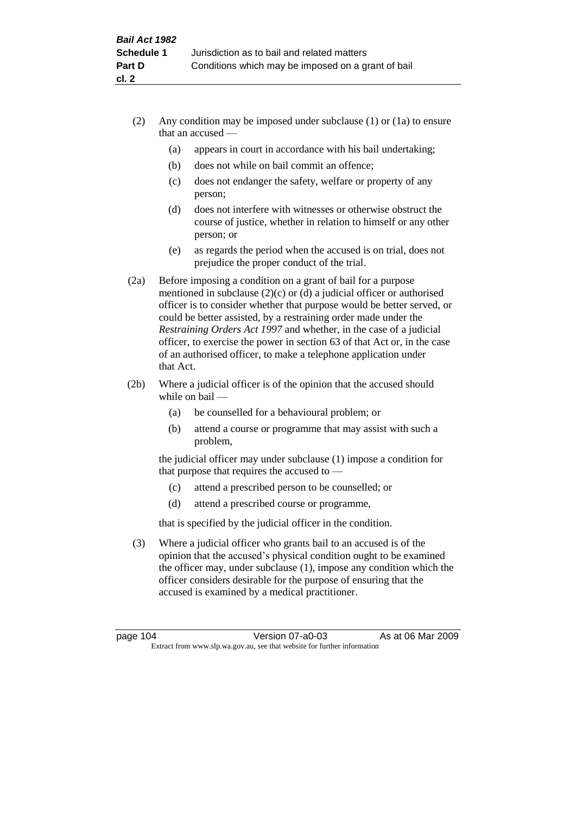- (2) Any condition may be imposed under subclause (1) or (1a) to ensure that an accused —
	- (a) appears in court in accordance with his bail undertaking;
	- (b) does not while on bail commit an offence;
	- (c) does not endanger the safety, welfare or property of any person;
	- (d) does not interfere with witnesses or otherwise obstruct the course of justice, whether in relation to himself or any other person; or
	- (e) as regards the period when the accused is on trial, does not prejudice the proper conduct of the trial.
- (2a) Before imposing a condition on a grant of bail for a purpose mentioned in subclause (2)(c) or (d) a judicial officer or authorised officer is to consider whether that purpose would be better served, or could be better assisted, by a restraining order made under the *Restraining Orders Act 1997* and whether, in the case of a judicial officer, to exercise the power in section 63 of that Act or, in the case of an authorised officer, to make a telephone application under that Act.
- (2b) Where a judicial officer is of the opinion that the accused should while on bail —
	- (a) be counselled for a behavioural problem; or
	- (b) attend a course or programme that may assist with such a problem,

the judicial officer may under subclause (1) impose a condition for that purpose that requires the accused to —

- (c) attend a prescribed person to be counselled; or
- (d) attend a prescribed course or programme,

that is specified by the judicial officer in the condition.

(3) Where a judicial officer who grants bail to an accused is of the opinion that the accused's physical condition ought to be examined the officer may, under subclause (1), impose any condition which the officer considers desirable for the purpose of ensuring that the accused is examined by a medical practitioner.

page 104 Version 07-a0-03 As at 06 Mar 2009 Extract from www.slp.wa.gov.au, see that website for further information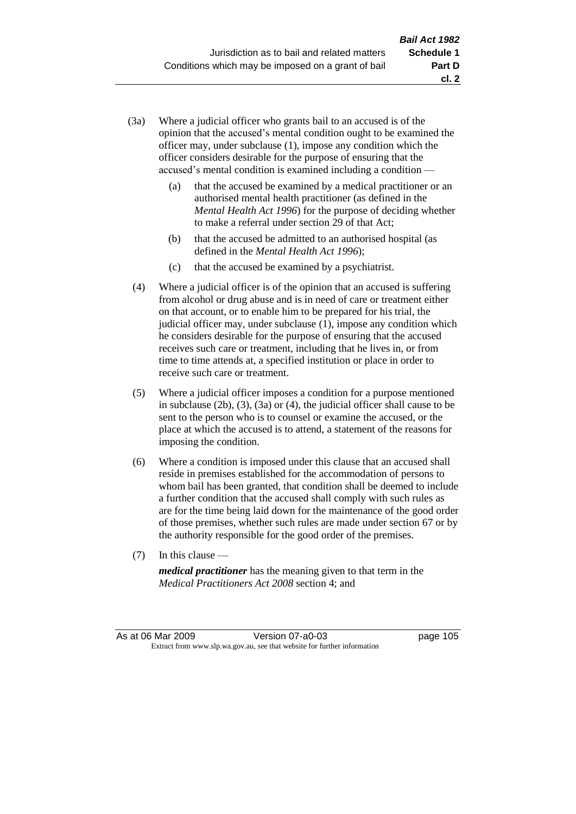- (3a) Where a judicial officer who grants bail to an accused is of the opinion that the accused's mental condition ought to be examined the officer may, under subclause (1), impose any condition which the officer considers desirable for the purpose of ensuring that the accused's mental condition is examined including a condition —
	- (a) that the accused be examined by a medical practitioner or an authorised mental health practitioner (as defined in the *Mental Health Act 1996*) for the purpose of deciding whether to make a referral under section 29 of that Act;
	- (b) that the accused be admitted to an authorised hospital (as defined in the *Mental Health Act 1996*);
	- (c) that the accused be examined by a psychiatrist.
- (4) Where a judicial officer is of the opinion that an accused is suffering from alcohol or drug abuse and is in need of care or treatment either on that account, or to enable him to be prepared for his trial, the judicial officer may, under subclause (1), impose any condition which he considers desirable for the purpose of ensuring that the accused receives such care or treatment, including that he lives in, or from time to time attends at, a specified institution or place in order to receive such care or treatment.
- (5) Where a judicial officer imposes a condition for a purpose mentioned in subclause (2b), (3), (3a) or (4), the judicial officer shall cause to be sent to the person who is to counsel or examine the accused, or the place at which the accused is to attend, a statement of the reasons for imposing the condition.
- (6) Where a condition is imposed under this clause that an accused shall reside in premises established for the accommodation of persons to whom bail has been granted, that condition shall be deemed to include a further condition that the accused shall comply with such rules as are for the time being laid down for the maintenance of the good order of those premises, whether such rules are made under section 67 or by the authority responsible for the good order of the premises.
- (7) In this clause —

*medical practitioner* has the meaning given to that term in the *Medical Practitioners Act 2008* section 4; and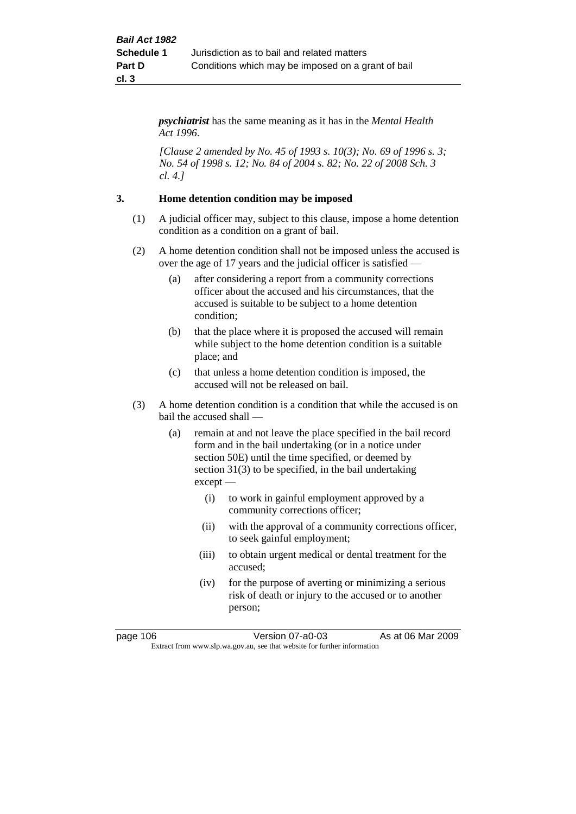*psychiatrist* has the same meaning as it has in the *Mental Health Act 1996*.

*[Clause 2 amended by No. 45 of 1993 s. 10(3); No. 69 of 1996 s. 3; No. 54 of 1998 s. 12; No. 84 of 2004 s. 82; No. 22 of 2008 Sch. 3 cl. 4.]*

## **3. Home detention condition may be imposed**

- (1) A judicial officer may, subject to this clause, impose a home detention condition as a condition on a grant of bail.
- (2) A home detention condition shall not be imposed unless the accused is over the age of 17 years and the judicial officer is satisfied —
	- (a) after considering a report from a community corrections officer about the accused and his circumstances, that the accused is suitable to be subject to a home detention condition;
	- (b) that the place where it is proposed the accused will remain while subject to the home detention condition is a suitable place; and
	- (c) that unless a home detention condition is imposed, the accused will not be released on bail.
- (3) A home detention condition is a condition that while the accused is on bail the accused shall —
	- (a) remain at and not leave the place specified in the bail record form and in the bail undertaking (or in a notice under section 50E) until the time specified, or deemed by section 31(3) to be specified, in the bail undertaking except —
		- (i) to work in gainful employment approved by a community corrections officer;
		- (ii) with the approval of a community corrections officer, to seek gainful employment;
		- (iii) to obtain urgent medical or dental treatment for the accused;
		- (iv) for the purpose of averting or minimizing a serious risk of death or injury to the accused or to another person;

page 106 Version 07-a0-03 As at 06 Mar 2009 Extract from www.slp.wa.gov.au, see that website for further information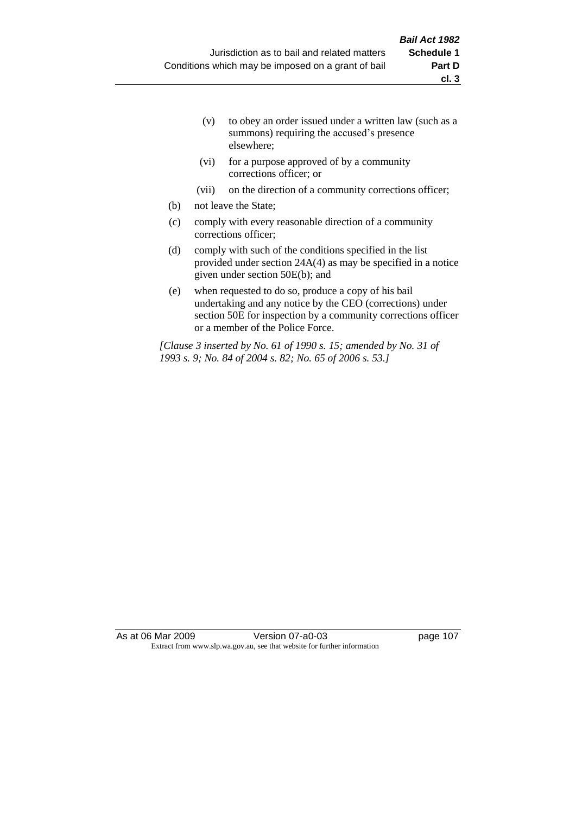- (v) to obey an order issued under a written law (such as a summons) requiring the accused's presence elsewhere;
- (vi) for a purpose approved of by a community corrections officer; or
- (vii) on the direction of a community corrections officer;
- (b) not leave the State;
- (c) comply with every reasonable direction of a community corrections officer;
- (d) comply with such of the conditions specified in the list provided under section 24A(4) as may be specified in a notice given under section 50E(b); and
- (e) when requested to do so, produce a copy of his bail undertaking and any notice by the CEO (corrections) under section 50E for inspection by a community corrections officer or a member of the Police Force.

*[Clause 3 inserted by No. 61 of 1990 s. 15; amended by No. 31 of 1993 s. 9; No. 84 of 2004 s. 82; No. 65 of 2006 s. 53.]*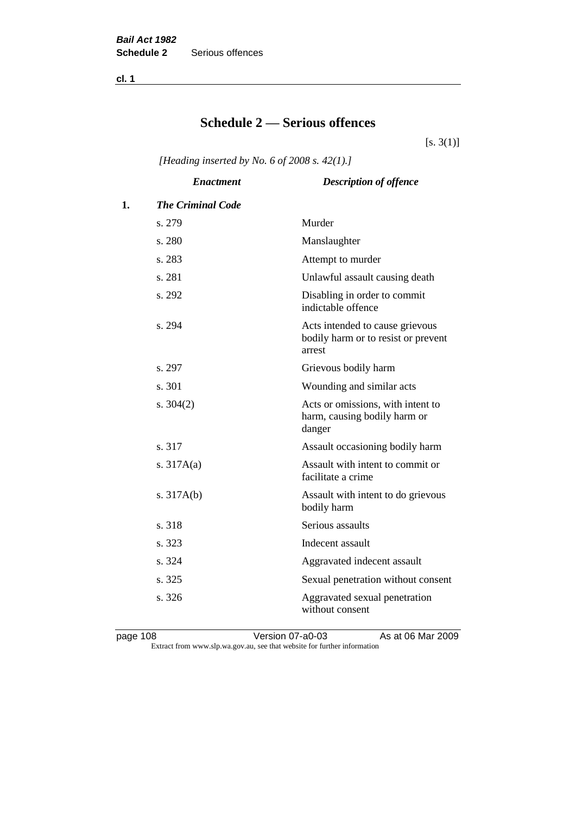**cl. 1**

## **Schedule 2 — Serious offences**

 $[s. 3(1)]$ 

*[Heading inserted by No. 6 of 2008 s. 42(1).]*

|    | <b>Enactment</b>         | <b>Description of offence</b>                                                    |
|----|--------------------------|----------------------------------------------------------------------------------|
| 1. | <b>The Criminal Code</b> |                                                                                  |
|    | s. 279                   | Murder                                                                           |
|    | s. 280                   | Manslaughter                                                                     |
|    | s. 283                   | Attempt to murder                                                                |
|    | s. 281                   | Unlawful assault causing death                                                   |
|    | s. 292                   | Disabling in order to commit<br>indictable offence                               |
|    | s. 294                   | Acts intended to cause grievous<br>bodily harm or to resist or prevent<br>arrest |
|    | s. 297                   | Grievous bodily harm                                                             |
|    | s.301                    | Wounding and similar acts                                                        |
|    | s. $304(2)$              | Acts or omissions, with intent to<br>harm, causing bodily harm or<br>danger      |
|    | s. 317                   | Assault occasioning bodily harm                                                  |
|    | s. $317A(a)$             | Assault with intent to commit or<br>facilitate a crime                           |
|    | s. $317A(b)$             | Assault with intent to do grievous<br>bodily harm                                |
|    | s. 318                   | Serious assaults                                                                 |
|    | s. 323                   | Indecent assault                                                                 |
|    | s. 324                   | Aggravated indecent assault                                                      |
|    | s. 325                   | Sexual penetration without consent                                               |
|    | s. 326                   | Aggravated sexual penetration<br>without consent                                 |

page 108 **Version 07-a0-03** As at 06 Mar 2009 Extract from www.slp.wa.gov.au, see that website for further information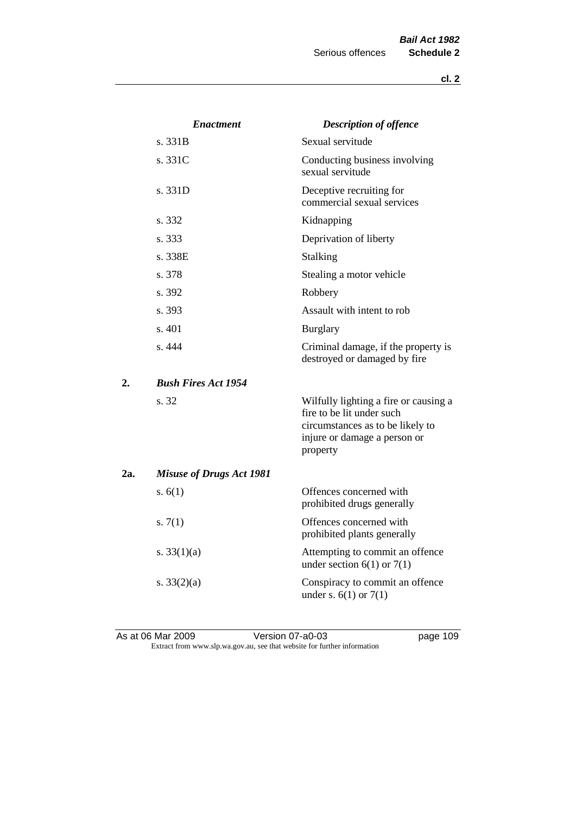|     | <i><b>Enactment</b></i>         | <b>Description of offence</b>                                                                                                                      |
|-----|---------------------------------|----------------------------------------------------------------------------------------------------------------------------------------------------|
|     | s. 331B                         | Sexual servitude                                                                                                                                   |
|     | s. 331C                         | Conducting business involving<br>sexual servitude                                                                                                  |
|     | s. 331D                         | Deceptive recruiting for<br>commercial sexual services                                                                                             |
|     | s. 332                          | Kidnapping                                                                                                                                         |
|     | s. 333                          | Deprivation of liberty                                                                                                                             |
|     | s. 338E                         | Stalking                                                                                                                                           |
|     | s. 378                          | Stealing a motor vehicle                                                                                                                           |
|     | s. 392                          | Robbery                                                                                                                                            |
|     | s. 393                          | Assault with intent to rob                                                                                                                         |
|     | s. 401                          | <b>Burglary</b>                                                                                                                                    |
|     | s. 444                          | Criminal damage, if the property is<br>destroyed or damaged by fire                                                                                |
| 2.  | <b>Bush Fires Act 1954</b>      |                                                                                                                                                    |
|     | s. 32                           | Wilfully lighting a fire or causing a<br>fire to be lit under such<br>circumstances as to be likely to<br>injure or damage a person or<br>property |
| 2a. | <b>Misuse of Drugs Act 1981</b> |                                                                                                                                                    |
|     | s. $6(1)$                       | Offences concerned with<br>prohibited drugs generally                                                                                              |
|     | s. $7(1)$                       | Offences concerned with<br>prohibited plants generally                                                                                             |
|     | s. $33(1)(a)$                   | Attempting to commit an offence<br>under section $6(1)$ or $7(1)$                                                                                  |
|     | s. $33(2)(a)$                   | Conspiracy to commit an offence<br>under s. $6(1)$ or $7(1)$                                                                                       |

As at 06 Mar 2009 **Version 07-a0-03 page 109** Extract from www.slp.wa.gov.au, see that website for further information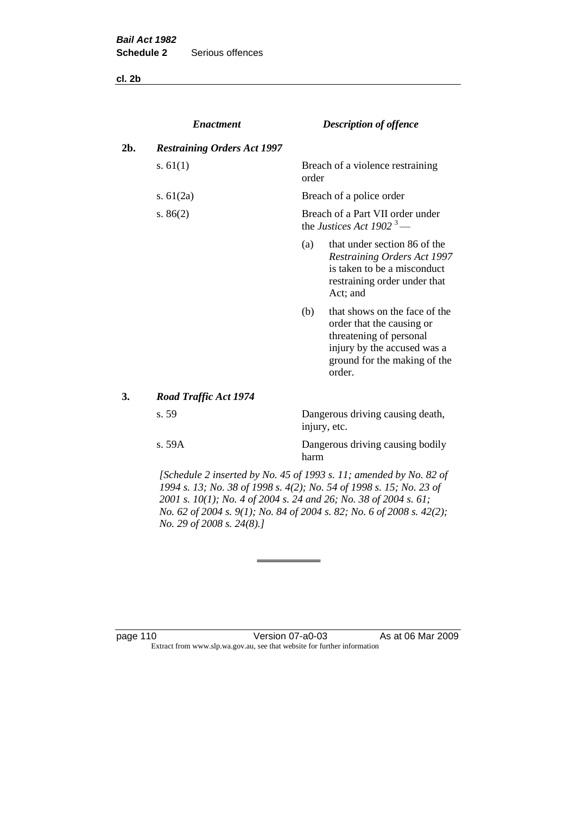**cl. 2b**

|     | <b>Enactment</b>                   |       | <b>Description of offence</b>                                                                                                                                  |
|-----|------------------------------------|-------|----------------------------------------------------------------------------------------------------------------------------------------------------------------|
| 2b. | <b>Restraining Orders Act 1997</b> |       |                                                                                                                                                                |
|     | s. $61(1)$                         | order | Breach of a violence restraining                                                                                                                               |
|     | s. $61(2a)$                        |       | Breach of a police order                                                                                                                                       |
|     | s. $86(2)$                         |       | Breach of a Part VII order under<br>the Justices Act 1902 <sup>3</sup> —                                                                                       |
|     |                                    | (a)   | that under section 86 of the<br>Restraining Orders Act 1997<br>is taken to be a misconduct<br>restraining order under that<br>Act; and                         |
|     |                                    | (b)   | that shows on the face of the<br>order that the causing or<br>threatening of personal<br>injury by the accused was a<br>ground for the making of the<br>order. |
| 3.  | Road Traffic Act 1974              |       |                                                                                                                                                                |
|     | s. 59                              |       | Dangerous driving causing death,<br>injury, etc.                                                                                                               |
|     | s. 59A                             | harm  | Dangerous driving causing bodily                                                                                                                               |

*[Schedule 2 inserted by No. 45 of 1993 s. 11; amended by No. 82 of 1994 s. 13; No. 38 of 1998 s. 4(2); No. 54 of 1998 s. 15; No. 23 of 2001 s. 10(1); No. 4 of 2004 s. 24 and 26; No. 38 of 2004 s. 61; No. 62 of 2004 s. 9(1); No. 84 of 2004 s. 82; No. 6 of 2008 s. 42(2); No. 29 of 2008 s. 24(8).]* 

page 110 Version 07-a0-03 As at 06 Mar 2009 Extract from www.slp.wa.gov.au, see that website for further information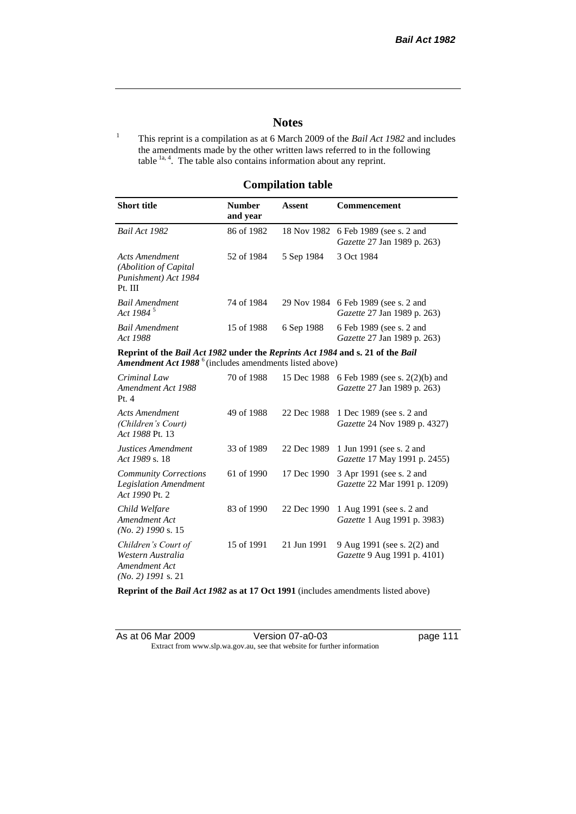## **Notes**

<sup>1</sup> This reprint is a compilation as at 6 March 2009 of the *Bail Act 1982* and includes the amendments made by the other written laws referred to in the following table  $1a, 4$ . The table also contains information about any reprint.

## **Compilation table**

| <b>Short title</b>                                                                                                                                   | <b>Number</b><br>and year | Assent     | Commencement                                                                     |
|------------------------------------------------------------------------------------------------------------------------------------------------------|---------------------------|------------|----------------------------------------------------------------------------------|
| Bail Act 1982                                                                                                                                        | 86 of 1982                |            | 18 Nov 1982 6 Feb 1989 (see s. 2 and<br><i>Gazette</i> 27 Jan 1989 p. 263)       |
| <b>Acts Amendment</b><br>(Abolition of Capital)<br>Punishment) Act 1984<br>Pt. III                                                                   | 52 of 1984                | 5 Sep 1984 | 3 Oct 1984                                                                       |
| <b>Bail Amendment</b><br>Act 1984 <sup>5</sup>                                                                                                       | 74 of 1984                |            | 29 Nov 1984 6 Feb 1989 (see s. 2 and<br><i>Gazette</i> 27 Jan 1989 p. 263)       |
| <b>Bail Amendment</b><br>Act 1988                                                                                                                    | 15 of 1988                | 6 Sep 1988 | 6 Feb 1989 (see s. 2 and<br><i>Gazette</i> 27 Jan 1989 p. 263)                   |
| Reprint of the Bail Act 1982 under the Reprints Act 1984 and s. 21 of the Bail<br>Amendment Act 1988 <sup>6</sup> (includes amendments listed above) |                           |            |                                                                                  |
| Criminal Law<br>Amendment Act 1988<br>Pt.4                                                                                                           | 70 of 1988                |            | 15 Dec 1988 6 Feb 1989 (see s. 2(2)(b) and<br><i>Gazette</i> 27 Jan 1989 p. 263) |
| <b>Acts Amendment</b>                                                                                                                                | 49 of 1988                |            | 22 Dec 1988 1 Dec 1989 (see s. 2 and                                             |

| (Children's Court)<br>Act 1988 Pt. 13                                             |            |             | Gazette 24 Nov 1989 p. 4327)                                      |
|-----------------------------------------------------------------------------------|------------|-------------|-------------------------------------------------------------------|
| <b>Justices Amendment</b><br>Act 1989 s. 18                                       | 33 of 1989 | 22 Dec 1989 | 1 Jun 1991 (see s. 2 and<br><i>Gazette</i> 17 May 1991 p. 2455)   |
| <b>Community Corrections</b><br><b>Legislation Amendment</b><br>Act 1990 Pt. 2    | 61 of 1990 | 17 Dec 1990 | 3 Apr 1991 (see s. 2 and<br><i>Gazette</i> 22 Mar 1991 p. 1209)   |
| Child Welfare<br>Amendment Act<br>$(No. 2)$ 1990 s. 15                            | 83 of 1990 | 22 Dec 1990 | 1 Aug 1991 (see s. 2 and<br><i>Gazette</i> 1 Aug 1991 p. 3983)    |
| Children's Court of<br>Western Australia<br>Amendment Act<br>$(No. 2)$ 1991 s. 21 | 15 of 1991 | 21 Jun 1991 | 9 Aug 1991 (see s. 2(2) and<br><i>Gazette</i> 9 Aug 1991 p. 4101) |

**Reprint of the** *Bail Act 1982* **as at 17 Oct 1991** (includes amendments listed above)

| As at 06 Mar 2009 | Version 07-a0-03                                                         |
|-------------------|--------------------------------------------------------------------------|
|                   | Extract from www.slp.wa.gov.au, see that website for further information |

page 111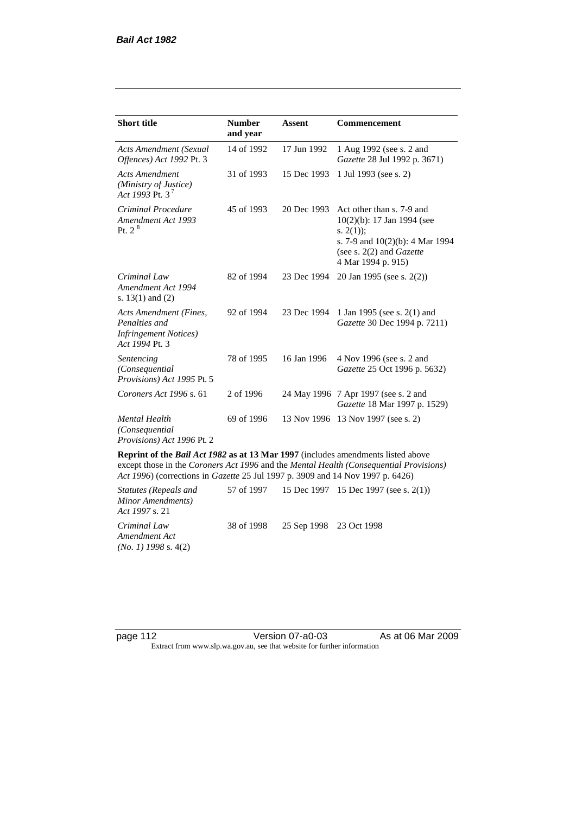| <b>Short title</b>                                                                         | <b>Number</b><br>and year | <b>Assent</b> | <b>Commencement</b>                                                                                                                                                        |
|--------------------------------------------------------------------------------------------|---------------------------|---------------|----------------------------------------------------------------------------------------------------------------------------------------------------------------------------|
| <b>Acts Amendment (Sexual</b><br>Offences) Act 1992 Pt. 3                                  | 14 of 1992                | 17 Jun 1992   | 1 Aug 1992 (see s. 2 and<br>Gazette 28 Jul 1992 p. 3671)                                                                                                                   |
| <b>Acts Amendment</b><br>(Ministry of Justice)<br>Act 1993 Pt. 3 <sup>7</sup>              | 31 of 1993                | 15 Dec 1993   | 1 Jul 1993 (see s. 2)                                                                                                                                                      |
| Criminal Procedure<br>Amendment Act 1993<br>Pt. 2 <sup>8</sup>                             | 45 of 1993                | 20 Dec 1993   | Act other than s. 7-9 and<br>$10(2)(b)$ : 17 Jan 1994 (see<br>s. $2(1)$ ;<br>s. 7-9 and $10(2)(b)$ : 4 Mar 1994<br>(see s. $2(2)$ and <i>Gazette</i><br>4 Mar 1994 p. 915) |
| Criminal Law<br>Amendment Act 1994<br>s. $13(1)$ and $(2)$                                 | 82 of 1994                | 23 Dec 1994   | 20 Jan 1995 (see s. 2(2))                                                                                                                                                  |
| Acts Amendment (Fines,<br>Penalties and<br><b>Infringement Notices</b> )<br>Act 1994 Pt. 3 | 92 of 1994                | 23 Dec 1994   | 1 Jan 1995 (see s. 2(1) and<br>Gazette 30 Dec 1994 p. 7211)                                                                                                                |
| Sentencing<br>(Consequential)<br>Provisions) Act 1995 Pt. 5                                | 78 of 1995                | 16 Jan 1996   | 4 Nov 1996 (see s. 2 and<br>Gazette 25 Oct 1996 p. 5632)                                                                                                                   |
| Coroners Act 1996 s. 61                                                                    | 2 of 1996                 |               | 24 May 1996 7 Apr 1997 (see s. 2 and<br>Gazette 18 Mar 1997 p. 1529)                                                                                                       |
| <b>Mental Health</b><br>(Consequential)<br>Provisions) Act 1996 Pt. 2                      | 69 of 1996                | 13 Nov 1996   | 13 Nov 1997 (see s. 2)                                                                                                                                                     |

**Reprint of the** *Bail Act 1982* **as at 13 Mar 1997** (includes amendments listed above except those in the *Coroners Act 1996* and the *Mental Health (Consequential Provisions) Act 1996*) (corrections in *Gazette* 25 Jul 1997 p. 3909 and 14 Nov 1997 p. 6426)

*Statutes (Repeals and Minor Amendments) Act 1997* s. 21 57 of 1997 15 Dec 1997 15 Dec 1997 (see s. 2(1)) *Criminal Law Amendment Act (No. 1) 1998* s. 4(2) 38 of 1998 25 Sep 1998 23 Oct 1998

page 112 Version 07-a0-03 As at 06 Mar 2009 Extract from www.slp.wa.gov.au, see that website for further information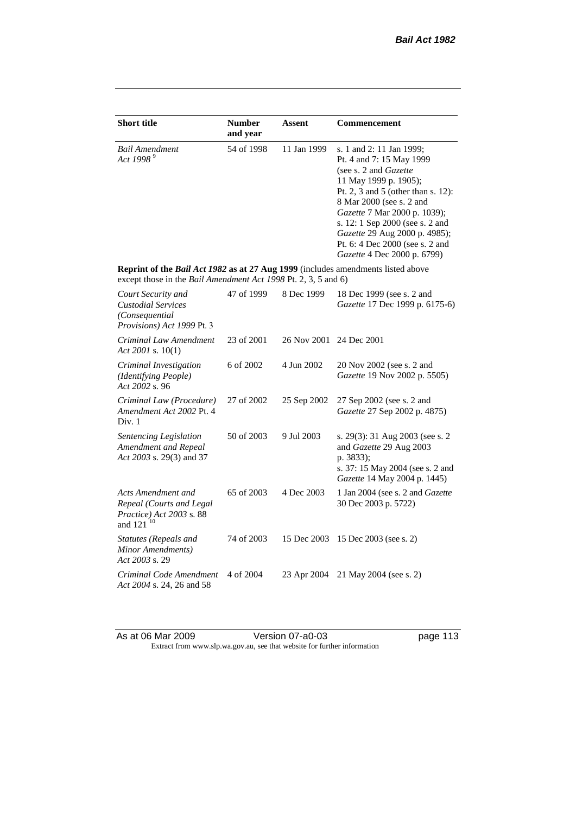| <b>Short title</b>                                                                                                                                        | <b>Number</b><br>and year | <b>Assent</b> | <b>Commencement</b>                                                                                                                                                                                                                                                                                                                                     |
|-----------------------------------------------------------------------------------------------------------------------------------------------------------|---------------------------|---------------|---------------------------------------------------------------------------------------------------------------------------------------------------------------------------------------------------------------------------------------------------------------------------------------------------------------------------------------------------------|
| <b>Bail Amendment</b><br>Act 1998 <sup>9</sup>                                                                                                            | 54 of 1998                | 11 Jan 1999   | s. 1 and 2: 11 Jan 1999;<br>Pt. 4 and 7: 15 May 1999<br>(see s. 2 and <i>Gazette</i> )<br>11 May 1999 p. 1905);<br>Pt. 2, 3 and 5 (other than s. 12):<br>8 Mar 2000 (see s. 2 and<br>Gazette 7 Mar 2000 p. 1039);<br>s. 12: 1 Sep 2000 (see s. 2 and<br>Gazette 29 Aug 2000 p. 4985);<br>Pt. 6: 4 Dec 2000 (see s. 2 and<br>Gazette 4 Dec 2000 p. 6799) |
| Reprint of the Bail Act 1982 as at 27 Aug 1999 (includes amendments listed above<br>except those in the <i>Bail Amendment Act 1998</i> Pt. 2, 3, 5 and 6) |                           |               |                                                                                                                                                                                                                                                                                                                                                         |
| Court Security and<br><b>Custodial Services</b><br>(Consequential<br>Provisions) Act 1999 Pt. 3                                                           | 47 of 1999                | 8 Dec 1999    | 18 Dec 1999 (see s. 2 and<br>Gazette 17 Dec 1999 p. 6175-6)                                                                                                                                                                                                                                                                                             |
| Criminal Law Amendment<br>Act 2001 s. $10(1)$                                                                                                             | 23 of 2001                | 26 Nov 2001   | 24 Dec 2001                                                                                                                                                                                                                                                                                                                                             |
| Criminal Investigation<br>(Identifying People)<br>Act 2002 s. 96                                                                                          | 6 of 2002                 | 4 Jun 2002    | 20 Nov 2002 (see s. 2 and<br>Gazette 19 Nov 2002 p. 5505)                                                                                                                                                                                                                                                                                               |
| Criminal Law (Procedure)<br>Amendment Act 2002 Pt. 4<br>Div. 1                                                                                            | 27 of 2002                | 25 Sep 2002   | 27 Sep 2002 (see s. 2 and<br>Gazette 27 Sep 2002 p. 4875)                                                                                                                                                                                                                                                                                               |
| Sentencing Legislation<br>Amendment and Repeal<br>Act 2003 s. 29(3) and 37                                                                                | 50 of 2003                | 9 Jul 2003    | s. 29(3): 31 Aug 2003 (see s. 2)<br>and Gazette 29 Aug 2003<br>p. 3833);<br>s. 37: 15 May 2004 (see s. 2 and<br>Gazette 14 May 2004 p. 1445)                                                                                                                                                                                                            |
| Acts Amendment and<br>Repeal (Courts and Legal<br>Practice) Act 2003 s. 88<br>and 121 <sup>10</sup>                                                       | 65 of 2003                | 4 Dec 2003    | 1 Jan 2004 (see s. 2 and <i>Gazette</i><br>30 Dec 2003 p. 5722)                                                                                                                                                                                                                                                                                         |
| <b>Statutes (Repeals and</b><br>Minor Amendments)<br>Act 2003 s. 29                                                                                       | 74 of 2003                | 15 Dec 2003   | 15 Dec 2003 (see s. 2)                                                                                                                                                                                                                                                                                                                                  |
| Criminal Code Amendment<br>Act 2004 s. 24, 26 and 58                                                                                                      | 4 of 2004                 | 23 Apr 2004   | 21 May 2004 (see s. 2)                                                                                                                                                                                                                                                                                                                                  |

As at 06 Mar 2009 **Version 07-a0-03 page 113** Extract from www.slp.wa.gov.au, see that website for further information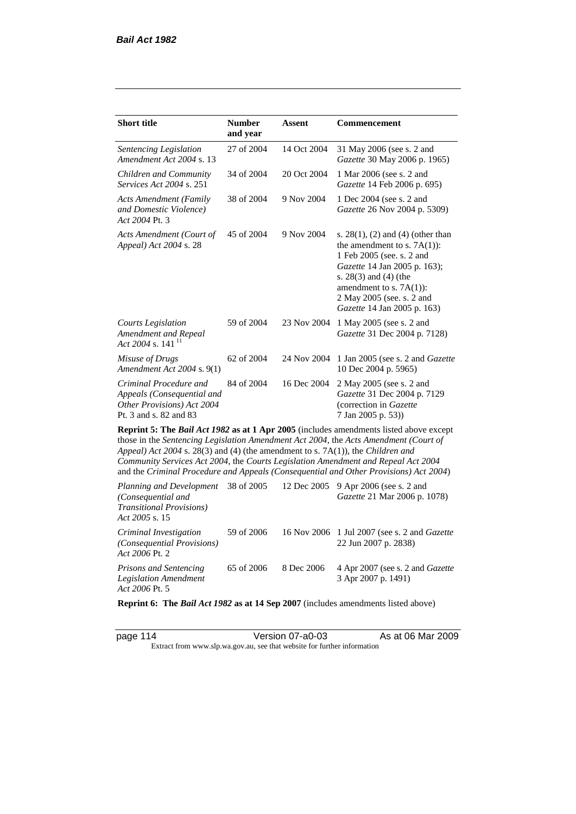*Act 2006* Pt. 2

| <b>Short title</b>                                                                                                                                                   | <b>Number</b><br>and year | Assent      | <b>Commencement</b>                                                                                                                                                                                                                                                     |
|----------------------------------------------------------------------------------------------------------------------------------------------------------------------|---------------------------|-------------|-------------------------------------------------------------------------------------------------------------------------------------------------------------------------------------------------------------------------------------------------------------------------|
| Sentencing Legislation<br>Amendment Act 2004 s. 13                                                                                                                   | 27 of 2004                | 14 Oct 2004 | 31 May 2006 (see s. 2 and<br>Gazette 30 May 2006 p. 1965)                                                                                                                                                                                                               |
| Children and Community<br><i>Services Act 2004 s. 251</i>                                                                                                            | 34 of 2004                | 20 Oct 2004 | 1 Mar 2006 (see s. 2 and<br>Gazette 14 Feb 2006 p. 695)                                                                                                                                                                                                                 |
| <b>Acts Amendment (Family</b><br>and Domestic Violence)<br>Act 2004 Pt. 3                                                                                            | 38 of 2004                | 9 Nov 2004  | 1 Dec 2004 (see s. 2 and<br>Gazette 26 Nov 2004 p. 5309)                                                                                                                                                                                                                |
| Acts Amendment (Court of<br>Appeal) Act 2004 s. 28                                                                                                                   | 45 of 2004                | 9 Nov 2004  | s. $28(1)$ , (2) and (4) (other than<br>the amendment to s. $7A(1)$ :<br>1 Feb 2005 (see. s. 2 and<br>Gazette 14 Jan 2005 p. 163);<br>s. 28(3) and (4) (the<br>amendment to s. $7A(1)$ :<br>2 May 2005 (see. s. 2 and<br>Gazette 14 Jan 2005 p. 163)                    |
| <b>Courts Legislation</b><br>Amendment and Repeal<br>Act 2004 s. 141 <sup>11</sup>                                                                                   | 59 of 2004                | 23 Nov 2004 | 1 May 2005 (see s. 2 and<br>Gazette 31 Dec 2004 p. 7128)                                                                                                                                                                                                                |
| Misuse of Drugs<br>Amendment Act 2004 s. 9(1)                                                                                                                        | 62 of 2004                | 24 Nov 2004 | 1 Jan 2005 (see s. 2 and Gazette<br>10 Dec 2004 p. 5965)                                                                                                                                                                                                                |
| Criminal Procedure and<br>Appeals (Consequential and<br>Other Provisions) Act 2004<br>Pt. 3 and s. 82 and 83                                                         | 84 of 2004                | 16 Dec 2004 | 2 May 2005 (see s. 2 and<br>Gazette 31 Dec 2004 p. 7129<br>(correction in Gazette<br>7 Jan 2005 p. 53))                                                                                                                                                                 |
| Appeal) Act 2004 s. 28(3) and (4) (the amendment to s. 7A(1)), the Children and<br>Community Services Act 2004, the Courts Legislation Amendment and Repeal Act 2004 |                           |             | Reprint 5: The Bail Act 1982 as at 1 Apr 2005 (includes amendments listed above except<br>those in the Sentencing Legislation Amendment Act 2004, the Acts Amendment (Court of<br>and the Criminal Procedure and Appeals (Consequential and Other Provisions) Act 2004) |
| Planning and Development<br>(Consequential and<br><b>Transitional Provisions)</b><br>Act 2005 s. 15                                                                  | 38 of 2005                | 12 Dec 2005 | 9 Apr 2006 (see s. 2 and<br>Gazette 21 Mar 2006 p. 1078)                                                                                                                                                                                                                |
| Criminal Investigation<br>(Consequential Provisions)                                                                                                                 | 59 of 2006                | 16 Nov 2006 | 1 Jul 2007 (see s. 2 and Gazette<br>22 Jun 2007 p. 2838)                                                                                                                                                                                                                |

*Prisons and Sentencing Legislation Amendment Act 2006* Pt. 5 65 of 2006 8 Dec 2006 4 Apr 2007 (see s. 2 and *Gazette* 3 Apr 2007 p. 1491)

**Reprint 6: The** *Bail Act 1982* **as at 14 Sep 2007** (includes amendments listed above)

page 114 Version 07-a0-03 As at 06 Mar 2009 Extract from www.slp.wa.gov.au, see that website for further information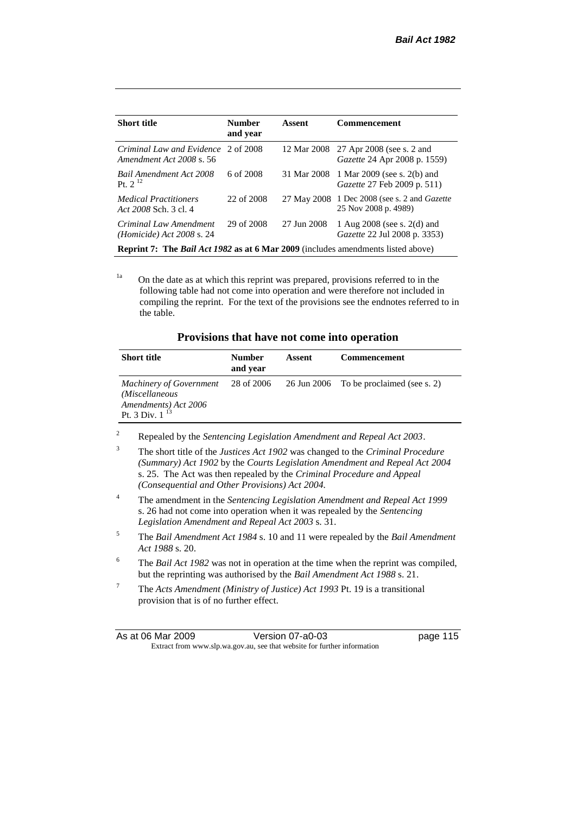| <b>Short title</b>                                                                      | <b>Number</b><br>and year | Assent      | <b>Commencement</b>                                                    |  |
|-----------------------------------------------------------------------------------------|---------------------------|-------------|------------------------------------------------------------------------|--|
| Criminal Law and Evidence 2 of 2008<br>Amendment Act 2008 s. 56                         |                           | 12 Mar 2008 | 27 Apr 2008 (see s. 2 and<br><i>Gazette</i> 24 Apr 2008 p. 1559)       |  |
| <b>Bail Amendment Act 2008</b><br>Pt. $2^{12}$                                          | 6 of 2008                 | 31 Mar 2008 | 1 Mar 2009 (see s. 2(b) and<br><i>Gazette</i> 27 Feb 2009 p. 511)      |  |
| <i>Medical Practitioners</i><br>Act 2008 Sch. 3 cl. 4                                   | 22 of 2008                | 27 May 2008 | 1 Dec 2008 (see s. 2 and <i>Gazette</i><br>25 Nov 2008 p. 4989)        |  |
| Criminal Law Amendment<br><i>(Homicide)</i> Act 2008 s. 24                              | 29 of 2008                | 27 Jun 2008 | 1 Aug $2008$ (see s. $2(d)$ and<br><i>Gazette</i> 22 Jul 2008 p. 3353) |  |
| <b>Reprint 7: The Bail Act 1982 as at 6 Mar 2009</b> (includes amendments listed above) |                           |             |                                                                        |  |

<sup>1a</sup> On the date as at which this reprint was prepared, provisions referred to in the following table had not come into operation and were therefore not included in compiling the reprint. For the text of the provisions see the endnotes referred to in the table.

| Provisions that have not come into operation |  |  |  |  |  |
|----------------------------------------------|--|--|--|--|--|
|----------------------------------------------|--|--|--|--|--|

| <b>Short title</b>                                                                                     | <b>Number</b><br>and year | Assent | <b>Commencement</b>                     |
|--------------------------------------------------------------------------------------------------------|---------------------------|--------|-----------------------------------------|
| <b>Machinery of Government</b><br>(Miscellaneous<br>Amendments) Act 2006<br>Pt. 3 Div. 1 <sup>13</sup> | 28 of 2006                |        | 26 Jun 2006 To be proclaimed (see s. 2) |

<sup>2</sup> Repealed by the *Sentencing Legislation Amendment and Repeal Act 2003*.

3 The short title of the *Justices Act 1902* was changed to the *Criminal Procedure (Summary) Act 1902* by the *Courts Legislation Amendment and Repeal Act 2004*  s. 25. The Act was then repealed by the *Criminal Procedure and Appeal (Consequential and Other Provisions) Act 2004.*

- <sup>4</sup> The amendment in the *Sentencing Legislation Amendment and Repeal Act 1999* s. 26 had not come into operation when it was repealed by the *Sentencing Legislation Amendment and Repeal Act 2003* s. 31.
- <sup>5</sup> The *Bail Amendment Act 1984* s. 10 and 11 were repealed by the *Bail Amendment Act 1988* s. 20.
- <sup>6</sup> The *Bail Act 1982* was not in operation at the time when the reprint was compiled, but the reprinting was authorised by the *Bail Amendment Act 1988* s. 21.
- <sup>7</sup> The *Acts Amendment (Ministry of Justice) Act 1993* Pt. 19 is a transitional provision that is of no further effect.

| As at 06 Mar 2009                                                        |  | Version 07-a0-03 | page 115 |
|--------------------------------------------------------------------------|--|------------------|----------|
| Extract from www.slp.wa.gov.au, see that website for further information |  |                  |          |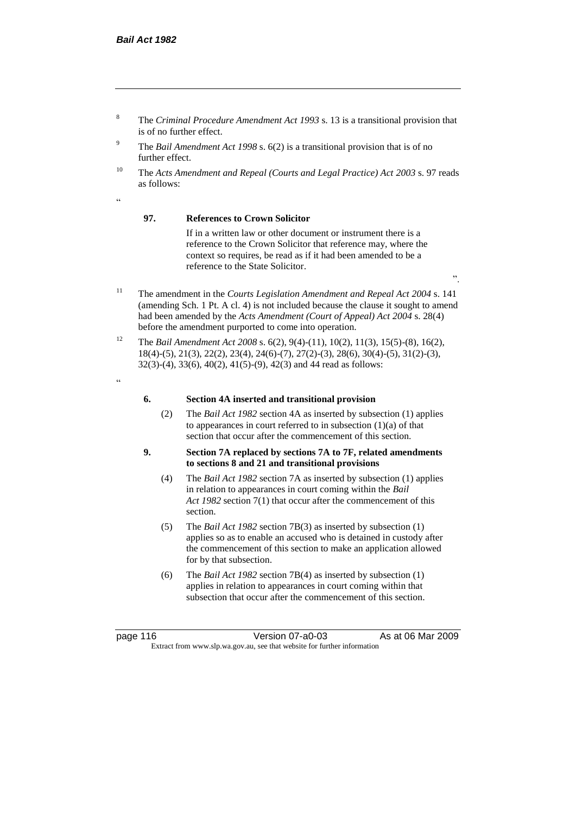- <sup>8</sup> The *Criminal Procedure Amendment Act 1993* s. 13 is a transitional provision that is of no further effect.
- <sup>9</sup> The *Bail Amendment Act 1998* s. 6(2) is a transitional provision that is of no further effect.
- <sup>10</sup> The *Acts Amendment and Repeal (Courts and Legal Practice) Act 2003* s. 97 reads as follows:

## "

#### **97. References to Crown Solicitor**

If in a written law or other document or instrument there is a reference to the Crown Solicitor that reference may, where the context so requires, be read as if it had been amended to be a reference to the State Solicitor.

- <sup>11</sup> The amendment in the *Courts Legislation Amendment and Repeal Act 2004* s. 141 (amending Sch. 1 Pt. A cl. 4) is not included because the clause it sought to amend had been amended by the *Acts Amendment (Court of Appeal) Act 2004* s. 28(4) before the amendment purported to come into operation.
- <sup>12</sup> The *Bail Amendment Act 2008* s. 6(2), 9(4)-(11), 10(2), 11(3), 15(5)-(8), 16(2), 18(4)-(5), 21(3), 22(2), 23(4), 24(6)-(7), 27(2)-(3), 28(6), 30(4)-(5), 31(2)-(3), 32(3)-(4), 33(6), 40(2), 41(5)-(9), 42(3) and 44 read as follows:
- .<br>cc

#### **6. Section 4A inserted and transitional provision**

(2) The *Bail Act 1982* section 4A as inserted by subsection (1) applies to appearances in court referred to in subsection  $(1)(a)$  of that section that occur after the commencement of this section.

#### **9. Section 7A replaced by sections 7A to 7F, related amendments to sections 8 and 21 and transitional provisions**

- (4) The *Bail Act 1982* section 7A as inserted by subsection (1) applies in relation to appearances in court coming within the *Bail Act 1982* section 7(1) that occur after the commencement of this section.
- (5) The *Bail Act 1982* section 7B(3) as inserted by subsection (1) applies so as to enable an accused who is detained in custody after the commencement of this section to make an application allowed for by that subsection.
- (6) The *Bail Act 1982* section 7B(4) as inserted by subsection (1) applies in relation to appearances in court coming within that subsection that occur after the commencement of this section.

page 116 Version 07-a0-03 As at 06 Mar 2009 Extract from www.slp.wa.gov.au, see that website for further information

".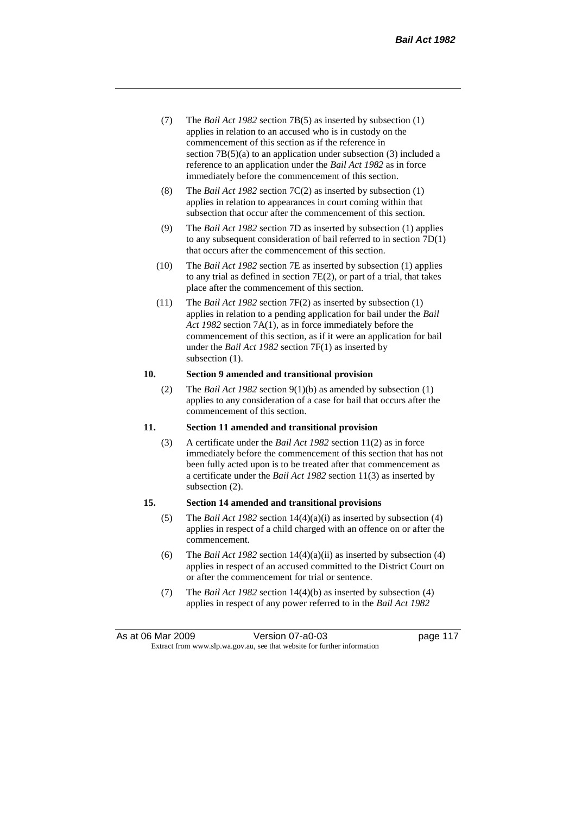- (7) The *Bail Act 1982* section 7B(5) as inserted by subsection (1) applies in relation to an accused who is in custody on the commencement of this section as if the reference in section 7B(5)(a) to an application under subsection (3) included a reference to an application under the *Bail Act 1982* as in force immediately before the commencement of this section.
- (8) The *Bail Act 1982* section 7C(2) as inserted by subsection (1) applies in relation to appearances in court coming within that subsection that occur after the commencement of this section.
- (9) The *Bail Act 1982* section 7D as inserted by subsection (1) applies to any subsequent consideration of bail referred to in section 7D(1) that occurs after the commencement of this section.
- (10) The *Bail Act 1982* section 7E as inserted by subsection (1) applies to any trial as defined in section 7E(2), or part of a trial, that takes place after the commencement of this section.
- (11) The *Bail Act 1982* section 7F(2) as inserted by subsection (1) applies in relation to a pending application for bail under the *Bail Act 1982* section 7A(1), as in force immediately before the commencement of this section, as if it were an application for bail under the *Bail Act 1982* section 7F(1) as inserted by subsection  $(1)$ .

#### **10. Section 9 amended and transitional provision**

(2) The *Bail Act 1982* section 9(1)(b) as amended by subsection (1) applies to any consideration of a case for bail that occurs after the commencement of this section.

#### **11. Section 11 amended and transitional provision**

(3) A certificate under the *Bail Act 1982* section 11(2) as in force immediately before the commencement of this section that has not been fully acted upon is to be treated after that commencement as a certificate under the *Bail Act 1982* section 11(3) as inserted by subsection (2).

#### **15. Section 14 amended and transitional provisions**

- (5) The *Bail Act 1982* section 14(4)(a)(i) as inserted by subsection (4) applies in respect of a child charged with an offence on or after the commencement.
- (6) The *Bail Act 1982* section 14(4)(a)(ii) as inserted by subsection (4) applies in respect of an accused committed to the District Court on or after the commencement for trial or sentence.
- (7) The *Bail Act 1982* section 14(4)(b) as inserted by subsection (4) applies in respect of any power referred to in the *Bail Act 1982*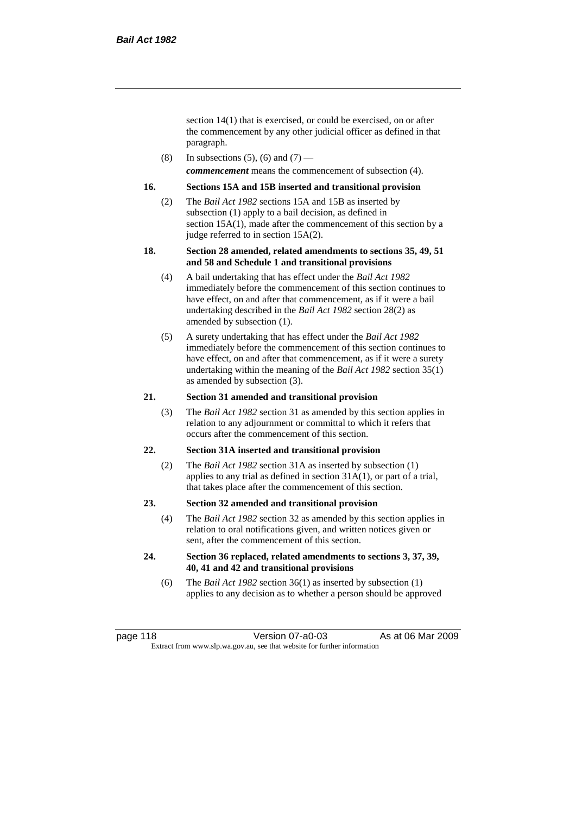section 14(1) that is exercised, or could be exercised, on or after the commencement by any other judicial officer as defined in that paragraph.

(8) In subsections (5), (6) and (7) *commencement* means the commencement of subsection (4).

#### **16. Sections 15A and 15B inserted and transitional provision**

- (2) The *Bail Act 1982* sections 15A and 15B as inserted by subsection (1) apply to a bail decision, as defined in section 15A(1), made after the commencement of this section by a judge referred to in section 15A(2).
- **18. Section 28 amended, related amendments to sections 35, 49, 51 and 58 and Schedule 1 and transitional provisions**
	- (4) A bail undertaking that has effect under the *Bail Act 1982* immediately before the commencement of this section continues to have effect, on and after that commencement, as if it were a bail undertaking described in the *Bail Act 1982* section 28(2) as amended by subsection (1).
	- (5) A surety undertaking that has effect under the *Bail Act 1982* immediately before the commencement of this section continues to have effect, on and after that commencement, as if it were a surety undertaking within the meaning of the *Bail Act 1982* section 35(1) as amended by subsection (3).

#### **21. Section 31 amended and transitional provision**

(3) The *Bail Act 1982* section 31 as amended by this section applies in relation to any adjournment or committal to which it refers that occurs after the commencement of this section.

#### **22. Section 31A inserted and transitional provision**

(2) The *Bail Act 1982* section 31A as inserted by subsection (1) applies to any trial as defined in section 31A(1), or part of a trial, that takes place after the commencement of this section.

#### **23. Section 32 amended and transitional provision**

- (4) The *Bail Act 1982* section 32 as amended by this section applies in relation to oral notifications given, and written notices given or sent, after the commencement of this section.
- **24. Section 36 replaced, related amendments to sections 3, 37, 39, 40, 41 and 42 and transitional provisions**
	- (6) The *Bail Act 1982* section 36(1) as inserted by subsection (1) applies to any decision as to whether a person should be approved

page 118 **Version 07-a0-03** As at 06 Mar 2009 Extract from www.slp.wa.gov.au, see that website for further information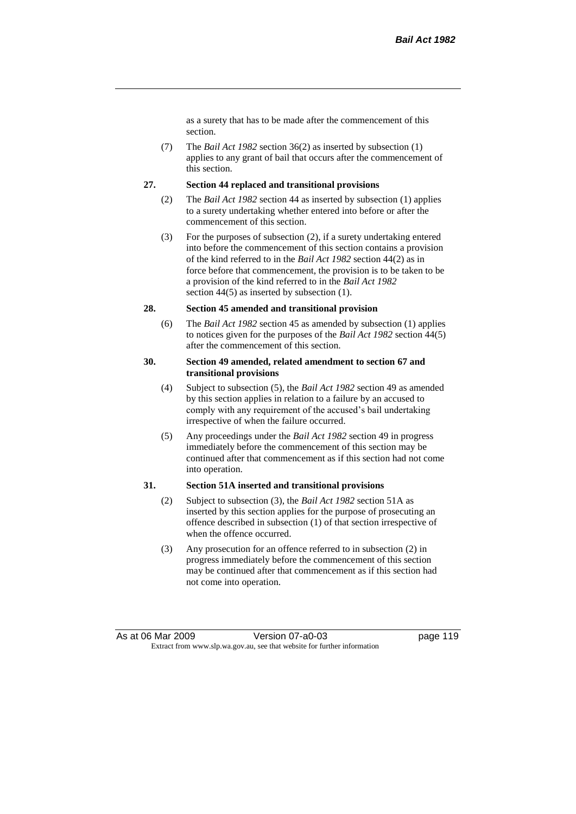as a surety that has to be made after the commencement of this section.

(7) The *Bail Act 1982* section 36(2) as inserted by subsection (1) applies to any grant of bail that occurs after the commencement of this section.

#### **27. Section 44 replaced and transitional provisions**

- (2) The *Bail Act 1982* section 44 as inserted by subsection (1) applies to a surety undertaking whether entered into before or after the commencement of this section.
- (3) For the purposes of subsection (2), if a surety undertaking entered into before the commencement of this section contains a provision of the kind referred to in the *Bail Act 1982* section 44(2) as in force before that commencement, the provision is to be taken to be a provision of the kind referred to in the *Bail Act 1982*  section 44(5) as inserted by subsection (1).

#### **28. Section 45 amended and transitional provision**

(6) The *Bail Act 1982* section 45 as amended by subsection (1) applies to notices given for the purposes of the *Bail Act 1982* section 44(5) after the commencement of this section.

#### **30. Section 49 amended, related amendment to section 67 and transitional provisions**

- (4) Subject to subsection (5), the *Bail Act 1982* section 49 as amended by this section applies in relation to a failure by an accused to comply with any requirement of the accused's bail undertaking irrespective of when the failure occurred.
- (5) Any proceedings under the *Bail Act 1982* section 49 in progress immediately before the commencement of this section may be continued after that commencement as if this section had not come into operation.

#### **31. Section 51A inserted and transitional provisions**

- (2) Subject to subsection (3), the *Bail Act 1982* section 51A as inserted by this section applies for the purpose of prosecuting an offence described in subsection (1) of that section irrespective of when the offence occurred.
- (3) Any prosecution for an offence referred to in subsection (2) in progress immediately before the commencement of this section may be continued after that commencement as if this section had not come into operation.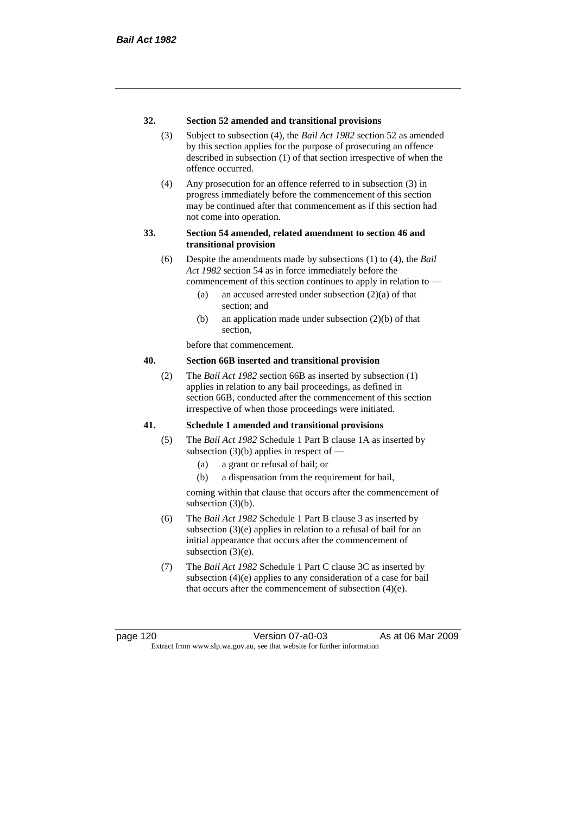#### **32. Section 52 amended and transitional provisions**

- (3) Subject to subsection (4), the *Bail Act 1982* section 52 as amended by this section applies for the purpose of prosecuting an offence described in subsection (1) of that section irrespective of when the offence occurred.
- (4) Any prosecution for an offence referred to in subsection (3) in progress immediately before the commencement of this section may be continued after that commencement as if this section had not come into operation.

#### **33. Section 54 amended, related amendment to section 46 and transitional provision**

- (6) Despite the amendments made by subsections (1) to (4), the *Bail Act 1982* section 54 as in force immediately before the commencement of this section continues to apply in relation to —
	- (a) an accused arrested under subsection (2)(a) of that section; and
	- (b) an application made under subsection (2)(b) of that section,

before that commencement.

#### **40. Section 66B inserted and transitional provision**

(2) The *Bail Act 1982* section 66B as inserted by subsection (1) applies in relation to any bail proceedings, as defined in section 66B, conducted after the commencement of this section irrespective of when those proceedings were initiated.

#### **41. Schedule 1 amended and transitional provisions**

- (5) The *Bail Act 1982* Schedule 1 Part B clause 1A as inserted by subsection  $(3)(b)$  applies in respect of  $-$ 
	- (a) a grant or refusal of bail; or
	- (b) a dispensation from the requirement for bail,

coming within that clause that occurs after the commencement of subsection (3)(b).

- (6) The *Bail Act 1982* Schedule 1 Part B clause 3 as inserted by subsection (3)(e) applies in relation to a refusal of bail for an initial appearance that occurs after the commencement of subsection  $(3)(e)$ .
- (7) The *Bail Act 1982* Schedule 1 Part C clause 3C as inserted by subsection (4)(e) applies to any consideration of a case for bail that occurs after the commencement of subsection (4)(e).

page 120 Version 07-a0-03 As at 06 Mar 2009 Extract from www.slp.wa.gov.au, see that website for further information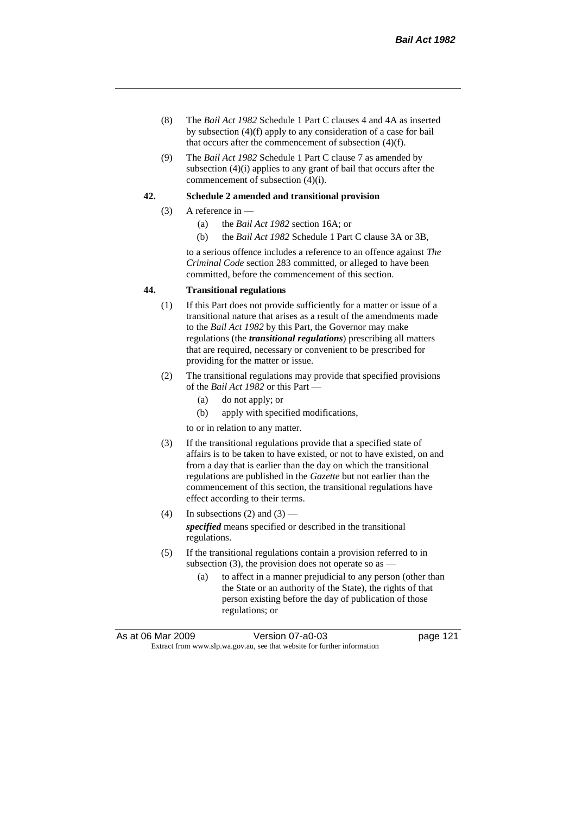- (8) The *Bail Act 1982* Schedule 1 Part C clauses 4 and 4A as inserted by subsection (4)(f) apply to any consideration of a case for bail that occurs after the commencement of subsection (4)(f).
- (9) The *Bail Act 1982* Schedule 1 Part C clause 7 as amended by subsection (4)(i) applies to any grant of bail that occurs after the commencement of subsection (4)(i).

#### **42. Schedule 2 amended and transitional provision**

- (3) A reference in
	- (a) the *Bail Act 1982* section 16A; or
	- (b) the *Bail Act 1982* Schedule 1 Part C clause 3A or 3B,

to a serious offence includes a reference to an offence against *The Criminal Code* section 283 committed, or alleged to have been committed, before the commencement of this section.

#### **44. Transitional regulations**

- (1) If this Part does not provide sufficiently for a matter or issue of a transitional nature that arises as a result of the amendments made to the *Bail Act 1982* by this Part, the Governor may make regulations (the *transitional regulations*) prescribing all matters that are required, necessary or convenient to be prescribed for providing for the matter or issue.
- (2) The transitional regulations may provide that specified provisions of the *Bail Act 1982* or this Part —
	- (a) do not apply; or
	- (b) apply with specified modifications,

to or in relation to any matter.

- (3) If the transitional regulations provide that a specified state of affairs is to be taken to have existed, or not to have existed, on and from a day that is earlier than the day on which the transitional regulations are published in the *Gazette* but not earlier than the commencement of this section, the transitional regulations have effect according to their terms.
- (4) In subsections (2) and  $(3)$  *specified* means specified or described in the transitional regulations.
- (5) If the transitional regulations contain a provision referred to in subsection  $(3)$ , the provision does not operate so as -
	- (a) to affect in a manner prejudicial to any person (other than the State or an authority of the State), the rights of that person existing before the day of publication of those regulations; or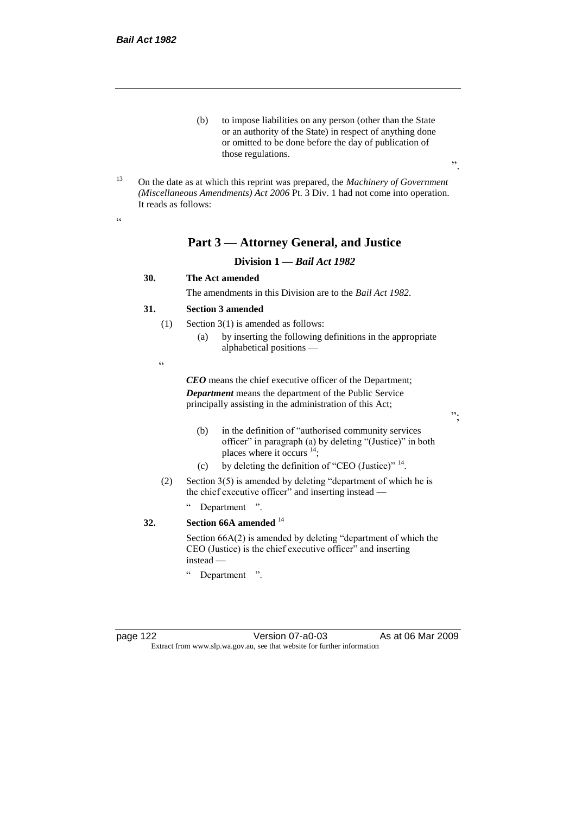- (b) to impose liabilities on any person (other than the State or an authority of the State) in respect of anything done or omitted to be done before the day of publication of those regulations.
- <sup>13</sup> On the date as at which this reprint was prepared, the *Machinery of Government (Miscellaneous Amendments) Act 2006* Pt. 3 Div. 1 had not come into operation. It reads as follows:

 $\epsilon$ 

## **Part 3 — Attorney General, and Justice**

#### **Division 1 —** *Bail Act 1982*

#### **30. The Act amended**

The amendments in this Division are to the *Bail Act 1982*.

#### **31. Section 3 amended**

- (1) Section 3(1) is amended as follows:
	- (a) by inserting the following definitions in the appropriate alphabetical positions —
- .<br>.<br>.

*CEO* means the chief executive officer of the Department; *Department* means the department of the Public Service principally assisting in the administration of this Act;

";

".

- (b) in the definition of "authorised community services officer" in paragraph (a) by deleting "(Justice)" in both places where it occurs <sup>14</sup>;
- (c) by deleting the definition of "CEO (Justice)"  $14$ .
- (2) Section 3(5) is amended by deleting "department of which he is the chief executive officer" and inserting instead —
	- " Department ".

## **32. Section 66A amended** <sup>14</sup>

Section 66A(2) is amended by deleting "department of which the CEO (Justice) is the chief executive officer" and inserting instead —

" Department ".

page 122 Version 07-a0-03 As at 06 Mar 2009 Extract from www.slp.wa.gov.au, see that website for further information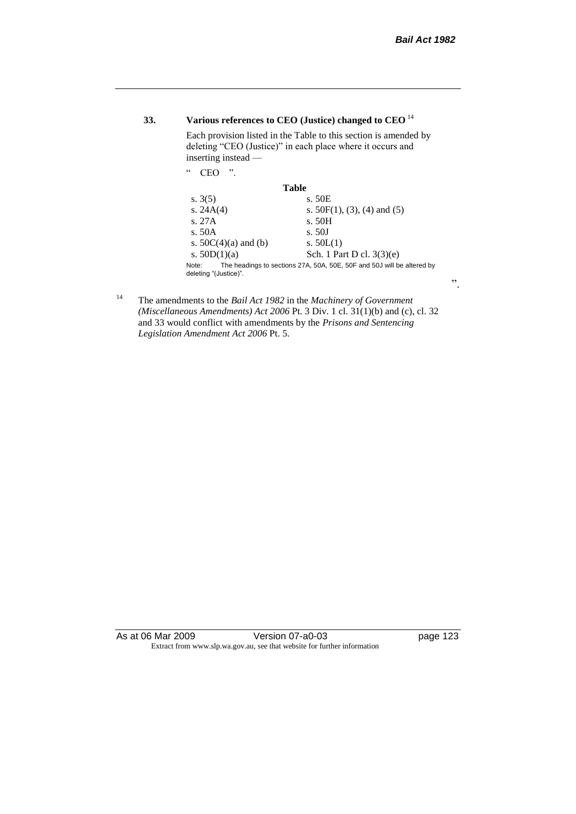## **33. Various references to CEO (Justice) changed to CEO** <sup>14</sup>

Each provision listed in the Table to this section is amended by deleting "CEO (Justice)" in each place where it occurs and inserting instead —

| $\epsilon$<br>"<br>∵FC                                                                                   |                                |  |  |  |
|----------------------------------------------------------------------------------------------------------|--------------------------------|--|--|--|
| Table                                                                                                    |                                |  |  |  |
| s. $3(5)$                                                                                                | s. 50E                         |  |  |  |
| s. $24A(4)$                                                                                              | s. $50F(1)$ , (3), (4) and (5) |  |  |  |
| s.27A                                                                                                    | s. 50H                         |  |  |  |
| s. 50A                                                                                                   | s. 50J                         |  |  |  |
| s. $50C(4)(a)$ and (b)                                                                                   | s. $50L(1)$                    |  |  |  |
| s. $50D(1)(a)$                                                                                           | Sch. 1 Part D cl. $3(3)(e)$    |  |  |  |
| The headings to sections 27A, 50A, 50E, 50F and 50J will be altered by<br>Note:<br>deleting "(Justice)". |                                |  |  |  |

<sup>14</sup> The amendments to the *Bail Act 1982* in the *Machinery of Government (Miscellaneous Amendments) Act 2006* Pt. 3 Div. 1 cl. 31(1)(b) and (c), cl. 32 and 33 would conflict with amendments by the *Prisons and Sentencing Legislation Amendment Act 2006* Pt. 5.

As at 06 Mar 2009 Version 07-a0-03 Page 123 Extract from www.slp.wa.gov.au, see that website for further information

".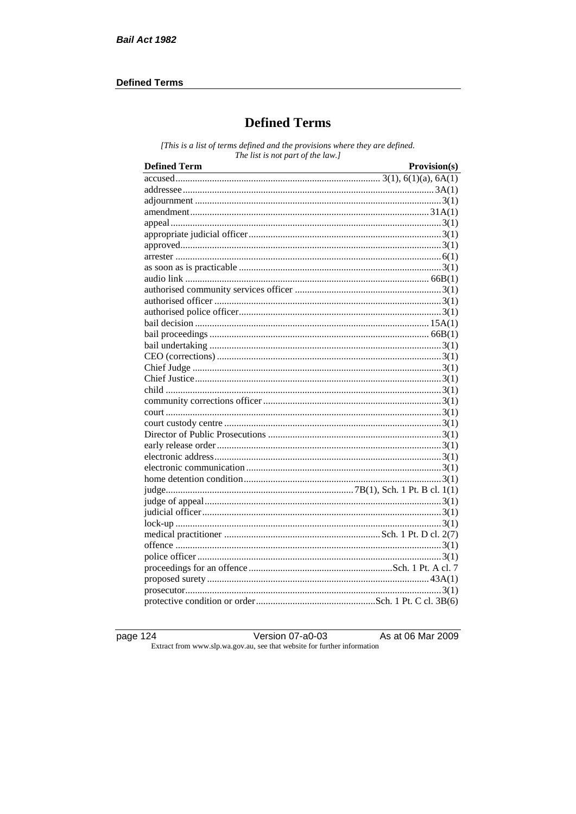### **Defined Terms**

# **Defined Terms**

[This is a list of terms defined and the provisions where they are defined. The list is not part of the law.]

| <b>Defined Term</b> | Provision(s) |
|---------------------|--------------|
|                     |              |
|                     |              |
|                     |              |
|                     |              |
|                     |              |
|                     |              |
|                     |              |
|                     |              |
|                     |              |
|                     |              |
|                     |              |
|                     |              |
|                     |              |
|                     |              |
|                     |              |
|                     |              |
|                     |              |
|                     |              |
|                     |              |
|                     |              |
|                     |              |
|                     |              |
|                     |              |
|                     |              |
|                     |              |
|                     |              |
|                     |              |
|                     |              |
|                     |              |
|                     |              |
|                     |              |
|                     |              |
|                     |              |
|                     |              |
|                     |              |
|                     |              |
|                     |              |
|                     |              |
|                     |              |

page 124

Version 07-a0-03

As at 06 Mar 2009

Extract from www.slp.wa.gov.au, see that website for further information